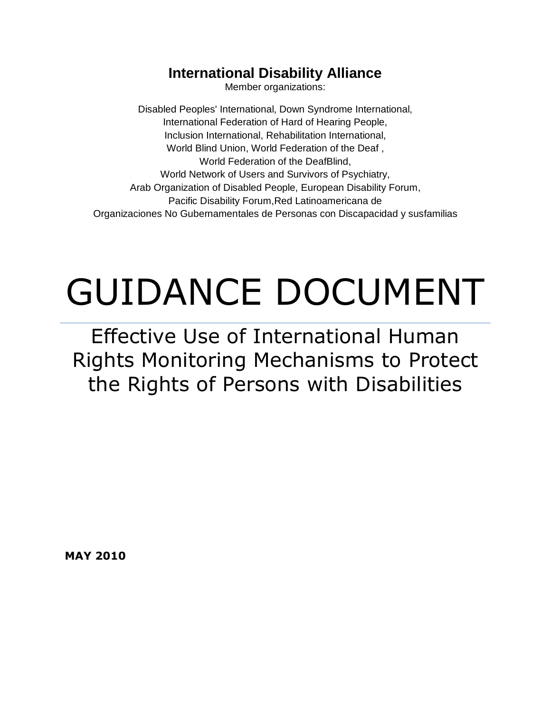### **International Disability Alliance**

Member organizations:

Disabled Peoples' International, Down Syndrome International, International Federation of Hard of Hearing People, Inclusion International, Rehabilitation International, World Blind Union, World Federation of the Deaf , World Federation of the DeafBlind, World Network of Users and Survivors of Psychiatry, Arab Organization of Disabled People, European Disability Forum, Pacific Disability Forum,Red Latinoamericana de Organizaciones No Gubernamentales de Personas con Discapacidad y susfamilias

# GUIDANCE DOCUMENT

Effective Use of International Human Rights Monitoring Mechanisms to Protect the Rights of Persons with Disabilities

**MAY 2010**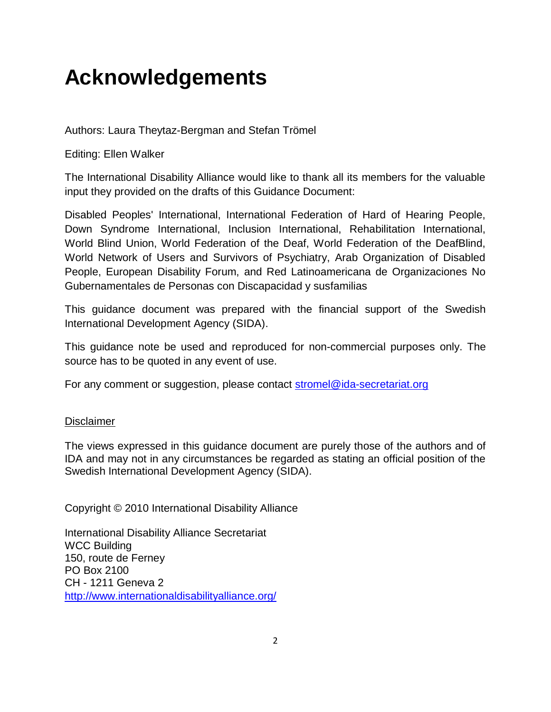# **Acknowledgements**

Authors: Laura Theytaz-Bergman and Stefan Trömel

Editing: Ellen Walker

The International Disability Alliance would like to thank all its members for the valuable input they provided on the drafts of this Guidance Document:

Disabled Peoples' International, International Federation of Hard of Hearing People, Down Syndrome International, Inclusion International, Rehabilitation International, World Blind Union, World Federation of the Deaf, World Federation of the DeafBlind, World Network of Users and Survivors of Psychiatry, Arab Organization of Disabled People, European Disability Forum, and Red Latinoamericana de Organizaciones No Gubernamentales de Personas con Discapacidad y susfamilias

This guidance document was prepared with the financial support of the Swedish International Development Agency (SIDA).

This guidance note be used and reproduced for non-commercial purposes only. The source has to be quoted in any event of use.

For any comment or suggestion, please contact [stromel@ida-secretariat.org](mailto:stromel@ida-secretariat.org)

#### **Disclaimer**

The views expressed in this guidance document are purely those of the authors and of IDA and may not in any circumstances be regarded as stating an official position of the Swedish International Development Agency (SIDA).

Copyright © 2010 International Disability Alliance

International Disability Alliance Secretariat WCC Building 150, route de Ferney PO Box 2100 CH - 1211 Geneva 2 <http://www.internationaldisabilityalliance.org/>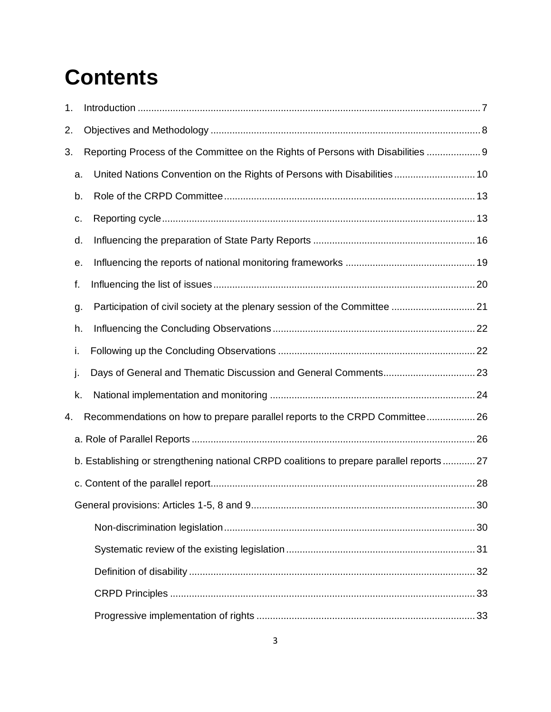# **Contents**

| 1.                                                                                      |    |                                                                                  |  |
|-----------------------------------------------------------------------------------------|----|----------------------------------------------------------------------------------|--|
| 2.                                                                                      |    |                                                                                  |  |
| 3.                                                                                      |    | Reporting Process of the Committee on the Rights of Persons with Disabilities  9 |  |
|                                                                                         | a. | United Nations Convention on the Rights of Persons with Disabilities 10          |  |
|                                                                                         | b. |                                                                                  |  |
|                                                                                         | c. |                                                                                  |  |
|                                                                                         | d. |                                                                                  |  |
|                                                                                         | е. |                                                                                  |  |
|                                                                                         | f. |                                                                                  |  |
|                                                                                         | g. | Participation of civil society at the plenary session of the Committee  21       |  |
|                                                                                         | h. |                                                                                  |  |
|                                                                                         | i. |                                                                                  |  |
|                                                                                         | j. |                                                                                  |  |
|                                                                                         | k. |                                                                                  |  |
| 4.                                                                                      |    | Recommendations on how to prepare parallel reports to the CRPD Committee26       |  |
|                                                                                         |    |                                                                                  |  |
| b. Establishing or strengthening national CRPD coalitions to prepare parallel reports27 |    |                                                                                  |  |
|                                                                                         |    |                                                                                  |  |
|                                                                                         |    |                                                                                  |  |
|                                                                                         |    |                                                                                  |  |
|                                                                                         |    |                                                                                  |  |
|                                                                                         |    |                                                                                  |  |
|                                                                                         |    |                                                                                  |  |
|                                                                                         |    |                                                                                  |  |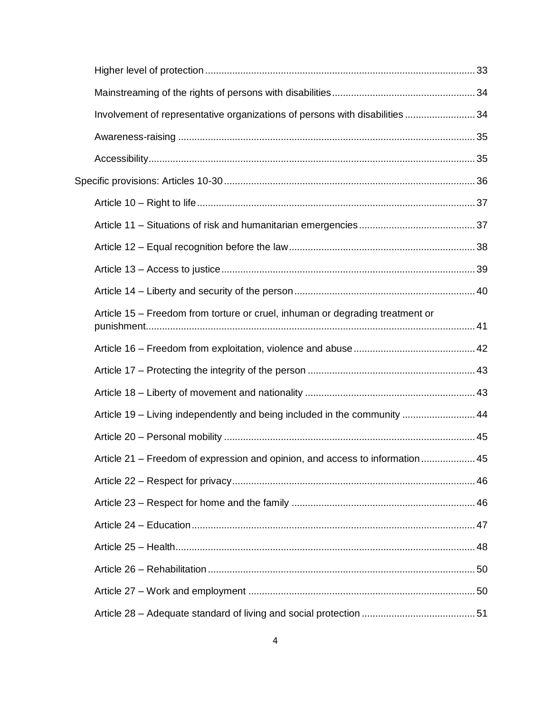| Involvement of representative organizations of persons with disabilities  34  |  |
|-------------------------------------------------------------------------------|--|
|                                                                               |  |
|                                                                               |  |
|                                                                               |  |
|                                                                               |  |
|                                                                               |  |
|                                                                               |  |
|                                                                               |  |
|                                                                               |  |
| Article 15 – Freedom from torture or cruel, inhuman or degrading treatment or |  |
|                                                                               |  |
|                                                                               |  |
|                                                                               |  |
| Article 19 – Living independently and being included in the community  44     |  |
|                                                                               |  |
| Article 21 – Freedom of expression and opinion, and access to information 45  |  |
|                                                                               |  |
|                                                                               |  |
|                                                                               |  |
|                                                                               |  |
|                                                                               |  |
|                                                                               |  |
|                                                                               |  |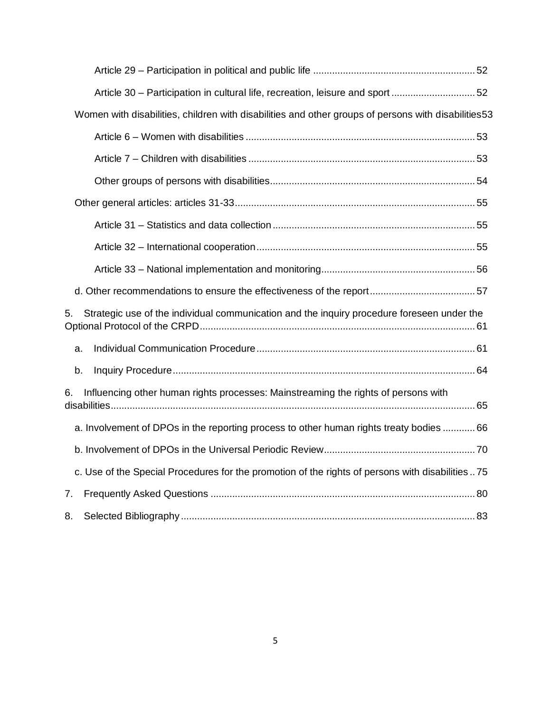| Article 30 - Participation in cultural life, recreation, leisure and sport 52                       |  |
|-----------------------------------------------------------------------------------------------------|--|
| Women with disabilities, children with disabilities and other groups of persons with disabilities53 |  |
|                                                                                                     |  |
|                                                                                                     |  |
|                                                                                                     |  |
|                                                                                                     |  |
|                                                                                                     |  |
|                                                                                                     |  |
|                                                                                                     |  |
|                                                                                                     |  |
| Strategic use of the individual communication and the inquiry procedure foreseen under the<br>5.    |  |
| a.                                                                                                  |  |
| b.                                                                                                  |  |
| Influencing other human rights processes: Mainstreaming the rights of persons with<br>6.            |  |
| a. Involvement of DPOs in the reporting process to other human rights treaty bodies  66             |  |
|                                                                                                     |  |
| c. Use of the Special Procedures for the promotion of the rights of persons with disabilities75     |  |
| 7.                                                                                                  |  |
| 8.                                                                                                  |  |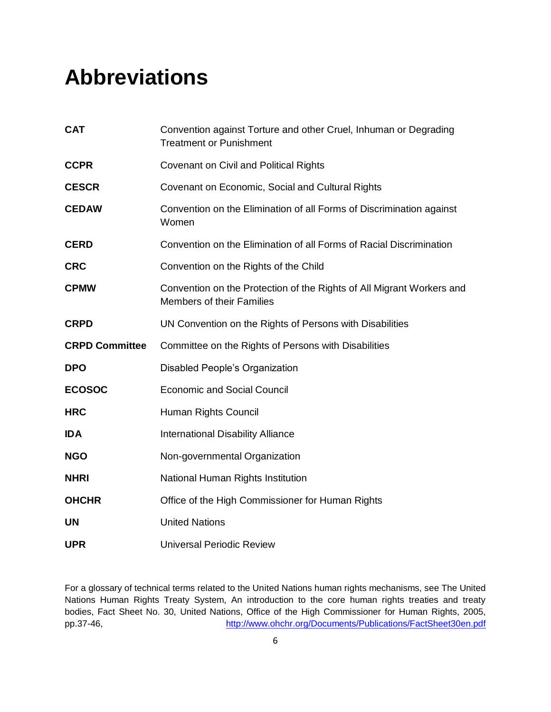# **Abbreviations**

| <b>CAT</b>            | Convention against Torture and other Cruel, Inhuman or Degrading<br><b>Treatment or Punishment</b>        |
|-----------------------|-----------------------------------------------------------------------------------------------------------|
| <b>CCPR</b>           | <b>Covenant on Civil and Political Rights</b>                                                             |
| <b>CESCR</b>          | Covenant on Economic, Social and Cultural Rights                                                          |
| <b>CEDAW</b>          | Convention on the Elimination of all Forms of Discrimination against<br>Women                             |
| <b>CERD</b>           | Convention on the Elimination of all Forms of Racial Discrimination                                       |
| <b>CRC</b>            | Convention on the Rights of the Child                                                                     |
| <b>CPMW</b>           | Convention on the Protection of the Rights of All Migrant Workers and<br><b>Members of their Families</b> |
| <b>CRPD</b>           | UN Convention on the Rights of Persons with Disabilities                                                  |
| <b>CRPD Committee</b> | Committee on the Rights of Persons with Disabilities                                                      |
| <b>DPO</b>            | Disabled People's Organization                                                                            |
| <b>ECOSOC</b>         | <b>Economic and Social Council</b>                                                                        |
| <b>HRC</b>            | Human Rights Council                                                                                      |
| <b>IDA</b>            | <b>International Disability Alliance</b>                                                                  |
| <b>NGO</b>            | Non-governmental Organization                                                                             |
| <b>NHRI</b>           | National Human Rights Institution                                                                         |
| <b>OHCHR</b>          | Office of the High Commissioner for Human Rights                                                          |
| <b>UN</b>             | <b>United Nations</b>                                                                                     |
| <b>UPR</b>            | <b>Universal Periodic Review</b>                                                                          |

For a glossary of technical terms related to the United Nations human rights mechanisms, see The United Nations Human Rights Treaty System, An introduction to the core human rights treaties and treaty bodies, Fact Sheet No. 30, United Nations, Office of the High Commissioner for Human Rights, 2005, pp.37-46, <http://www.ohchr.org/Documents/Publications/FactSheet30en.pdf>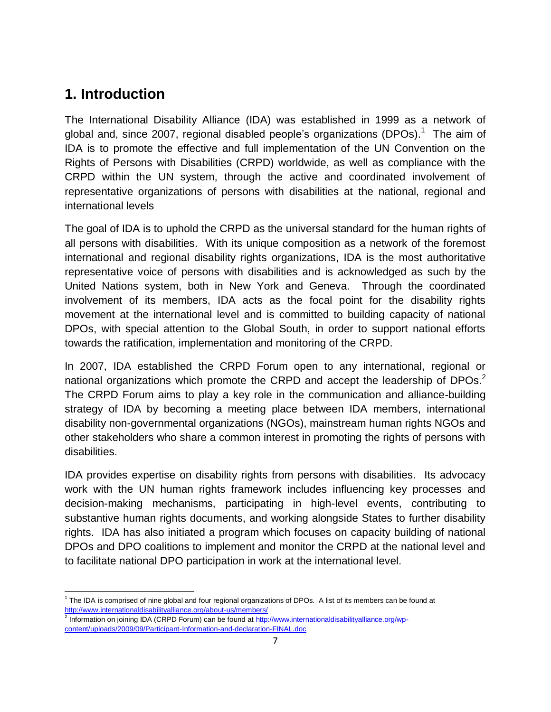### **1. Introduction**

The International Disability Alliance (IDA) was established in 1999 as a network of global and, since 2007, regional disabled people's organizations (DPOs).<sup>1</sup> The aim of IDA is to promote the effective and full implementation of the UN Convention on the Rights of Persons with Disabilities (CRPD) worldwide, as well as compliance with the CRPD within the UN system, through the active and coordinated involvement of representative organizations of persons with disabilities at the national, regional and international levels

The goal of IDA is to uphold the CRPD as the universal standard for the human rights of all persons with disabilities. With its unique composition as a network of the foremost international and regional disability rights organizations, IDA is the most authoritative representative voice of persons with disabilities and is acknowledged as such by the United Nations system, both in New York and Geneva. Through the coordinated involvement of its members, IDA acts as the focal point for the disability rights movement at the international level and is committed to building capacity of national DPOs, with special attention to the Global South, in order to support national efforts towards the ratification, implementation and monitoring of the CRPD.

In 2007, IDA established the CRPD Forum open to any international, regional or national organizations which promote the CRPD and accept the leadership of DPOs.<sup>2</sup> The CRPD Forum aims to play a key role in the communication and alliance-building strategy of IDA by becoming a meeting place between IDA members, international disability non-governmental organizations (NGOs), mainstream human rights NGOs and other stakeholders who share a common interest in promoting the rights of persons with disabilities.

IDA provides expertise on disability rights from persons with disabilities. Its advocacy work with the UN human rights framework includes influencing key processes and decision-making mechanisms, participating in high-level events, contributing to substantive human rights documents, and working alongside States to further disability rights. IDA has also initiated a program which focuses on capacity building of national DPOs and DPO coalitions to implement and monitor the CRPD at the national level and to facilitate national DPO participation in work at the international level.

 $\overline{a}$ <sup>1</sup> The IDA is comprised of nine global and four regional organizations of DPOs. A list of its members can be found at <http://www.internationaldisabilityalliance.org/about-us/members/>

<sup>&</sup>lt;sup>2</sup> Information on joining IDA (CRPD Forum) can be found at [http://www.internationaldisabilityalliance.org/wp](http://www.internationaldisabilityalliance.org/wp-content/uploads/2009/09/Participant-Information-and-declaration-FINAL.doc)[content/uploads/2009/09/Participant-Information-and-declaration-FINAL.doc](http://www.internationaldisabilityalliance.org/wp-content/uploads/2009/09/Participant-Information-and-declaration-FINAL.doc)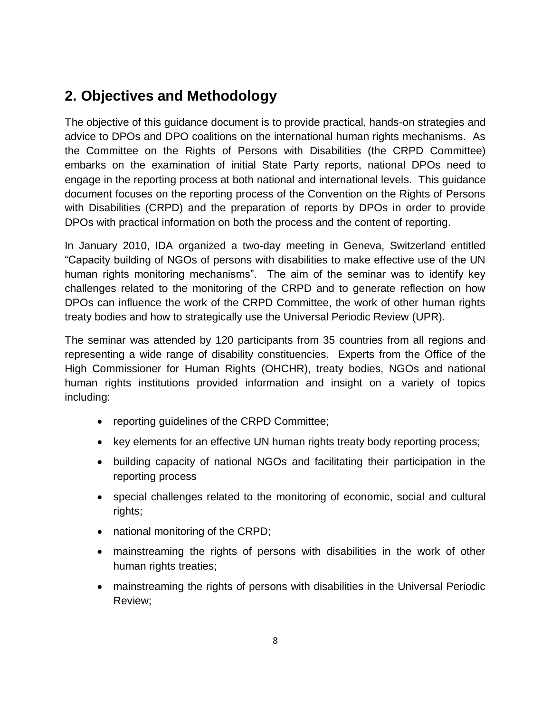### **2. Objectives and Methodology**

The objective of this guidance document is to provide practical, hands-on strategies and advice to DPOs and DPO coalitions on the international human rights mechanisms. As the Committee on the Rights of Persons with Disabilities (the CRPD Committee) embarks on the examination of initial State Party reports, national DPOs need to engage in the reporting process at both national and international levels. This guidance document focuses on the reporting process of the Convention on the Rights of Persons with Disabilities (CRPD) and the preparation of reports by DPOs in order to provide DPOs with practical information on both the process and the content of reporting.

In January 2010, IDA organized a two-day meeting in Geneva, Switzerland entitled "Capacity building of NGOs of persons with disabilities to make effective use of the UN human rights monitoring mechanisms". The aim of the seminar was to identify key challenges related to the monitoring of the CRPD and to generate reflection on how DPOs can influence the work of the CRPD Committee, the work of other human rights treaty bodies and how to strategically use the Universal Periodic Review (UPR).

The seminar was attended by 120 participants from 35 countries from all regions and representing a wide range of disability constituencies. Experts from the Office of the High Commissioner for Human Rights (OHCHR), treaty bodies, NGOs and national human rights institutions provided information and insight on a variety of topics including:

- reporting quidelines of the CRPD Committee;
- key elements for an effective UN human rights treaty body reporting process;
- building capacity of national NGOs and facilitating their participation in the reporting process
- special challenges related to the monitoring of economic, social and cultural rights;
- national monitoring of the CRPD;
- mainstreaming the rights of persons with disabilities in the work of other human rights treaties;
- mainstreaming the rights of persons with disabilities in the Universal Periodic Review;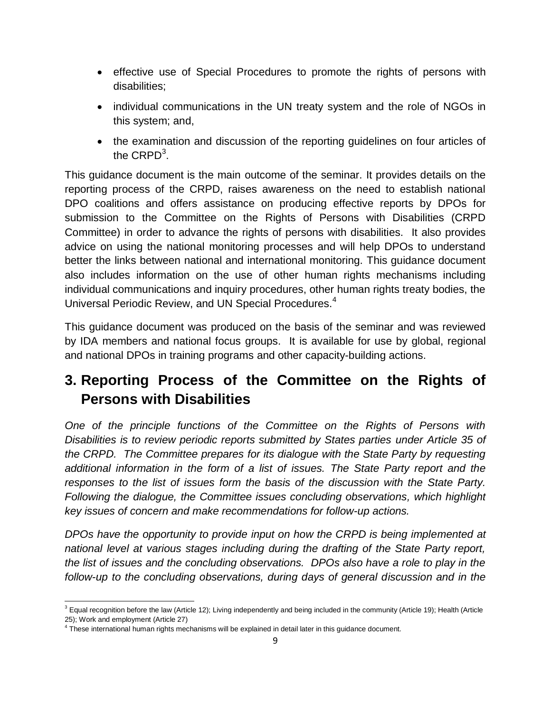- effective use of Special Procedures to promote the rights of persons with disabilities;
- individual communications in the UN treaty system and the role of NGOs in this system; and,
- the examination and discussion of the reporting guidelines on four articles of the  $\mathsf{CRPD}^3$ .

This guidance document is the main outcome of the seminar. It provides details on the reporting process of the CRPD, raises awareness on the need to establish national DPO coalitions and offers assistance on producing effective reports by DPOs for submission to the Committee on the Rights of Persons with Disabilities (CRPD Committee) in order to advance the rights of persons with disabilities. It also provides advice on using the national monitoring processes and will help DPOs to understand better the links between national and international monitoring. This guidance document also includes information on the use of other human rights mechanisms including individual communications and inquiry procedures, other human rights treaty bodies, the Universal Periodic Review, and UN Special Procedures.<sup>4</sup>

This guidance document was produced on the basis of the seminar and was reviewed by IDA members and national focus groups. It is available for use by global, regional and national DPOs in training programs and other capacity-building actions.

## **3. Reporting Process of the Committee on the Rights of Persons with Disabilities**

*One of the principle functions of the Committee on the Rights of Persons with Disabilities is to review periodic reports submitted by States parties under Article 35 of the CRPD. The Committee prepares for its dialogue with the State Party by requesting additional information in the form of a list of issues. The State Party report and the responses to the list of issues form the basis of the discussion with the State Party. Following the dialogue, the Committee issues concluding observations, which highlight key issues of concern and make recommendations for follow-up actions.*

*DPOs have the opportunity to provide input on how the CRPD is being implemented at national level at various stages including during the drafting of the State Party report, the list of issues and the concluding observations. DPOs also have a role to play in the follow-up to the concluding observations, during days of general discussion and in the* 

j  $3$  Equal recognition before the law (Article 12); Living independently and being included in the community (Article 19); Health (Article 25); Work and employment (Article 27)

<sup>&</sup>lt;sup>4</sup> These international human rights mechanisms will be explained in detail later in this guidance document.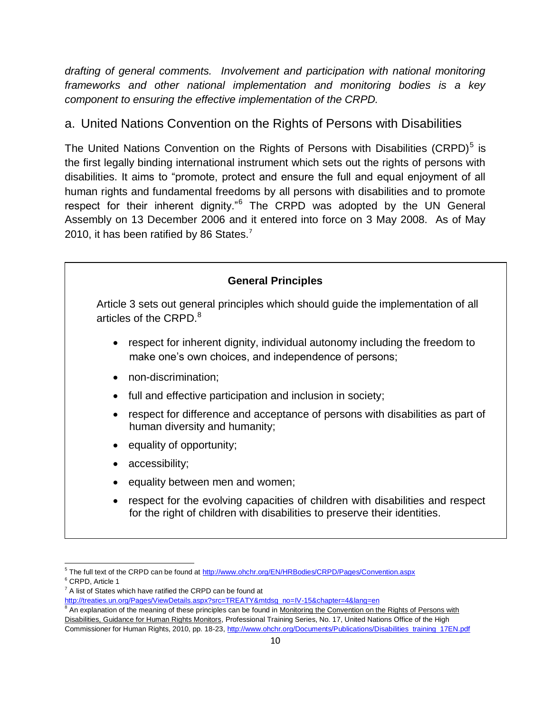*drafting of general comments. Involvement and participation with national monitoring frameworks and other national implementation and monitoring bodies is a key component to ensuring the effective implementation of the CRPD.*

#### a. United Nations Convention on the Rights of Persons with Disabilities

The United Nations Convention on the Rights of Persons with Disabilities (CRPD) $<sup>5</sup>$  is</sup> the first legally binding international instrument which sets out the rights of persons with disabilities. It aims to "promote, protect and ensure the full and equal enjoyment of all human rights and fundamental freedoms by all persons with disabilities and to promote respect for their inherent dignity."<sup>6</sup> The CRPD was adopted by the UN General Assembly on 13 December 2006 and it entered into force on 3 May 2008. As of May 2010, it has been ratified by 86 States.<sup>7</sup>



 $\overline{a}$ <sup>5</sup> The full text of the CRPD can be found at<http://www.ohchr.org/EN/HRBodies/CRPD/Pages/Convention.aspx> <sup>6</sup> CRPD, Article 1

 $7$  A list of States which have ratified the CRPD can be found at

[http://treaties.un.org/Pages/ViewDetails.aspx?src=TREATY&mtdsg\\_no=IV-15&chapter=4&lang=en](http://treaties.un.org/Pages/ViewDetails.aspx?src=TREATY&mtdsg_no=IV-15&chapter=4&lang=en)

<sup>&</sup>lt;sup>8</sup> An explanation of the meaning of these principles can be found in Monitoring the Convention on the Rights of Persons with Disabilities, Guidance for Human Rights Monitors, Professional Training Series, No. 17, United Nations Office of the High Commissioner for Human Rights, 2010, pp. 18-23[, http://www.ohchr.org/Documents/Publications/Disabilities\\_training\\_17EN.pdf](http://www.ohchr.org/Documents/Publications/Disabilities_training_17EN.pdf)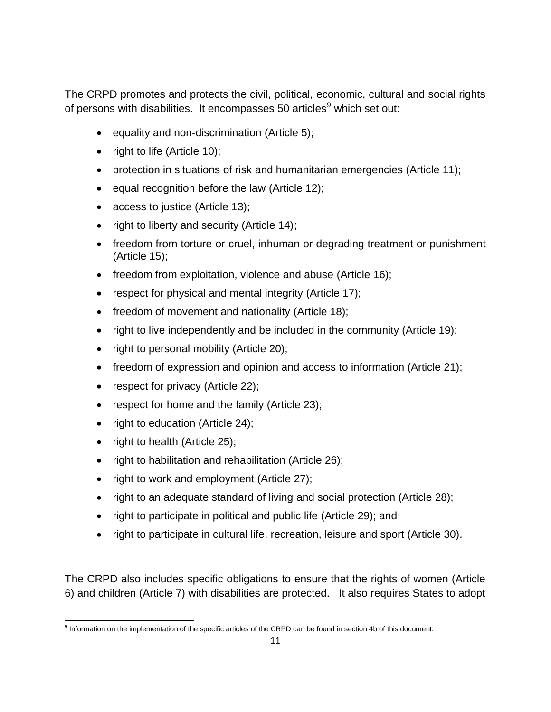The CRPD promotes and protects the civil, political, economic, cultural and social rights of persons with disabilities. It encompasses 50 articles<sup>9</sup> which set out:

- $\bullet$  equality and non-discrimination (Article 5);
- right to life (Article 10);
- protection in situations of risk and humanitarian emergencies (Article 11);
- $\bullet$  equal recognition before the law (Article 12);
- access to justice (Article 13);
- right to liberty and security (Article 14);
- freedom from torture or cruel, inhuman or degrading treatment or punishment (Article 15);
- freedom from exploitation, violence and abuse (Article 16);
- respect for physical and mental integrity (Article 17);
- freedom of movement and nationality (Article 18);
- right to live independently and be included in the community (Article 19);
- right to personal mobility (Article 20);
- freedom of expression and opinion and access to information (Article 21);
- respect for privacy (Article 22);
- respect for home and the family (Article 23);
- right to education (Article 24);
- $\bullet$  right to health (Article 25);
- right to habilitation and rehabilitation (Article 26);
- right to work and employment (Article 27);
- right to an adequate standard of living and social protection (Article 28);
- right to participate in political and public life (Article 29); and
- right to participate in cultural life, recreation, leisure and sport (Article 30).

The CRPD also includes specific obligations to ensure that the rights of women (Article 6) and children (Article 7) with disabilities are protected. It also requires States to adopt

 9 Information on the implementation of the specific articles of the CRPD can be found in section 4b of this document.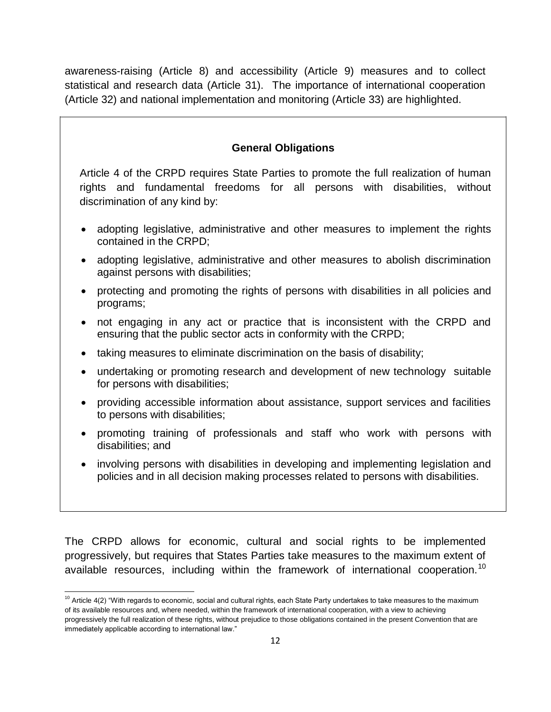awareness-raising (Article 8) and accessibility (Article 9) measures and to collect statistical and research data (Article 31). The importance of international cooperation (Article 32) and national implementation and monitoring (Article 33) are highlighted.

#### **General Obligations**

Article 4 of the CRPD requires State Parties to promote the full realization of human rights and fundamental freedoms for all persons with disabilities, without discrimination of any kind by:

- adopting legislative, administrative and other measures to implement the rights contained in the CRPD;
- adopting legislative, administrative and other measures to abolish discrimination against persons with disabilities;
- protecting and promoting the rights of persons with disabilities in all policies and programs;
- not engaging in any act or practice that is inconsistent with the CRPD and ensuring that the public sector acts in conformity with the CRPD;
- taking measures to eliminate discrimination on the basis of disability;
- undertaking or promoting research and development of new technology suitable for persons with disabilities;
- providing accessible information about assistance, support services and facilities to persons with disabilities;
- promoting training of professionals and staff who work with persons with disabilities; and
- involving persons with disabilities in developing and implementing legislation and policies and in all decision making processes related to persons with disabilities.

The CRPD allows for economic, cultural and social rights to be implemented progressively, but requires that States Parties take measures to the maximum extent of available resources, including within the framework of international cooperation.<sup>10</sup>

 $\overline{a}$  $10$  Article 4(2) "With regards to economic, social and cultural rights, each State Party undertakes to take measures to the maximum of its available resources and, where needed, within the framework of international cooperation, with a view to achieving progressively the full realization of these rights, without prejudice to those obligations contained in the present Convention that are immediately applicable according to international law."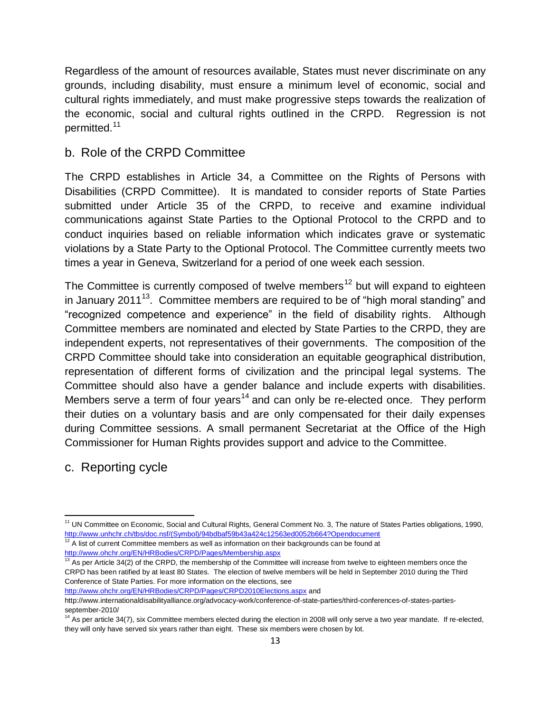Regardless of the amount of resources available, States must never discriminate on any grounds, including disability, must ensure a minimum level of economic, social and cultural rights immediately, and must make progressive steps towards the realization of the economic, social and cultural rights outlined in the CRPD. Regression is not permitted.<sup>11</sup>

#### b. Role of the CRPD Committee

The CRPD establishes in Article 34, a Committee on the Rights of Persons with Disabilities (CRPD Committee). It is mandated to consider reports of State Parties submitted under Article 35 of the CRPD, to receive and examine individual communications against State Parties to the Optional Protocol to the CRPD and to conduct inquiries based on reliable information which indicates grave or systematic violations by a State Party to the Optional Protocol. The Committee currently meets two times a year in Geneva, Switzerland for a period of one week each session.

The Committee is currently composed of twelve members<sup>12</sup> but will expand to eighteen in January 2011 $13$ . Committee members are required to be of "high moral standing" and "recognized competence and experience" in the field of disability rights. Although Committee members are nominated and elected by State Parties to the CRPD, they are independent experts, not representatives of their governments. The composition of the CRPD Committee should take into consideration an equitable geographical distribution, representation of different forms of civilization and the principal legal systems. The Committee should also have a gender balance and include experts with disabilities. Members serve a term of four years<sup>14</sup> and can only be re-elected once. They perform their duties on a voluntary basis and are only compensated for their daily expenses during Committee sessions. A small permanent Secretariat at the Office of the High Commissioner for Human Rights provides support and advice to the Committee.

c. Reporting cycle

j

<http://www.ohchr.org/EN/HRBodies/CRPD/Pages/Membership.aspx>

<sup>13</sup> As per Article 34(2) of the CRPD, the membership of the Committee will increase from twelve to eighteen members once the CRPD has been ratified by at least 80 States. The election of twelve members will be held in September 2010 during the Third Conference of State Parties. For more information on the elections, see <http://www.ohchr.org/EN/HRBodies/CRPD/Pages/CRPD2010Elections.aspx> and

<sup>&</sup>lt;sup>11</sup> UN Committee on Economic, Social and Cultural Rights, General Comment No. 3, The nature of States Parties obligations, 1990, [http://www.unhchr.ch/tbs/doc.nsf/\(Symbol\)/94bdbaf59b43a424c12563ed0052b664?Opendocument](http://www.unhchr.ch/tbs/doc.nsf/(Symbol)/94bdbaf59b43a424c12563ed0052b664?Opendocument)  $12$  A list of current Committee members as well as information on their backgrounds can be found at

http://www.internationaldisabilityalliance.org/advocacy-work/conference-of-state-parties/third-conferences-of-states-partiesseptember-2010/

 $14$  As per article 34(7), six Committee members elected during the election in 2008 will only serve a two year mandate. If re-elected, they will only have served six years rather than eight. These six members were chosen by lot.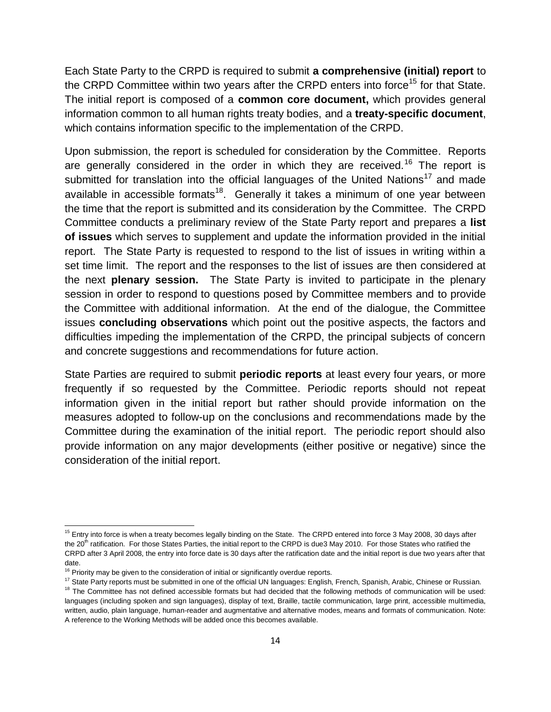Each State Party to the CRPD is required to submit **a comprehensive (initial) report** to the CRPD Committee within two years after the CRPD enters into force<sup>15</sup> for that State. The initial report is composed of a **common core document,** which provides general information common to all human rights treaty bodies, and a **treaty-specific document**, which contains information specific to the implementation of the CRPD.

Upon submission, the report is scheduled for consideration by the Committee. Reports are generally considered in the order in which they are received.<sup>16</sup> The report is submitted for translation into the official languages of the United Nations<sup>17</sup> and made available in accessible formats<sup>18</sup>. Generally it takes a minimum of one year between the time that the report is submitted and its consideration by the Committee. The CRPD Committee conducts a preliminary review of the State Party report and prepares a **list of issues** which serves to supplement and update the information provided in the initial report. The State Party is requested to respond to the list of issues in writing within a set time limit. The report and the responses to the list of issues are then considered at the next **plenary session.** The State Party is invited to participate in the plenary session in order to respond to questions posed by Committee members and to provide the Committee with additional information. At the end of the dialogue, the Committee issues **concluding observations** which point out the positive aspects, the factors and difficulties impeding the implementation of the CRPD, the principal subjects of concern and concrete suggestions and recommendations for future action.

State Parties are required to submit **periodic reports** at least every four years, or more frequently if so requested by the Committee. Periodic reports should not repeat information given in the initial report but rather should provide information on the measures adopted to follow-up on the conclusions and recommendations made by the Committee during the examination of the initial report. The periodic report should also provide information on any major developments (either positive or negative) since the consideration of the initial report.

j

 $15$  Entry into force is when a treaty becomes legally binding on the State. The CRPD entered into force 3 May 2008, 30 days after the 20<sup>th</sup> ratification. For those States Parties, the initial report to the CRPD is due3 May 2010. For those States who ratified the CRPD after 3 April 2008, the entry into force date is 30 days after the ratification date and the initial report is due two years after that date.

 $16$  Priority may be given to the consideration of initial or significantly overdue reports.

<sup>&</sup>lt;sup>17</sup> State Party reports must be submitted in one of the official UN languages: English, French, Spanish, Arabic, Chinese or Russian. <sup>18</sup> The Committee has not defined accessible formats but had decided that the following methods of communication will be used: languages (including spoken and sign languages), display of text, Braille, tactile communication, large print, accessible multimedia, written, audio, plain language, human-reader and augmentative and alternative modes, means and formats of communication. Note: A reference to the Working Methods will be added once this becomes available.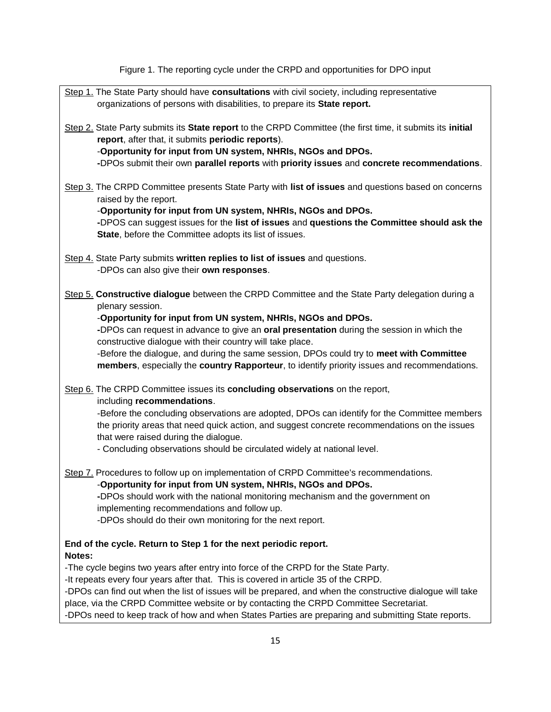Figure 1. The reporting cycle under the CRPD and opportunities for DPO input

| Step 1. The State Party should have consultations with civil society, including representative<br>organizations of persons with disabilities, to prepare its State report.                                                                                                                                                                                                                                                                                                                                                                 |  |  |  |  |
|--------------------------------------------------------------------------------------------------------------------------------------------------------------------------------------------------------------------------------------------------------------------------------------------------------------------------------------------------------------------------------------------------------------------------------------------------------------------------------------------------------------------------------------------|--|--|--|--|
| Step 2. State Party submits its State report to the CRPD Committee (the first time, it submits its initial<br>report, after that, it submits periodic reports).<br>-Opportunity for input from UN system, NHRIs, NGOs and DPOs.<br>-DPOs submit their own parallel reports with priority issues and concrete recommendations.                                                                                                                                                                                                              |  |  |  |  |
| Step 3. The CRPD Committee presents State Party with list of issues and questions based on concerns<br>raised by the report.<br>-Opportunity for input from UN system, NHRIs, NGOs and DPOs.<br>-DPOS can suggest issues for the list of issues and questions the Committee should ask the<br>State, before the Committee adopts its list of issues.                                                                                                                                                                                       |  |  |  |  |
| Step 4. State Party submits written replies to list of issues and questions.<br>-DPOs can also give their own responses.                                                                                                                                                                                                                                                                                                                                                                                                                   |  |  |  |  |
| Step 5. Constructive dialogue between the CRPD Committee and the State Party delegation during a<br>plenary session.<br>-Opportunity for input from UN system, NHRIs, NGOs and DPOs.<br>-DPOs can request in advance to give an oral presentation during the session in which the<br>constructive dialogue with their country will take place.<br>-Before the dialogue, and during the same session, DPOs could try to meet with Committee<br>members, especially the country Rapporteur, to identify priority issues and recommendations. |  |  |  |  |
| Step 6. The CRPD Committee issues its concluding observations on the report,<br>including recommendations.<br>-Before the concluding observations are adopted, DPOs can identify for the Committee members<br>the priority areas that need quick action, and suggest concrete recommendations on the issues<br>that were raised during the dialogue.<br>- Concluding observations should be circulated widely at national level.                                                                                                           |  |  |  |  |
| Step 7. Procedures to follow up on implementation of CRPD Committee's recommendations.<br>-Opportunity for input from UN system, NHRIs, NGOs and DPOs.<br>-DPOs should work with the national monitoring mechanism and the government on<br>implementing recommendations and follow up.<br>-DPOs should do their own monitoring for the next report.                                                                                                                                                                                       |  |  |  |  |
| End of the cycle. Return to Step 1 for the next periodic report.<br>Notes:                                                                                                                                                                                                                                                                                                                                                                                                                                                                 |  |  |  |  |
| -The cycle begins two years after entry into force of the CRPD for the State Party.<br>-It repeats every four years after that. This is covered in article 35 of the CRPD.<br>-DPOs can find out when the list of issues will be prepared, and when the constructive dialogue will take<br>place, via the CRPD Committee website or by contacting the CRPD Committee Secretariat.<br>-DPOs need to keep track of how and when States Parties are preparing and submitting State reports.                                                   |  |  |  |  |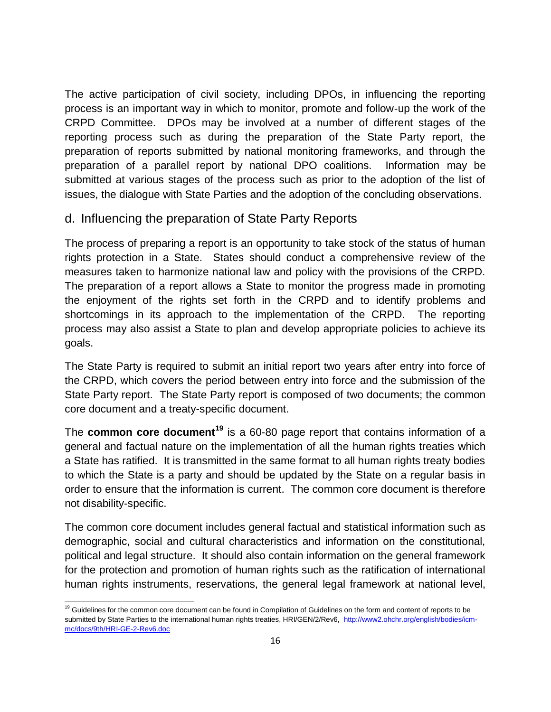The active participation of civil society, including DPOs, in influencing the reporting process is an important way in which to monitor, promote and follow-up the work of the CRPD Committee. DPOs may be involved at a number of different stages of the reporting process such as during the preparation of the State Party report, the preparation of reports submitted by national monitoring frameworks, and through the preparation of a parallel report by national DPO coalitions. Information may be submitted at various stages of the process such as prior to the adoption of the list of issues, the dialogue with State Parties and the adoption of the concluding observations.

#### d. Influencing the preparation of State Party Reports

The process of preparing a report is an opportunity to take stock of the status of human rights protection in a State. States should conduct a comprehensive review of the measures taken to harmonize national law and policy with the provisions of the CRPD. The preparation of a report allows a State to monitor the progress made in promoting the enjoyment of the rights set forth in the CRPD and to identify problems and shortcomings in its approach to the implementation of the CRPD. The reporting process may also assist a State to plan and develop appropriate policies to achieve its goals.

The State Party is required to submit an initial report two years after entry into force of the CRPD, which covers the period between entry into force and the submission of the State Party report. The State Party report is composed of two documents; the common core document and a treaty-specific document.

The **common core document<sup>19</sup>** is a 60-80 page report that contains information of a general and factual nature on the implementation of all the human rights treaties which a State has ratified. It is transmitted in the same format to all human rights treaty bodies to which the State is a party and should be updated by the State on a regular basis in order to ensure that the information is current. The common core document is therefore not disability-specific.

The common core document includes general factual and statistical information such as demographic, social and cultural characteristics and information on the constitutional, political and legal structure. It should also contain information on the general framework for the protection and promotion of human rights such as the ratification of international human rights instruments, reservations, the general legal framework at national level,

j <sup>19</sup> Guidelines for the common core document can be found in Compilation of Guidelines on the form and content of reports to be submitted by State Parties to the international human rights treaties, HRI/GEN/2/Rev6, [http://www2.ohchr.org/english/bodies/icm](http://www2.ohchr.org/english/bodies/icm-mc/docs/9th/HRI-GE-2-Rev6.doc)[mc/docs/9th/HRI-GE-2-Rev6.doc](http://www2.ohchr.org/english/bodies/icm-mc/docs/9th/HRI-GE-2-Rev6.doc)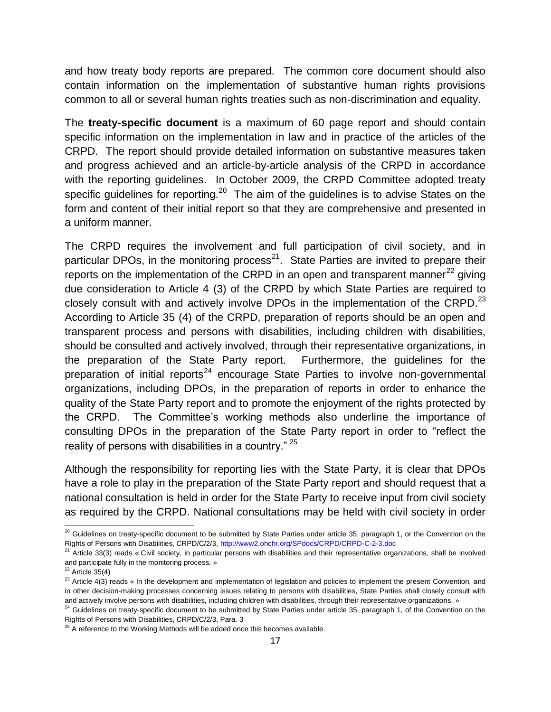and how treaty body reports are prepared. The common core document should also contain information on the implementation of substantive human rights provisions common to all or several human rights treaties such as non-discrimination and equality.

The **treaty-specific document** is a maximum of 60 page report and should contain specific information on the implementation in law and in practice of the articles of the CRPD. The report should provide detailed information on substantive measures taken and progress achieved and an article-by-article analysis of the CRPD in accordance with the reporting quidelines. In October 2009, the CRPD Committee adopted treaty specific guidelines for reporting.<sup>20</sup> The aim of the guidelines is to advise States on the form and content of their initial report so that they are comprehensive and presented in a uniform manner.

The CRPD requires the involvement and full participation of civil society, and in particular DPOs, in the monitoring process<sup>21</sup>. State Parties are invited to prepare their reports on the implementation of the CRPD in an open and transparent manner<sup>22</sup> giving due consideration to Article 4 (3) of the CRPD by which State Parties are required to closely consult with and actively involve DPOs in the implementation of the CRPD. $^{23}$ According to Article 35 (4) of the CRPD, preparation of reports should be an open and transparent process and persons with disabilities, including children with disabilities, should be consulted and actively involved, through their representative organizations, in the preparation of the State Party report. Furthermore, the guidelines for the preparation of initial reports<sup>24</sup> encourage State Parties to involve non-governmental organizations, including DPOs, in the preparation of reports in order to enhance the quality of the State Party report and to promote the enjoyment of the rights protected by the CRPD. The Committee's working methods also underline the importance of consulting DPOs in the preparation of the State Party report in order to "reflect the reality of persons with disabilities in a country." <sup>25</sup>

Although the responsibility for reporting lies with the State Party, it is clear that DPOs have a role to play in the preparation of the State Party report and should request that a national consultation is held in order for the State Party to receive input from civil society as required by the CRPD. National consultations may be held with civil society in order

 $\overline{a}$ 

 $^{20}$  Guidelines on treaty-specific document to be submitted by State Parties under article 35, paragraph 1, or the Convention on the Rights of Persons with Disabilities, CRPD/C/2/3,<http://www2.ohchr.org/SPdocs/CRPD/CRPD-C-2-3.doc>

<sup>&</sup>lt;sup>21</sup> Article 33(3) reads « Civil society, in particular persons with disabilities and their representative organizations, shall be involved and participate fully in the monitoring process. »

 $22$  Article 35(4)

<sup>&</sup>lt;sup>23</sup> Article 4(3) reads « In the development and implementation of legislation and policies to implement the present Convention, and in other decision-making processes concerning issues relating to persons with disabilities, State Parties shall closely consult with and actively involve persons with disabilities, including children with disabilities, through their representative organizations. »

<sup>&</sup>lt;sup>24</sup> Guidelines on treaty-specific document to be submitted by State Parties under article 35, paragraph 1, of the Convention on the Rights of Persons with Disabilities, CRPD/C/2/3, Para. 3

 $25$  A reference to the Working Methods will be added once this becomes available.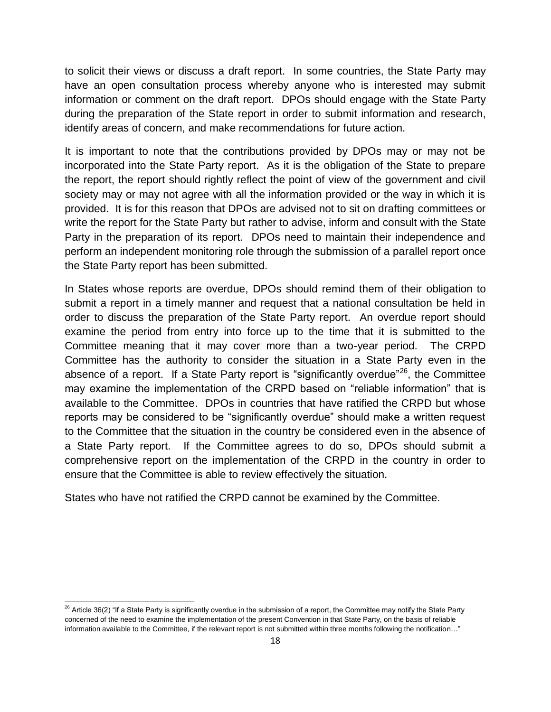to solicit their views or discuss a draft report. In some countries, the State Party may have an open consultation process whereby anyone who is interested may submit information or comment on the draft report. DPOs should engage with the State Party during the preparation of the State report in order to submit information and research, identify areas of concern, and make recommendations for future action.

It is important to note that the contributions provided by DPOs may or may not be incorporated into the State Party report. As it is the obligation of the State to prepare the report, the report should rightly reflect the point of view of the government and civil society may or may not agree with all the information provided or the way in which it is provided. It is for this reason that DPOs are advised not to sit on drafting committees or write the report for the State Party but rather to advise, inform and consult with the State Party in the preparation of its report. DPOs need to maintain their independence and perform an independent monitoring role through the submission of a parallel report once the State Party report has been submitted.

In States whose reports are overdue, DPOs should remind them of their obligation to submit a report in a timely manner and request that a national consultation be held in order to discuss the preparation of the State Party report. An overdue report should examine the period from entry into force up to the time that it is submitted to the Committee meaning that it may cover more than a two-year period. The CRPD Committee has the authority to consider the situation in a State Party even in the absence of a report. If a State Party report is "significantly overdue"<sup>26</sup>, the Committee may examine the implementation of the CRPD based on "reliable information" that is available to the Committee. DPOs in countries that have ratified the CRPD but whose reports may be considered to be "significantly overdue" should make a written request to the Committee that the situation in the country be considered even in the absence of a State Party report. If the Committee agrees to do so, DPOs should submit a comprehensive report on the implementation of the CRPD in the country in order to ensure that the Committee is able to review effectively the situation.

States who have not ratified the CRPD cannot be examined by the Committee.

j

 $^{26}$  Article 36(2) "If a State Party is significantly overdue in the submission of a report, the Committee may notify the State Party concerned of the need to examine the implementation of the present Convention in that State Party, on the basis of reliable information available to the Committee, if the relevant report is not submitted within three months following the notification…"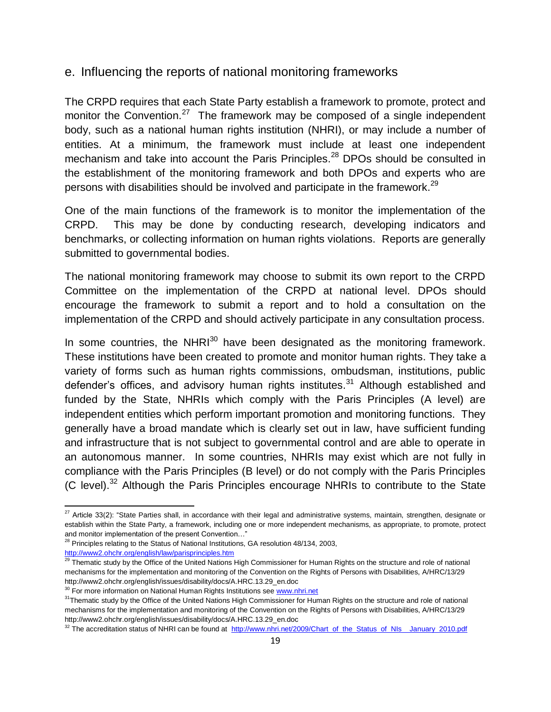#### e. Influencing the reports of national monitoring frameworks

The CRPD requires that each State Party establish a framework to promote, protect and monitor the Convention.<sup>27</sup> The framework may be composed of a single independent body, such as a national human rights institution (NHRI), or may include a number of entities. At a minimum, the framework must include at least one independent mechanism and take into account the Paris Principles.<sup>28</sup> DPOs should be consulted in the establishment of the monitoring framework and both DPOs and experts who are persons with disabilities should be involved and participate in the framework.<sup>29</sup>

One of the main functions of the framework is to monitor the implementation of the CRPD. This may be done by conducting research, developing indicators and benchmarks, or collecting information on human rights violations. Reports are generally submitted to governmental bodies.

The national monitoring framework may choose to submit its own report to the CRPD Committee on the implementation of the CRPD at national level. DPOs should encourage the framework to submit a report and to hold a consultation on the implementation of the CRPD and should actively participate in any consultation process.

In some countries, the NHR $I^{30}$  have been designated as the monitoring framework. These institutions have been created to promote and monitor human rights. They take a variety of forms such as human rights commissions, ombudsman, institutions, public defender's offices, and advisory human rights institutes.<sup>31</sup> Although established and funded by the State, NHRIs which comply with the Paris Principles (A level) are independent entities which perform important promotion and monitoring functions. They generally have a broad mandate which is clearly set out in law, have sufficient funding and infrastructure that is not subject to governmental control and are able to operate in an autonomous manner. In some countries, NHRIs may exist which are not fully in compliance with the Paris Principles (B level) or do not comply with the Paris Principles  $(C$  level).<sup>32</sup> Although the Paris Principles encourage NHRIs to contribute to the State

 $\overline{a}$ <sup>27</sup> Article 33(2): "State Parties shall, in accordance with their legal and administrative systems, maintain, strengthen, designate or establish within the State Party, a framework, including one or more independent mechanisms, as appropriate, to promote, protect and monitor implementation of the present Convention…"

 $28$  Principles relating to the Status of National Institutions, GA resolution 48/134, 2003, <http://www2.ohchr.org/english/law/parisprinciples.htm>

<sup>&</sup>lt;sup>29</sup> Thematic study by the Office of the United Nations High Commissioner for Human Rights on the structure and role of national mechanisms for the implementation and monitoring of the Convention on the Rights of Persons with Disabilities, A/HRC/13/29 [http://www2.ohchr.org/english/issues/disability/docs/A.HRC.13.29\\_en.doc](http://www2.ohchr.org/english/issues/disability/docs/A.HRC.13.29_en.doc)

<sup>&</sup>lt;sup>30</sup> For more information on National Human Rights Institutions see [www.nhri.net](http://www.nhri.net/)

<sup>&</sup>lt;sup>31</sup>Thematic study by the Office of the United Nations High Commissioner for Human Rights on the structure and role of national mechanisms for the implementation and monitoring of the Convention on the Rights of Persons with Disabilities, A/HRC/13/29 [http://www2.ohchr.org/english/issues/disability/docs/A.HRC.13.29\\_en.doc](http://www2.ohchr.org/english/issues/disability/docs/A.HRC.13.29_en.doc)

<sup>&</sup>lt;sup>32</sup> The accreditation status of NHRI can be found at [http://www.nhri.net/2009/Chart\\_of\\_the\\_Status\\_of\\_NIs\\_\\_January\\_2010.pdf](http://www.nhri.net/2009/Chart_of_the_Status_of_NIs__January_2010.pdf)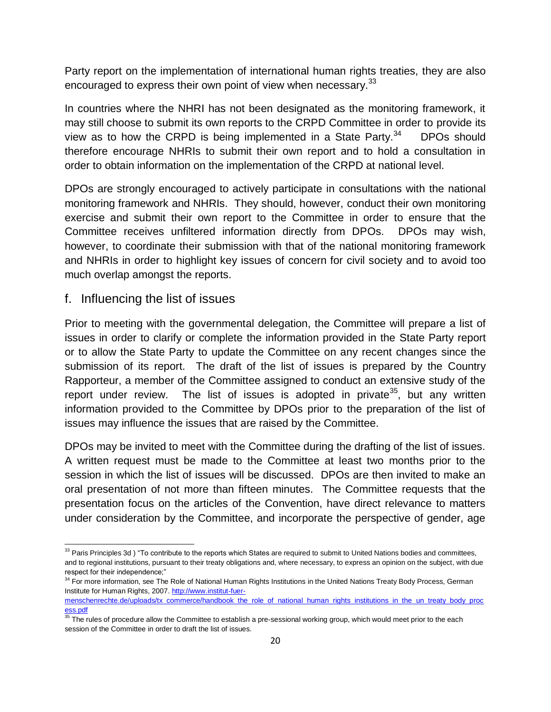Party report on the implementation of international human rights treaties, they are also encouraged to express their own point of view when necessary.<sup>33</sup>

In countries where the NHRI has not been designated as the monitoring framework, it may still choose to submit its own reports to the CRPD Committee in order to provide its view as to how the CRPD is being implemented in a State Party.<sup>34</sup> DPOs should therefore encourage NHRIs to submit their own report and to hold a consultation in order to obtain information on the implementation of the CRPD at national level.

DPOs are strongly encouraged to actively participate in consultations with the national monitoring framework and NHRIs. They should, however, conduct their own monitoring exercise and submit their own report to the Committee in order to ensure that the Committee receives unfiltered information directly from DPOs. DPOs may wish, however, to coordinate their submission with that of the national monitoring framework and NHRIs in order to highlight key issues of concern for civil society and to avoid too much overlap amongst the reports.

f. Influencing the list of issues

Prior to meeting with the governmental delegation, the Committee will prepare a list of issues in order to clarify or complete the information provided in the State Party report or to allow the State Party to update the Committee on any recent changes since the submission of its report. The draft of the list of issues is prepared by the Country Rapporteur, a member of the Committee assigned to conduct an extensive study of the report under review. The list of issues is adopted in private<sup>35</sup>, but any written information provided to the Committee by DPOs prior to the preparation of the list of issues may influence the issues that are raised by the Committee.

DPOs may be invited to meet with the Committee during the drafting of the list of issues. A written request must be made to the Committee at least two months prior to the session in which the list of issues will be discussed. DPOs are then invited to make an oral presentation of not more than fifteen minutes. The Committee requests that the presentation focus on the articles of the Convention, have direct relevance to matters under consideration by the Committee, and incorporate the perspective of gender, age

j  $33$  Paris Principles 3d) "To contribute to the reports which States are required to submit to United Nations bodies and committees, and to regional institutions, pursuant to their treaty obligations and, where necessary, to express an opinion on the subject, with due respect for their independence;"

<sup>&</sup>lt;sup>34</sup> For more information, see The Role of National Human Rights Institutions in the United Nations Treaty Body Process, German Institute for Human Rights, 2007. [http://www.institut-fuer-](http://www.institut-fuer-menschenrechte.de/uploads/tx_commerce/handbook_the_role_of_national_human_rights_institutions_in_the_un_treaty_body_process.pdf)

[menschenrechte.de/uploads/tx\\_commerce/handbook\\_the\\_role\\_of\\_national\\_human\\_rights\\_institutions\\_in\\_the\\_un\\_treaty\\_body\\_proc](http://www.institut-fuer-menschenrechte.de/uploads/tx_commerce/handbook_the_role_of_national_human_rights_institutions_in_the_un_treaty_body_process.pdf) [ess.pdf](http://www.institut-fuer-menschenrechte.de/uploads/tx_commerce/handbook_the_role_of_national_human_rights_institutions_in_the_un_treaty_body_process.pdf)

 $\overline{\text{35}}$  The rules of procedure allow the Committee to establish a pre-sessional working group, which would meet prior to the each session of the Committee in order to draft the list of issues.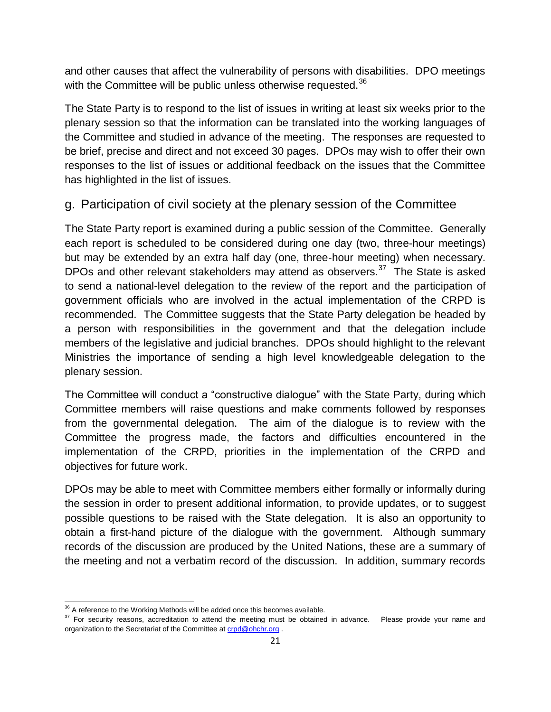and other causes that affect the vulnerability of persons with disabilities. DPO meetings with the Committee will be public unless otherwise requested.<sup>36</sup>

The State Party is to respond to the list of issues in writing at least six weeks prior to the plenary session so that the information can be translated into the working languages of the Committee and studied in advance of the meeting. The responses are requested to be brief, precise and direct and not exceed 30 pages. DPOs may wish to offer their own responses to the list of issues or additional feedback on the issues that the Committee has highlighted in the list of issues.

#### g. Participation of civil society at the plenary session of the Committee

The State Party report is examined during a public session of the Committee. Generally each report is scheduled to be considered during one day (two, three-hour meetings) but may be extended by an extra half day (one, three-hour meeting) when necessary. DPOs and other relevant stakeholders may attend as observers. $37$  The State is asked to send a national-level delegation to the review of the report and the participation of government officials who are involved in the actual implementation of the CRPD is recommended. The Committee suggests that the State Party delegation be headed by a person with responsibilities in the government and that the delegation include members of the legislative and judicial branches. DPOs should highlight to the relevant Ministries the importance of sending a high level knowledgeable delegation to the plenary session.

The Committee will conduct a "constructive dialogue" with the State Party, during which Committee members will raise questions and make comments followed by responses from the governmental delegation. The aim of the dialogue is to review with the Committee the progress made, the factors and difficulties encountered in the implementation of the CRPD, priorities in the implementation of the CRPD and objectives for future work.

DPOs may be able to meet with Committee members either formally or informally during the session in order to present additional information, to provide updates, or to suggest possible questions to be raised with the State delegation. It is also an opportunity to obtain a first-hand picture of the dialogue with the government. Although summary records of the discussion are produced by the United Nations, these are a summary of the meeting and not a verbatim record of the discussion. In addition, summary records

j  $36$  A reference to the Working Methods will be added once this becomes available.

<sup>&</sup>lt;sup>37</sup> For security reasons, accreditation to attend the meeting must be obtained in advance. Please provide your name and organization to the Secretariat of the Committee at [crpd@ohchr.org](mailto:crpd@ohchr.org).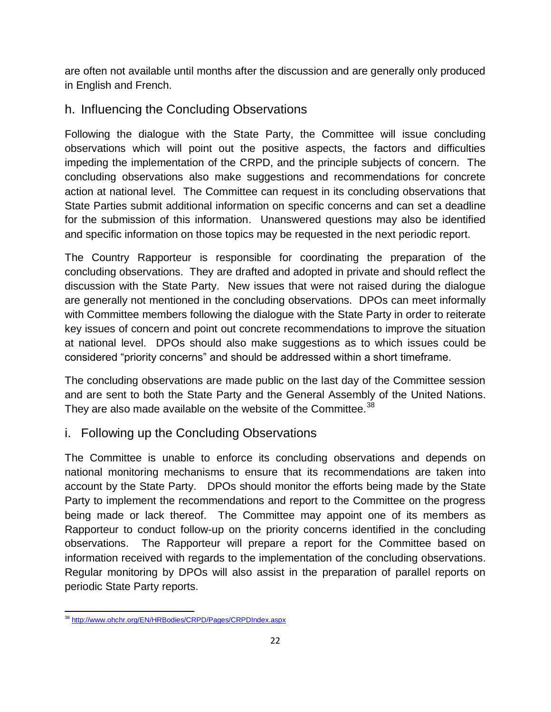are often not available until months after the discussion and are generally only produced in English and French.

#### h. Influencing the Concluding Observations

Following the dialogue with the State Party, the Committee will issue concluding observations which will point out the positive aspects, the factors and difficulties impeding the implementation of the CRPD, and the principle subjects of concern. The concluding observations also make suggestions and recommendations for concrete action at national level. The Committee can request in its concluding observations that State Parties submit additional information on specific concerns and can set a deadline for the submission of this information. Unanswered questions may also be identified and specific information on those topics may be requested in the next periodic report.

The Country Rapporteur is responsible for coordinating the preparation of the concluding observations. They are drafted and adopted in private and should reflect the discussion with the State Party. New issues that were not raised during the dialogue are generally not mentioned in the concluding observations. DPOs can meet informally with Committee members following the dialogue with the State Party in order to reiterate key issues of concern and point out concrete recommendations to improve the situation at national level. DPOs should also make suggestions as to which issues could be considered "priority concerns" and should be addressed within a short timeframe.

The concluding observations are made public on the last day of the Committee session and are sent to both the State Party and the General Assembly of the United Nations. They are also made available on the website of the Committee.<sup>38</sup>

#### i. Following up the Concluding Observations

The Committee is unable to enforce its concluding observations and depends on national monitoring mechanisms to ensure that its recommendations are taken into account by the State Party. DPOs should monitor the efforts being made by the State Party to implement the recommendations and report to the Committee on the progress being made or lack thereof. The Committee may appoint one of its members as Rapporteur to conduct follow-up on the priority concerns identified in the concluding observations. The Rapporteur will prepare a report for the Committee based on information received with regards to the implementation of the concluding observations. Regular monitoring by DPOs will also assist in the preparation of parallel reports on periodic State Party reports.

 $\overline{a}$ <sup>38</sup> <http://www.ohchr.org/EN/HRBodies/CRPD/Pages/CRPDIndex.aspx>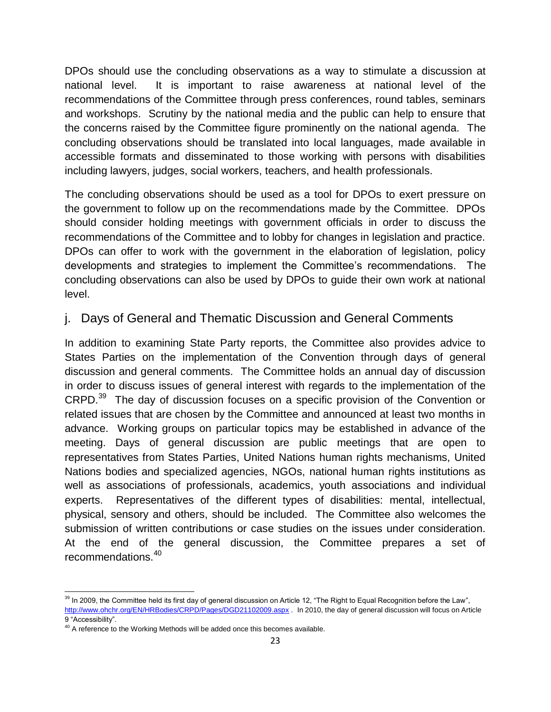DPOs should use the concluding observations as a way to stimulate a discussion at national level. It is important to raise awareness at national level of the recommendations of the Committee through press conferences, round tables, seminars and workshops. Scrutiny by the national media and the public can help to ensure that the concerns raised by the Committee figure prominently on the national agenda. The concluding observations should be translated into local languages, made available in accessible formats and disseminated to those working with persons with disabilities including lawyers, judges, social workers, teachers, and health professionals.

The concluding observations should be used as a tool for DPOs to exert pressure on the government to follow up on the recommendations made by the Committee. DPOs should consider holding meetings with government officials in order to discuss the recommendations of the Committee and to lobby for changes in legislation and practice. DPOs can offer to work with the government in the elaboration of legislation, policy developments and strategies to implement the Committee's recommendations. The concluding observations can also be used by DPOs to guide their own work at national level.

#### j. Days of General and Thematic Discussion and General Comments

In addition to examining State Party reports, the Committee also provides advice to States Parties on the implementation of the Convention through days of general discussion and general comments. The Committee holds an annual day of discussion in order to discuss issues of general interest with regards to the implementation of the CRPD.<sup>39</sup> The day of discussion focuses on a specific provision of the Convention or related issues that are chosen by the Committee and announced at least two months in advance. Working groups on particular topics may be established in advance of the meeting. Days of general discussion are public meetings that are open to representatives from States Parties, United Nations human rights mechanisms, United Nations bodies and specialized agencies, NGOs, national human rights institutions as well as associations of professionals, academics, youth associations and individual experts. Representatives of the different types of disabilities: mental, intellectual, physical, sensory and others, should be included. The Committee also welcomes the submission of written contributions or case studies on the issues under consideration. At the end of the general discussion, the Committee prepares a set of recommendations.<sup>40</sup>

 $\overline{a}$  $39$  In 2009, the Committee held its first day of general discussion on Article 12, "The Right to Equal Recognition before the Law", <http://www.ohchr.org/EN/HRBodies/CRPD/Pages/DGD21102009.aspx> . In 2010, the day of general discussion will focus on Article 9 "Accessibility".

<sup>&</sup>lt;sup>40</sup> A reference to the Working Methods will be added once this becomes available.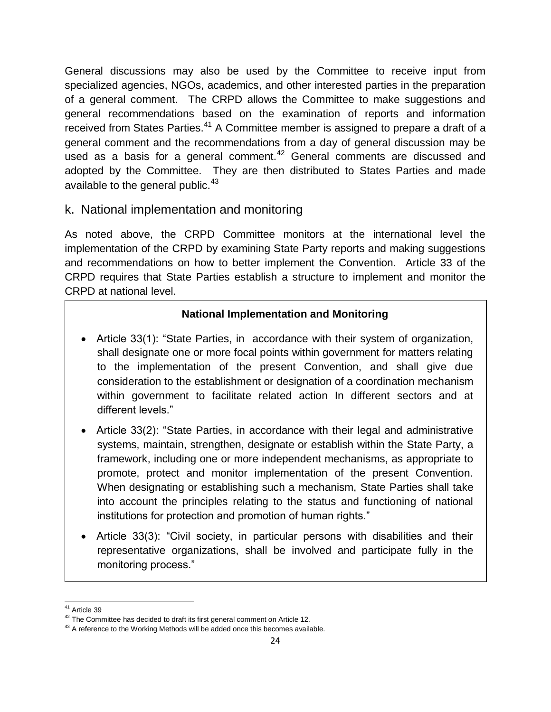General discussions may also be used by the Committee to receive input from specialized agencies, NGOs, academics, and other interested parties in the preparation of a general comment. The CRPD allows the Committee to make suggestions and general recommendations based on the examination of reports and information received from States Parties.<sup>41</sup> A Committee member is assigned to prepare a draft of a general comment and the recommendations from a day of general discussion may be used as a basis for a general comment.<sup>42</sup> General comments are discussed and adopted by the Committee. They are then distributed to States Parties and made available to the general public. $43$ 

#### k. National implementation and monitoring

As noted above, the CRPD Committee monitors at the international level the implementation of the CRPD by examining State Party reports and making suggestions and recommendations on how to better implement the Convention. Article 33 of the CRPD requires that State Parties establish a structure to implement and monitor the CRPD at national level.

#### **National Implementation and Monitoring**

- Article 33(1): "State Parties, in accordance with their system of organization, shall designate one or more focal points within government for matters relating to the implementation of the present Convention, and shall give due consideration to the establishment or designation of a coordination mechanism within government to facilitate related action In different sectors and at different levels."
- Article 33(2): "State Parties, in accordance with their legal and administrative systems, maintain, strengthen, designate or establish within the State Party, a framework, including one or more independent mechanisms, as appropriate to promote, protect and monitor implementation of the present Convention. When designating or establishing such a mechanism, State Parties shall take into account the principles relating to the status and functioning of national institutions for protection and promotion of human rights."
- Article 33(3): "Civil society, in particular persons with disabilities and their representative organizations, shall be involved and participate fully in the monitoring process."

j <sup>41</sup> Article 39

 $42$  The Committee has decided to draft its first general comment on Article 12.

 $43$  A reference to the Working Methods will be added once this becomes available.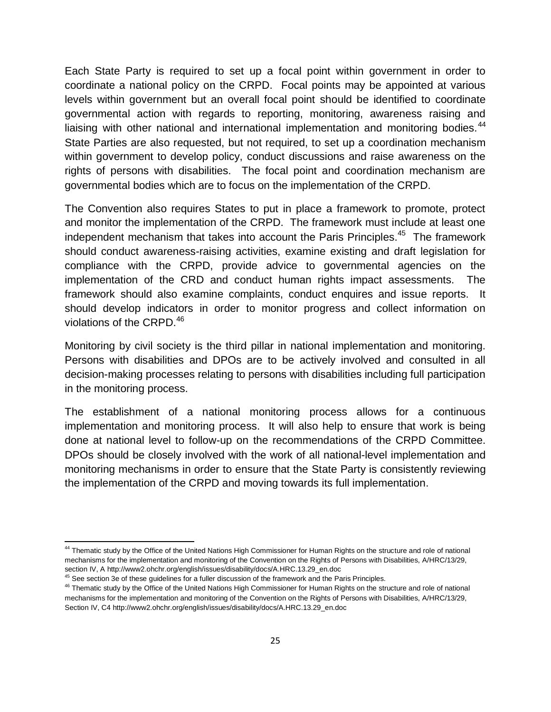Each State Party is required to set up a focal point within government in order to coordinate a national policy on the CRPD. Focal points may be appointed at various levels within government but an overall focal point should be identified to coordinate governmental action with regards to reporting, monitoring, awareness raising and liaising with other national and international implementation and monitoring bodies.<sup>44</sup> State Parties are also requested, but not required, to set up a coordination mechanism within government to develop policy, conduct discussions and raise awareness on the rights of persons with disabilities. The focal point and coordination mechanism are governmental bodies which are to focus on the implementation of the CRPD.

The Convention also requires States to put in place a framework to promote, protect and monitor the implementation of the CRPD. The framework must include at least one independent mechanism that takes into account the Paris Principles.<sup>45</sup> The framework should conduct awareness-raising activities, examine existing and draft legislation for compliance with the CRPD, provide advice to governmental agencies on the implementation of the CRD and conduct human rights impact assessments. The framework should also examine complaints, conduct enquires and issue reports. It should develop indicators in order to monitor progress and collect information on violations of the CRPD.<sup>46</sup>

Monitoring by civil society is the third pillar in national implementation and monitoring. Persons with disabilities and DPOs are to be actively involved and consulted in all decision-making processes relating to persons with disabilities including full participation in the monitoring process.

The establishment of a national monitoring process allows for a continuous implementation and monitoring process. It will also help to ensure that work is being done at national level to follow-up on the recommendations of the CRPD Committee. DPOs should be closely involved with the work of all national-level implementation and monitoring mechanisms in order to ensure that the State Party is consistently reviewing the implementation of the CRPD and moving towards its full implementation.

l

<sup>&</sup>lt;sup>44</sup> Thematic study by the Office of the United Nations High Commissioner for Human Rights on the structure and role of national mechanisms for the implementation and monitoring of the Convention on the Rights of Persons with Disabilities, A/HRC/13/29, section IV, A http://www2.ohchr.org/english/issues/disability/docs/A.HRC.13.29\_en.doc

<sup>&</sup>lt;sup>45</sup> See section 3e of these guidelines for a fuller discussion of the framework and the Paris Principles.

<sup>&</sup>lt;sup>46</sup> Thematic study by the Office of the United Nations High Commissioner for Human Rights on the structure and role of national mechanisms for the implementation and monitoring of the Convention on the Rights of Persons with Disabilities, A/HRC/13/29, Section IV, C4 http://www2.ohchr.org/english/issues/disability/docs/A.HRC.13.29\_en.doc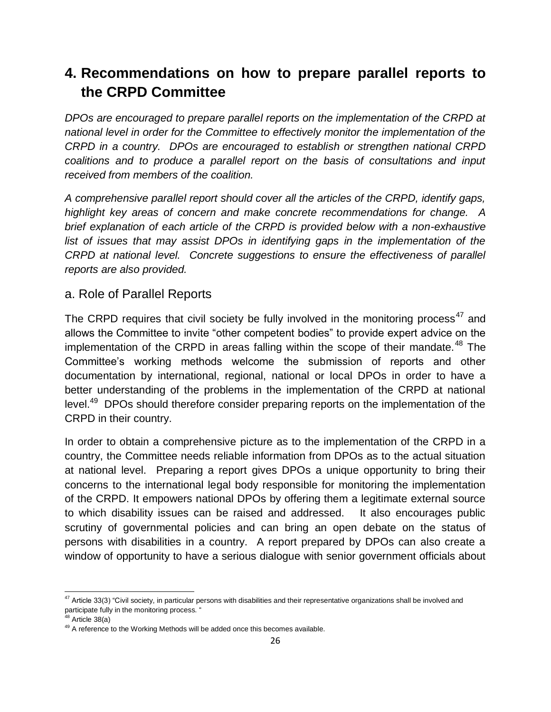# **4. Recommendations on how to prepare parallel reports to the CRPD Committee**

*DPOs are encouraged to prepare parallel reports on the implementation of the CRPD at national level in order for the Committee to effectively monitor the implementation of the CRPD in a country. DPOs are encouraged to establish or strengthen national CRPD coalitions and to produce a parallel report on the basis of consultations and input received from members of the coalition.*

*A comprehensive parallel report should cover all the articles of the CRPD, identify gaps, highlight key areas of concern and make concrete recommendations for change. A brief explanation of each article of the CRPD is provided below with a non-exhaustive list of issues that may assist DPOs in identifying gaps in the implementation of the CRPD at national level. Concrete suggestions to ensure the effectiveness of parallel reports are also provided.*

#### a. Role of Parallel Reports

The CRPD requires that civil society be fully involved in the monitoring process<sup>47</sup> and allows the Committee to invite "other competent bodies" to provide expert advice on the implementation of the CRPD in areas falling within the scope of their mandate.<sup>48</sup> The Committee's working methods welcome the submission of reports and other documentation by international, regional, national or local DPOs in order to have a better understanding of the problems in the implementation of the CRPD at national level.<sup>49</sup> DPOs should therefore consider preparing reports on the implementation of the CRPD in their country.

In order to obtain a comprehensive picture as to the implementation of the CRPD in a country, the Committee needs reliable information from DPOs as to the actual situation at national level. Preparing a report gives DPOs a unique opportunity to bring their concerns to the international legal body responsible for monitoring the implementation of the CRPD. It empowers national DPOs by offering them a legitimate external source to which disability issues can be raised and addressed. It also encourages public scrutiny of governmental policies and can bring an open debate on the status of persons with disabilities in a country. A report prepared by DPOs can also create a window of opportunity to have a serious dialogue with senior government officials about

 $\overline{a}$  $47$  Article 33(3) "Civil society, in particular persons with disabilities and their representative organizations shall be involved and participate fully in the monitoring process. "

 $8$  Article 38(a)

 $49$  A reference to the Working Methods will be added once this becomes available.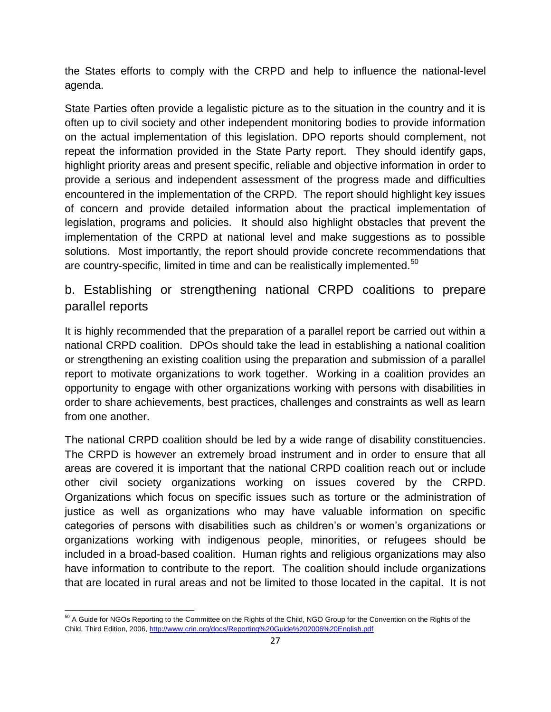the States efforts to comply with the CRPD and help to influence the national-level agenda.

State Parties often provide a legalistic picture as to the situation in the country and it is often up to civil society and other independent monitoring bodies to provide information on the actual implementation of this legislation. DPO reports should complement, not repeat the information provided in the State Party report. They should identify gaps, highlight priority areas and present specific, reliable and objective information in order to provide a serious and independent assessment of the progress made and difficulties encountered in the implementation of the CRPD. The report should highlight key issues of concern and provide detailed information about the practical implementation of legislation, programs and policies. It should also highlight obstacles that prevent the implementation of the CRPD at national level and make suggestions as to possible solutions. Most importantly, the report should provide concrete recommendations that are country-specific, limited in time and can be realistically implemented.<sup>50</sup>

#### b. Establishing or strengthening national CRPD coalitions to prepare parallel reports

It is highly recommended that the preparation of a parallel report be carried out within a national CRPD coalition. DPOs should take the lead in establishing a national coalition or strengthening an existing coalition using the preparation and submission of a parallel report to motivate organizations to work together. Working in a coalition provides an opportunity to engage with other organizations working with persons with disabilities in order to share achievements, best practices, challenges and constraints as well as learn from one another.

The national CRPD coalition should be led by a wide range of disability constituencies. The CRPD is however an extremely broad instrument and in order to ensure that all areas are covered it is important that the national CRPD coalition reach out or include other civil society organizations working on issues covered by the CRPD. Organizations which focus on specific issues such as torture or the administration of justice as well as organizations who may have valuable information on specific categories of persons with disabilities such as children's or women's organizations or organizations working with indigenous people, minorities, or refugees should be included in a broad-based coalition. Human rights and religious organizations may also have information to contribute to the report. The coalition should include organizations that are located in rural areas and not be limited to those located in the capital. It is not

 $\overline{a}$ <sup>50</sup> A Guide for NGOs Reporting to the Committee on the Rights of the Child, NGO Group for the Convention on the Rights of the Child, Third Edition, 2006,<http://www.crin.org/docs/Reporting%20Guide%202006%20English.pdf>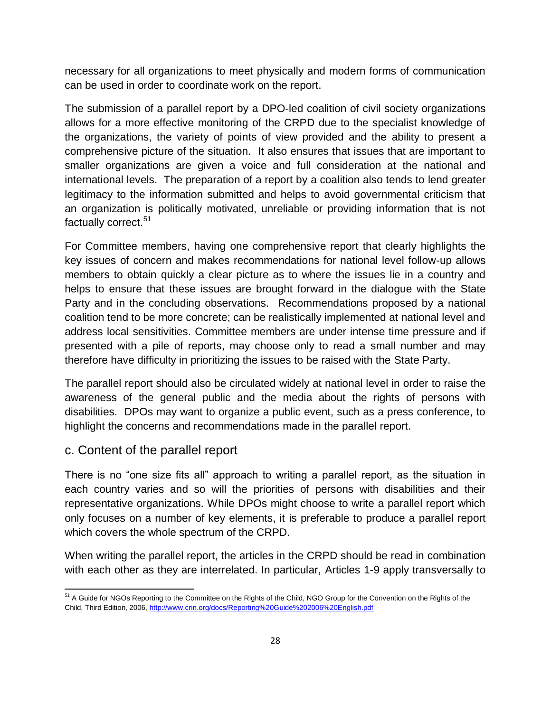necessary for all organizations to meet physically and modern forms of communication can be used in order to coordinate work on the report.

The submission of a parallel report by a DPO-led coalition of civil society organizations allows for a more effective monitoring of the CRPD due to the specialist knowledge of the organizations, the variety of points of view provided and the ability to present a comprehensive picture of the situation. It also ensures that issues that are important to smaller organizations are given a voice and full consideration at the national and international levels. The preparation of a report by a coalition also tends to lend greater legitimacy to the information submitted and helps to avoid governmental criticism that an organization is politically motivated, unreliable or providing information that is not factually correct.<sup>51</sup>

For Committee members, having one comprehensive report that clearly highlights the key issues of concern and makes recommendations for national level follow-up allows members to obtain quickly a clear picture as to where the issues lie in a country and helps to ensure that these issues are brought forward in the dialogue with the State Party and in the concluding observations. Recommendations proposed by a national coalition tend to be more concrete; can be realistically implemented at national level and address local sensitivities. Committee members are under intense time pressure and if presented with a pile of reports, may choose only to read a small number and may therefore have difficulty in prioritizing the issues to be raised with the State Party.

The parallel report should also be circulated widely at national level in order to raise the awareness of the general public and the media about the rights of persons with disabilities. DPOs may want to organize a public event, such as a press conference, to highlight the concerns and recommendations made in the parallel report.

#### c. Content of the parallel report

There is no "one size fits all" approach to writing a parallel report, as the situation in each country varies and so will the priorities of persons with disabilities and their representative organizations. While DPOs might choose to write a parallel report which only focuses on a number of key elements, it is preferable to produce a parallel report which covers the whole spectrum of the CRPD.

When writing the parallel report, the articles in the CRPD should be read in combination with each other as they are interrelated. In particular, Articles 1-9 apply transversally to

 $\overline{a}$ <sup>51</sup> A Guide for NGOs Reporting to the Committee on the Rights of the Child, NGO Group for the Convention on the Rights of the Child, Third Edition, 2006,<http://www.crin.org/docs/Reporting%20Guide%202006%20English.pdf>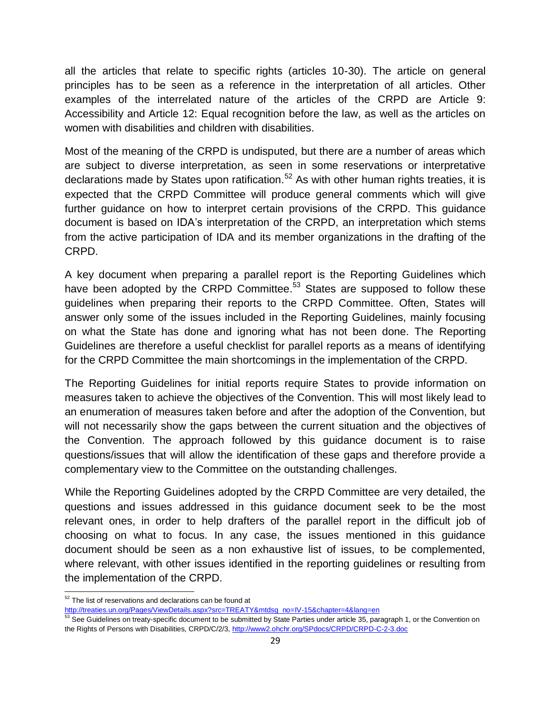all the articles that relate to specific rights (articles 10-30). The article on general principles has to be seen as a reference in the interpretation of all articles. Other examples of the interrelated nature of the articles of the CRPD are Article 9: Accessibility and Article 12: Equal recognition before the law, as well as the articles on women with disabilities and children with disabilities.

Most of the meaning of the CRPD is undisputed, but there are a number of areas which are subject to diverse interpretation, as seen in some reservations or interpretative declarations made by States upon ratification.<sup>52</sup> As with other human rights treaties, it is expected that the CRPD Committee will produce general comments which will give further guidance on how to interpret certain provisions of the CRPD. This guidance document is based on IDA's interpretation of the CRPD, an interpretation which stems from the active participation of IDA and its member organizations in the drafting of the CRPD.

A key document when preparing a parallel report is the Reporting Guidelines which have been adopted by the CRPD Committee.<sup>53</sup> States are supposed to follow these guidelines when preparing their reports to the CRPD Committee. Often, States will answer only some of the issues included in the Reporting Guidelines, mainly focusing on what the State has done and ignoring what has not been done. The Reporting Guidelines are therefore a useful checklist for parallel reports as a means of identifying for the CRPD Committee the main shortcomings in the implementation of the CRPD.

The Reporting Guidelines for initial reports require States to provide information on measures taken to achieve the objectives of the Convention. This will most likely lead to an enumeration of measures taken before and after the adoption of the Convention, but will not necessarily show the gaps between the current situation and the objectives of the Convention. The approach followed by this guidance document is to raise questions/issues that will allow the identification of these gaps and therefore provide a complementary view to the Committee on the outstanding challenges.

While the Reporting Guidelines adopted by the CRPD Committee are very detailed, the questions and issues addressed in this guidance document seek to be the most relevant ones, in order to help drafters of the parallel report in the difficult job of choosing on what to focus. In any case, the issues mentioned in this guidance document should be seen as a non exhaustive list of issues, to be complemented, where relevant, with other issues identified in the reporting guidelines or resulting from the implementation of the CRPD.

 $\overline{a}$  $52$  The list of reservations and declarations can be found at

[http://treaties.un.org/Pages/ViewDetails.aspx?src=TREATY&mtdsg\\_no=IV-15&chapter=4&lang=en](http://treaties.un.org/Pages/ViewDetails.aspx?src=TREATY&mtdsg_no=IV-15&chapter=4&lang=en)

<sup>53</sup> See Guidelines on treaty-specific document to be submitted by State Parties under article 35, paragraph 1, or the Convention on the Rights of Persons with Disabilities, CRPD/C/2/3,<http://www2.ohchr.org/SPdocs/CRPD/CRPD-C-2-3.doc>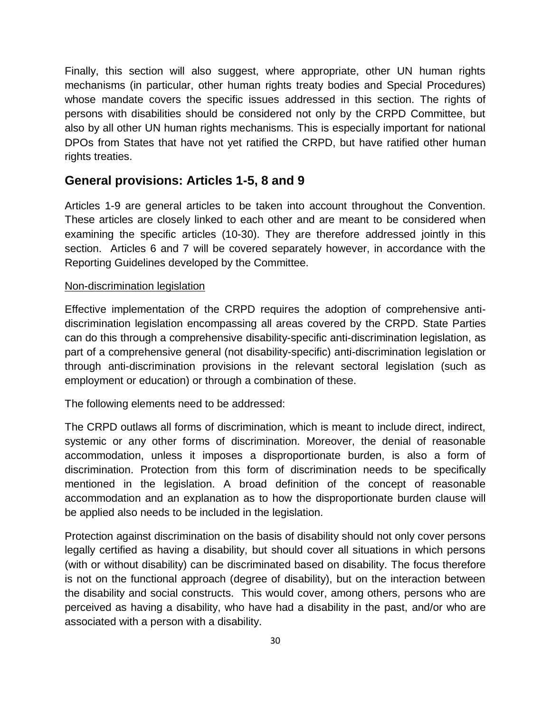Finally, this section will also suggest, where appropriate, other UN human rights mechanisms (in particular, other human rights treaty bodies and Special Procedures) whose mandate covers the specific issues addressed in this section. The rights of persons with disabilities should be considered not only by the CRPD Committee, but also by all other UN human rights mechanisms. This is especially important for national DPOs from States that have not yet ratified the CRPD, but have ratified other human rights treaties.

#### **General provisions: Articles 1-5, 8 and 9**

Articles 1-9 are general articles to be taken into account throughout the Convention. These articles are closely linked to each other and are meant to be considered when examining the specific articles (10-30). They are therefore addressed jointly in this section. Articles 6 and 7 will be covered separately however, in accordance with the Reporting Guidelines developed by the Committee.

#### Non-discrimination legislation

Effective implementation of the CRPD requires the adoption of comprehensive antidiscrimination legislation encompassing all areas covered by the CRPD. State Parties can do this through a comprehensive disability-specific anti-discrimination legislation, as part of a comprehensive general (not disability-specific) anti-discrimination legislation or through anti-discrimination provisions in the relevant sectoral legislation (such as employment or education) or through a combination of these.

The following elements need to be addressed:

The CRPD outlaws all forms of discrimination, which is meant to include direct, indirect, systemic or any other forms of discrimination. Moreover, the denial of reasonable accommodation, unless it imposes a disproportionate burden, is also a form of discrimination. Protection from this form of discrimination needs to be specifically mentioned in the legislation. A broad definition of the concept of reasonable accommodation and an explanation as to how the disproportionate burden clause will be applied also needs to be included in the legislation.

Protection against discrimination on the basis of disability should not only cover persons legally certified as having a disability, but should cover all situations in which persons (with or without disability) can be discriminated based on disability. The focus therefore is not on the functional approach (degree of disability), but on the interaction between the disability and social constructs. This would cover, among others, persons who are perceived as having a disability, who have had a disability in the past, and/or who are associated with a person with a disability.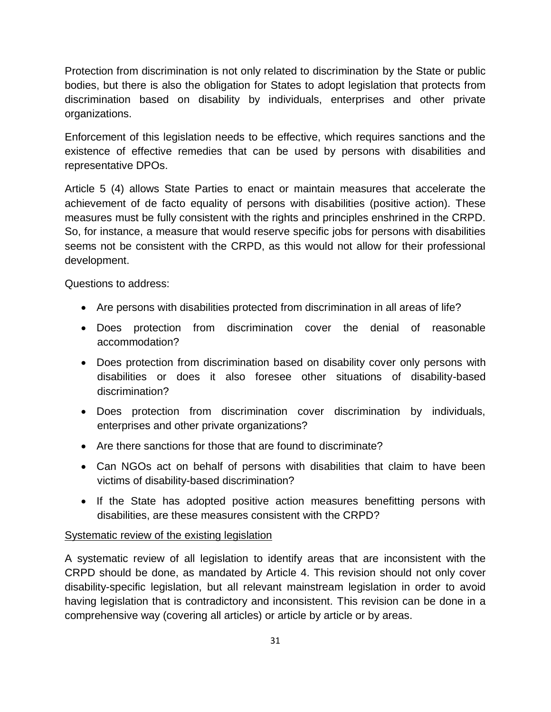Protection from discrimination is not only related to discrimination by the State or public bodies, but there is also the obligation for States to adopt legislation that protects from discrimination based on disability by individuals, enterprises and other private organizations.

Enforcement of this legislation needs to be effective, which requires sanctions and the existence of effective remedies that can be used by persons with disabilities and representative DPOs.

Article 5 (4) allows State Parties to enact or maintain measures that accelerate the achievement of de facto equality of persons with disabilities (positive action). These measures must be fully consistent with the rights and principles enshrined in the CRPD. So, for instance, a measure that would reserve specific jobs for persons with disabilities seems not be consistent with the CRPD, as this would not allow for their professional development.

Questions to address:

- Are persons with disabilities protected from discrimination in all areas of life?
- Does protection from discrimination cover the denial of reasonable accommodation?
- Does protection from discrimination based on disability cover only persons with disabilities or does it also foresee other situations of disability-based discrimination?
- Does protection from discrimination cover discrimination by individuals, enterprises and other private organizations?
- Are there sanctions for those that are found to discriminate?
- Can NGOs act on behalf of persons with disabilities that claim to have been victims of disability-based discrimination?
- If the State has adopted positive action measures benefitting persons with disabilities, are these measures consistent with the CRPD?

#### Systematic review of the existing legislation

A systematic review of all legislation to identify areas that are inconsistent with the CRPD should be done, as mandated by Article 4. This revision should not only cover disability-specific legislation, but all relevant mainstream legislation in order to avoid having legislation that is contradictory and inconsistent. This revision can be done in a comprehensive way (covering all articles) or article by article or by areas.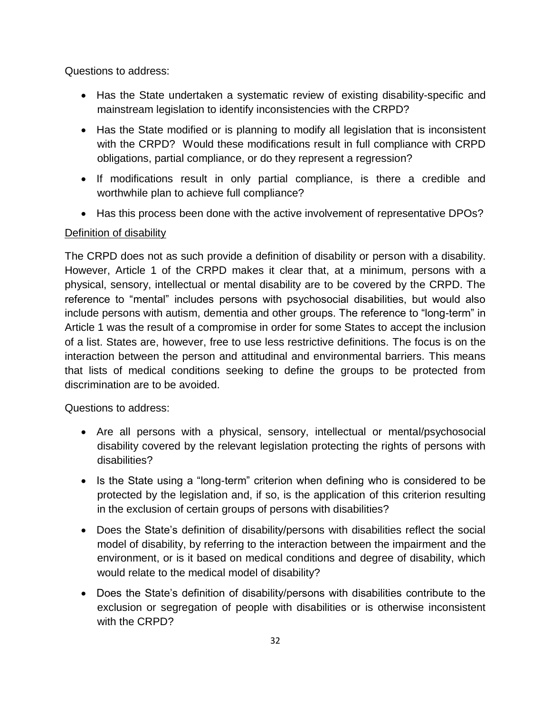Questions to address:

- Has the State undertaken a systematic review of existing disability-specific and mainstream legislation to identify inconsistencies with the CRPD?
- Has the State modified or is planning to modify all legislation that is inconsistent with the CRPD? Would these modifications result in full compliance with CRPD obligations, partial compliance, or do they represent a regression?
- If modifications result in only partial compliance, is there a credible and worthwhile plan to achieve full compliance?
- Has this process been done with the active involvement of representative DPOs?

#### Definition of disability

The CRPD does not as such provide a definition of disability or person with a disability. However, Article 1 of the CRPD makes it clear that, at a minimum, persons with a physical, sensory, intellectual or mental disability are to be covered by the CRPD. The reference to "mental" includes persons with psychosocial disabilities, but would also include persons with autism, dementia and other groups. The reference to "long-term" in Article 1 was the result of a compromise in order for some States to accept the inclusion of a list. States are, however, free to use less restrictive definitions. The focus is on the interaction between the person and attitudinal and environmental barriers. This means that lists of medical conditions seeking to define the groups to be protected from discrimination are to be avoided.

Questions to address:

- Are all persons with a physical, sensory, intellectual or mental/psychosocial disability covered by the relevant legislation protecting the rights of persons with disabilities?
- Is the State using a "long-term" criterion when defining who is considered to be protected by the legislation and, if so, is the application of this criterion resulting in the exclusion of certain groups of persons with disabilities?
- Does the State's definition of disability/persons with disabilities reflect the social model of disability, by referring to the interaction between the impairment and the environment, or is it based on medical conditions and degree of disability, which would relate to the medical model of disability?
- Does the State's definition of disability/persons with disabilities contribute to the exclusion or segregation of people with disabilities or is otherwise inconsistent with the CRPD?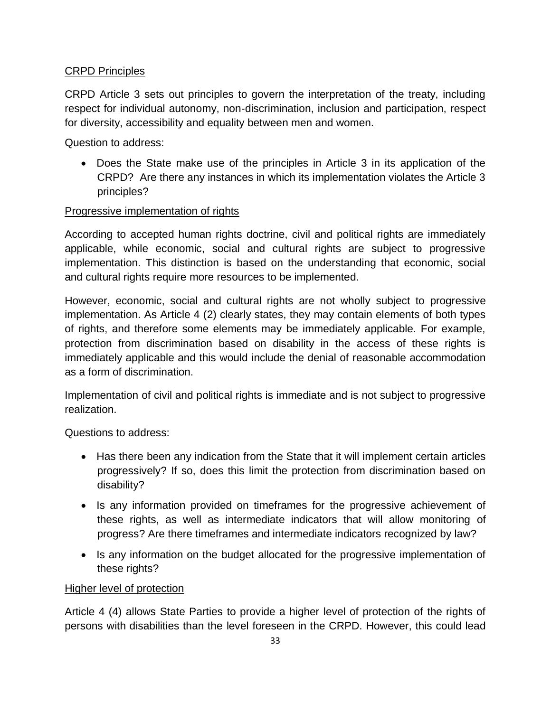#### CRPD Principles

CRPD Article 3 sets out principles to govern the interpretation of the treaty, including respect for individual autonomy, non-discrimination, inclusion and participation, respect for diversity, accessibility and equality between men and women.

Question to address:

 Does the State make use of the principles in Article 3 in its application of the CRPD? Are there any instances in which its implementation violates the Article 3 principles?

#### Progressive implementation of rights

According to accepted human rights doctrine, civil and political rights are immediately applicable, while economic, social and cultural rights are subject to progressive implementation. This distinction is based on the understanding that economic, social and cultural rights require more resources to be implemented.

However, economic, social and cultural rights are not wholly subject to progressive implementation. As Article 4 (2) clearly states, they may contain elements of both types of rights, and therefore some elements may be immediately applicable. For example, protection from discrimination based on disability in the access of these rights is immediately applicable and this would include the denial of reasonable accommodation as a form of discrimination.

Implementation of civil and political rights is immediate and is not subject to progressive realization.

Questions to address:

- Has there been any indication from the State that it will implement certain articles progressively? If so, does this limit the protection from discrimination based on disability?
- Is any information provided on timeframes for the progressive achievement of these rights, as well as intermediate indicators that will allow monitoring of progress? Are there timeframes and intermediate indicators recognized by law?
- Is any information on the budget allocated for the progressive implementation of these rights?

#### Higher level of protection

Article 4 (4) allows State Parties to provide a higher level of protection of the rights of persons with disabilities than the level foreseen in the CRPD. However, this could lead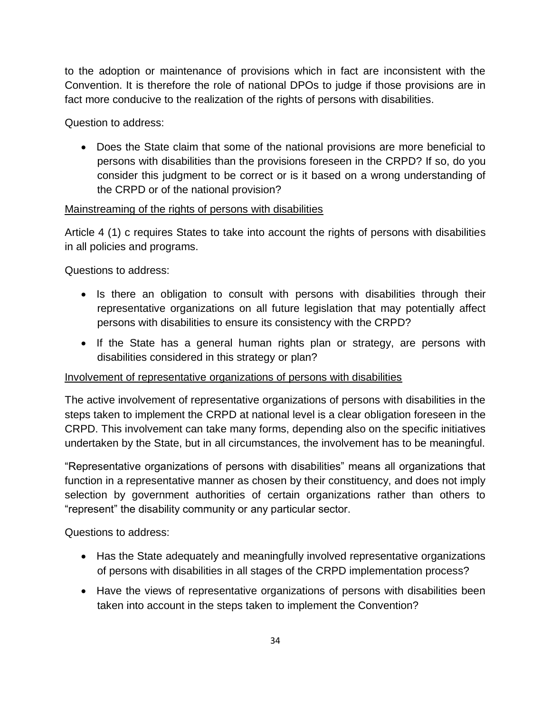to the adoption or maintenance of provisions which in fact are inconsistent with the Convention. It is therefore the role of national DPOs to judge if those provisions are in fact more conducive to the realization of the rights of persons with disabilities.

Question to address:

 Does the State claim that some of the national provisions are more beneficial to persons with disabilities than the provisions foreseen in the CRPD? If so, do you consider this judgment to be correct or is it based on a wrong understanding of the CRPD or of the national provision?

#### Mainstreaming of the rights of persons with disabilities

Article 4 (1) c requires States to take into account the rights of persons with disabilities in all policies and programs.

Questions to address:

- Is there an obligation to consult with persons with disabilities through their representative organizations on all future legislation that may potentially affect persons with disabilities to ensure its consistency with the CRPD?
- If the State has a general human rights plan or strategy, are persons with disabilities considered in this strategy or plan?

#### Involvement of representative organizations of persons with disabilities

The active involvement of representative organizations of persons with disabilities in the steps taken to implement the CRPD at national level is a clear obligation foreseen in the CRPD. This involvement can take many forms, depending also on the specific initiatives undertaken by the State, but in all circumstances, the involvement has to be meaningful.

"Representative organizations of persons with disabilities" means all organizations that function in a representative manner as chosen by their constituency, and does not imply selection by government authorities of certain organizations rather than others to "represent" the disability community or any particular sector.

Questions to address:

- Has the State adequately and meaningfully involved representative organizations of persons with disabilities in all stages of the CRPD implementation process?
- Have the views of representative organizations of persons with disabilities been taken into account in the steps taken to implement the Convention?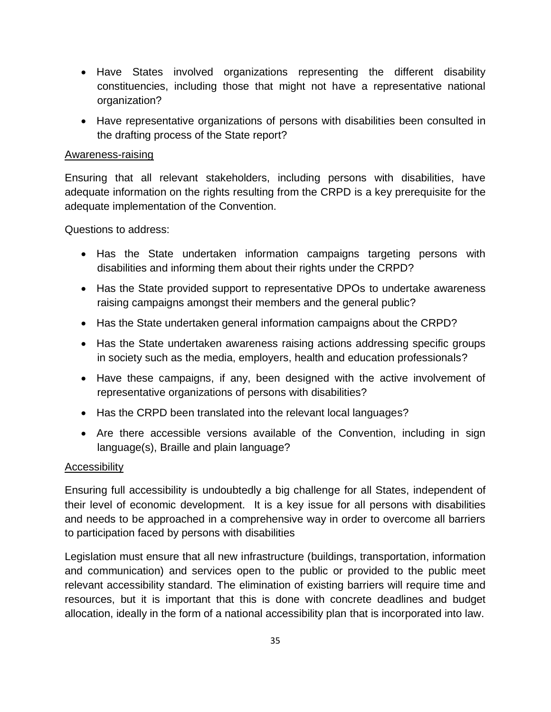- Have States involved organizations representing the different disability constituencies, including those that might not have a representative national organization?
- Have representative organizations of persons with disabilities been consulted in the drafting process of the State report?

#### Awareness-raising

Ensuring that all relevant stakeholders, including persons with disabilities, have adequate information on the rights resulting from the CRPD is a key prerequisite for the adequate implementation of the Convention.

Questions to address:

- Has the State undertaken information campaigns targeting persons with disabilities and informing them about their rights under the CRPD?
- Has the State provided support to representative DPOs to undertake awareness raising campaigns amongst their members and the general public?
- Has the State undertaken general information campaigns about the CRPD?
- Has the State undertaken awareness raising actions addressing specific groups in society such as the media, employers, health and education professionals?
- Have these campaigns, if any, been designed with the active involvement of representative organizations of persons with disabilities?
- Has the CRPD been translated into the relevant local languages?
- Are there accessible versions available of the Convention, including in sign language(s), Braille and plain language?

#### **Accessibility**

Ensuring full accessibility is undoubtedly a big challenge for all States, independent of their level of economic development. It is a key issue for all persons with disabilities and needs to be approached in a comprehensive way in order to overcome all barriers to participation faced by persons with disabilities

Legislation must ensure that all new infrastructure (buildings, transportation, information and communication) and services open to the public or provided to the public meet relevant accessibility standard. The elimination of existing barriers will require time and resources, but it is important that this is done with concrete deadlines and budget allocation, ideally in the form of a national accessibility plan that is incorporated into law.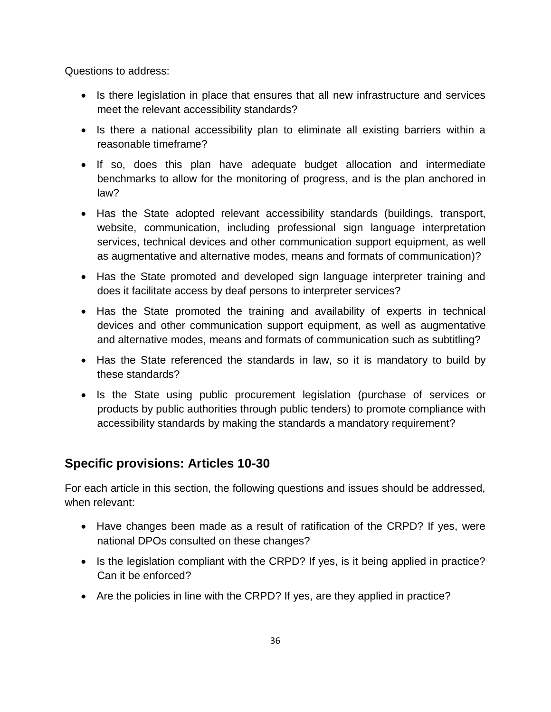Questions to address:

- Is there legislation in place that ensures that all new infrastructure and services meet the relevant accessibility standards?
- Is there a national accessibility plan to eliminate all existing barriers within a reasonable timeframe?
- If so, does this plan have adequate budget allocation and intermediate benchmarks to allow for the monitoring of progress, and is the plan anchored in law?
- Has the State adopted relevant accessibility standards (buildings, transport, website, communication, including professional sign language interpretation services, technical devices and other communication support equipment, as well as augmentative and alternative modes, means and formats of communication)?
- Has the State promoted and developed sign language interpreter training and does it facilitate access by deaf persons to interpreter services?
- Has the State promoted the training and availability of experts in technical devices and other communication support equipment, as well as augmentative and alternative modes, means and formats of communication such as subtitling?
- Has the State referenced the standards in law, so it is mandatory to build by these standards?
- Is the State using public procurement legislation (purchase of services or products by public authorities through public tenders) to promote compliance with accessibility standards by making the standards a mandatory requirement?

#### **Specific provisions: Articles 10-30**

For each article in this section, the following questions and issues should be addressed, when relevant:

- Have changes been made as a result of ratification of the CRPD? If yes, were national DPOs consulted on these changes?
- Is the legislation compliant with the CRPD? If yes, is it being applied in practice? Can it be enforced?
- Are the policies in line with the CRPD? If yes, are they applied in practice?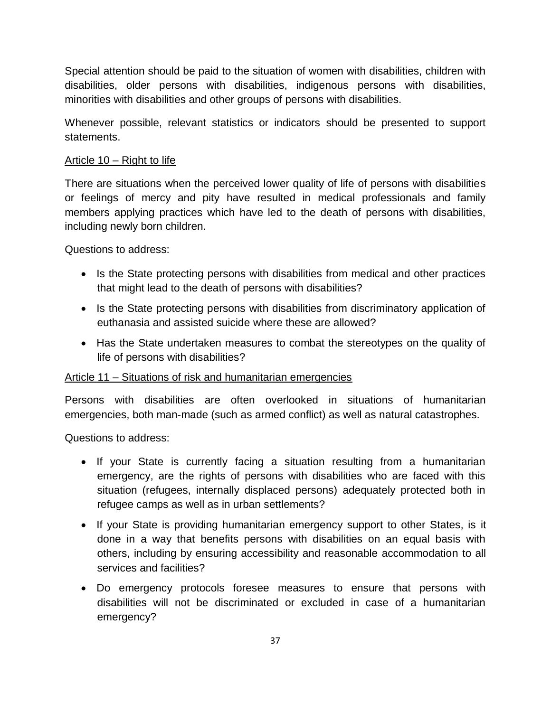Special attention should be paid to the situation of women with disabilities, children with disabilities, older persons with disabilities, indigenous persons with disabilities, minorities with disabilities and other groups of persons with disabilities.

Whenever possible, relevant statistics or indicators should be presented to support statements.

## Article 10 – Right to life

There are situations when the perceived lower quality of life of persons with disabilities or feelings of mercy and pity have resulted in medical professionals and family members applying practices which have led to the death of persons with disabilities, including newly born children.

Questions to address:

- Is the State protecting persons with disabilities from medical and other practices that might lead to the death of persons with disabilities?
- Is the State protecting persons with disabilities from discriminatory application of euthanasia and assisted suicide where these are allowed?
- Has the State undertaken measures to combat the stereotypes on the quality of life of persons with disabilities?

## Article 11 – Situations of risk and humanitarian emergencies

Persons with disabilities are often overlooked in situations of humanitarian emergencies, both man-made (such as armed conflict) as well as natural catastrophes.

- If your State is currently facing a situation resulting from a humanitarian emergency, are the rights of persons with disabilities who are faced with this situation (refugees, internally displaced persons) adequately protected both in refugee camps as well as in urban settlements?
- If your State is providing humanitarian emergency support to other States, is it done in a way that benefits persons with disabilities on an equal basis with others, including by ensuring accessibility and reasonable accommodation to all services and facilities?
- Do emergency protocols foresee measures to ensure that persons with disabilities will not be discriminated or excluded in case of a humanitarian emergency?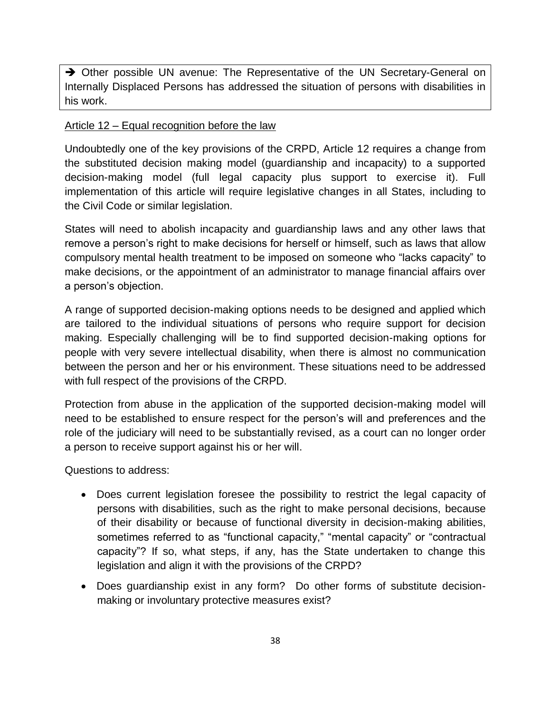→ Other possible UN avenue: The Representative of the UN Secretary-General on Internally Displaced Persons has addressed the situation of persons with disabilities in his work.

## Article 12 – Equal recognition before the law

Undoubtedly one of the key provisions of the CRPD, Article 12 requires a change from the substituted decision making model (guardianship and incapacity) to a supported decision-making model (full legal capacity plus support to exercise it). Full implementation of this article will require legislative changes in all States, including to the Civil Code or similar legislation.

States will need to abolish incapacity and guardianship laws and any other laws that remove a person's right to make decisions for herself or himself, such as laws that allow compulsory mental health treatment to be imposed on someone who "lacks capacity" to make decisions, or the appointment of an administrator to manage financial affairs over a person's objection.

A range of supported decision-making options needs to be designed and applied which are tailored to the individual situations of persons who require support for decision making. Especially challenging will be to find supported decision-making options for people with very severe intellectual disability, when there is almost no communication between the person and her or his environment. These situations need to be addressed with full respect of the provisions of the CRPD.

Protection from abuse in the application of the supported decision-making model will need to be established to ensure respect for the person's will and preferences and the role of the judiciary will need to be substantially revised, as a court can no longer order a person to receive support against his or her will.

- Does current legislation foresee the possibility to restrict the legal capacity of persons with disabilities, such as the right to make personal decisions, because of their disability or because of functional diversity in decision-making abilities, sometimes referred to as "functional capacity," "mental capacity" or "contractual capacity"? If so, what steps, if any, has the State undertaken to change this legislation and align it with the provisions of the CRPD?
- Does guardianship exist in any form? Do other forms of substitute decisionmaking or involuntary protective measures exist?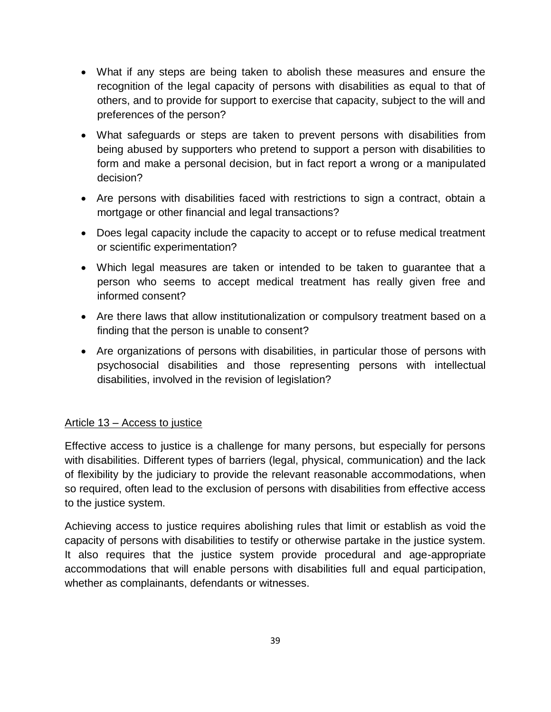- What if any steps are being taken to abolish these measures and ensure the recognition of the legal capacity of persons with disabilities as equal to that of others, and to provide for support to exercise that capacity, subject to the will and preferences of the person?
- What safeguards or steps are taken to prevent persons with disabilities from being abused by supporters who pretend to support a person with disabilities to form and make a personal decision, but in fact report a wrong or a manipulated decision?
- Are persons with disabilities faced with restrictions to sign a contract, obtain a mortgage or other financial and legal transactions?
- Does legal capacity include the capacity to accept or to refuse medical treatment or scientific experimentation?
- Which legal measures are taken or intended to be taken to guarantee that a person who seems to accept medical treatment has really given free and informed consent?
- Are there laws that allow institutionalization or compulsory treatment based on a finding that the person is unable to consent?
- Are organizations of persons with disabilities, in particular those of persons with psychosocial disabilities and those representing persons with intellectual disabilities, involved in the revision of legislation?

## Article 13 – Access to justice

Effective access to justice is a challenge for many persons, but especially for persons with disabilities. Different types of barriers (legal, physical, communication) and the lack of flexibility by the judiciary to provide the relevant reasonable accommodations, when so required, often lead to the exclusion of persons with disabilities from effective access to the justice system.

Achieving access to justice requires abolishing rules that limit or establish as void the capacity of persons with disabilities to testify or otherwise partake in the justice system. It also requires that the justice system provide procedural and age-appropriate accommodations that will enable persons with disabilities full and equal participation, whether as complainants, defendants or witnesses.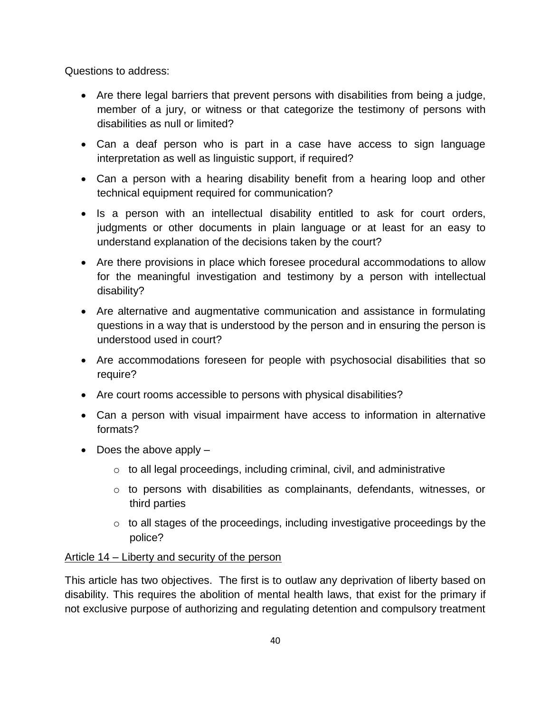Questions to address:

- Are there legal barriers that prevent persons with disabilities from being a judge, member of a jury, or witness or that categorize the testimony of persons with disabilities as null or limited?
- Can a deaf person who is part in a case have access to sign language interpretation as well as linguistic support, if required?
- Can a person with a hearing disability benefit from a hearing loop and other technical equipment required for communication?
- Is a person with an intellectual disability entitled to ask for court orders, judgments or other documents in plain language or at least for an easy to understand explanation of the decisions taken by the court?
- Are there provisions in place which foresee procedural accommodations to allow for the meaningful investigation and testimony by a person with intellectual disability?
- Are alternative and augmentative communication and assistance in formulating questions in a way that is understood by the person and in ensuring the person is understood used in court?
- Are accommodations foreseen for people with psychosocial disabilities that so require?
- Are court rooms accessible to persons with physical disabilities?
- Can a person with visual impairment have access to information in alternative formats?
- $\bullet$  Does the above apply  $-$ 
	- $\circ$  to all legal proceedings, including criminal, civil, and administrative
	- o to persons with disabilities as complainants, defendants, witnesses, or third parties
	- $\circ$  to all stages of the proceedings, including investigative proceedings by the police?

## Article 14 – Liberty and security of the person

This article has two objectives. The first is to outlaw any deprivation of liberty based on disability. This requires the abolition of mental health laws, that exist for the primary if not exclusive purpose of authorizing and regulating detention and compulsory treatment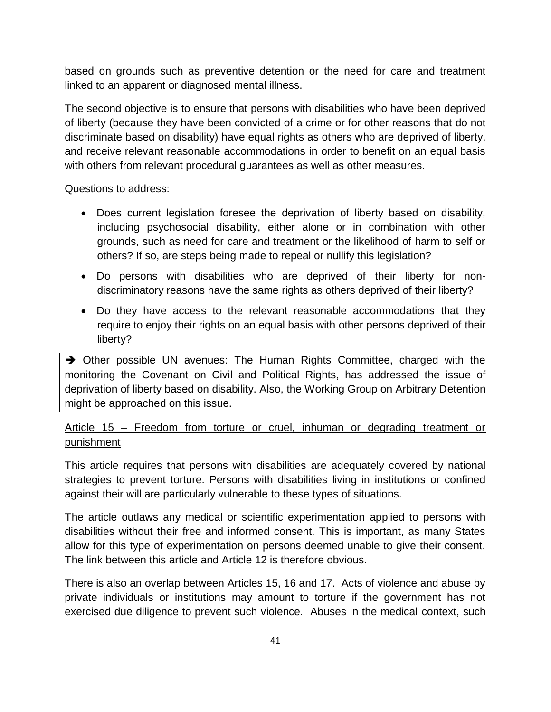based on grounds such as preventive detention or the need for care and treatment linked to an apparent or diagnosed mental illness.

The second objective is to ensure that persons with disabilities who have been deprived of liberty (because they have been convicted of a crime or for other reasons that do not discriminate based on disability) have equal rights as others who are deprived of liberty, and receive relevant reasonable accommodations in order to benefit on an equal basis with others from relevant procedural guarantees as well as other measures.

Questions to address:

- Does current legislation foresee the deprivation of liberty based on disability, including psychosocial disability, either alone or in combination with other grounds, such as need for care and treatment or the likelihood of harm to self or others? If so, are steps being made to repeal or nullify this legislation?
- Do persons with disabilities who are deprived of their liberty for nondiscriminatory reasons have the same rights as others deprived of their liberty?
- Do they have access to the relevant reasonable accommodations that they require to enjoy their rights on an equal basis with other persons deprived of their liberty?

→ Other possible UN avenues: The Human Rights Committee, charged with the monitoring the Covenant on Civil and Political Rights, has addressed the issue of deprivation of liberty based on disability. Also, the Working Group on Arbitrary Detention might be approached on this issue.

## Article 15 – Freedom from torture or cruel, inhuman or degrading treatment or punishment

This article requires that persons with disabilities are adequately covered by national strategies to prevent torture. Persons with disabilities living in institutions or confined against their will are particularly vulnerable to these types of situations.

The article outlaws any medical or scientific experimentation applied to persons with disabilities without their free and informed consent. This is important, as many States allow for this type of experimentation on persons deemed unable to give their consent. The link between this article and Article 12 is therefore obvious.

There is also an overlap between Articles 15, 16 and 17. Acts of violence and abuse by private individuals or institutions may amount to torture if the government has not exercised due diligence to prevent such violence. Abuses in the medical context, such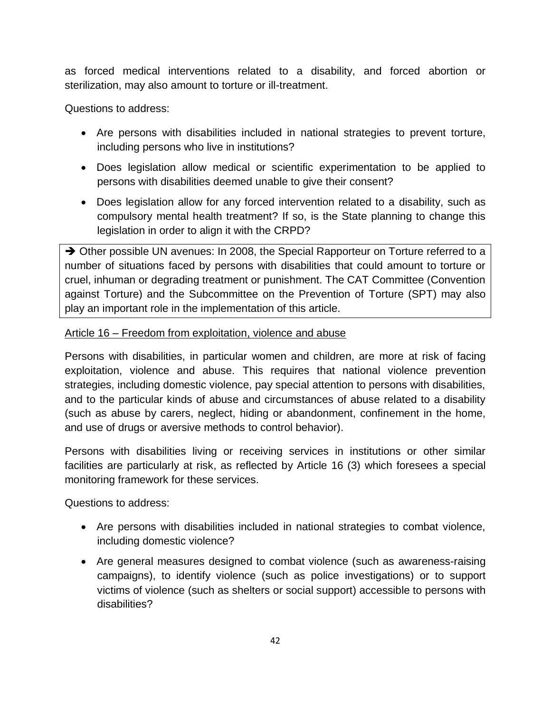as forced medical interventions related to a disability, and forced abortion or sterilization, may also amount to torture or ill-treatment.

Questions to address:

- Are persons with disabilities included in national strategies to prevent torture, including persons who live in institutions?
- Does legislation allow medical or scientific experimentation to be applied to persons with disabilities deemed unable to give their consent?
- Does legislation allow for any forced intervention related to a disability, such as compulsory mental health treatment? If so, is the State planning to change this legislation in order to align it with the CRPD?

→ Other possible UN avenues: In 2008, the Special Rapporteur on Torture referred to a number of situations faced by persons with disabilities that could amount to torture or cruel, inhuman or degrading treatment or punishment. The CAT Committee (Convention against Torture) and the Subcommittee on the Prevention of Torture (SPT) may also play an important role in the implementation of this article.

## Article 16 – Freedom from exploitation, violence and abuse

Persons with disabilities, in particular women and children, are more at risk of facing exploitation, violence and abuse. This requires that national violence prevention strategies, including domestic violence, pay special attention to persons with disabilities, and to the particular kinds of abuse and circumstances of abuse related to a disability (such as abuse by carers, neglect, hiding or abandonment, confinement in the home, and use of drugs or aversive methods to control behavior).

Persons with disabilities living or receiving services in institutions or other similar facilities are particularly at risk, as reflected by Article 16 (3) which foresees a special monitoring framework for these services.

- Are persons with disabilities included in national strategies to combat violence, including domestic violence?
- Are general measures designed to combat violence (such as awareness-raising campaigns), to identify violence (such as police investigations) or to support victims of violence (such as shelters or social support) accessible to persons with disabilities?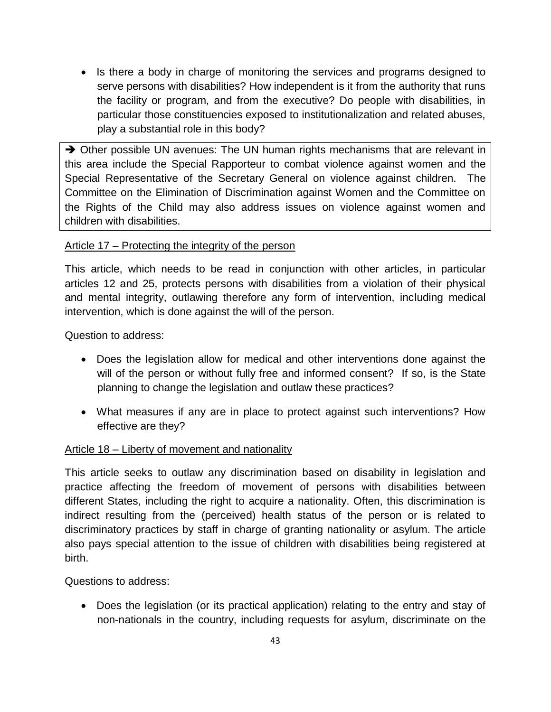• Is there a body in charge of monitoring the services and programs designed to serve persons with disabilities? How independent is it from the authority that runs the facility or program, and from the executive? Do people with disabilities, in particular those constituencies exposed to institutionalization and related abuses, play a substantial role in this body?

 $\rightarrow$  Other possible UN avenues: The UN human rights mechanisms that are relevant in this area include the Special Rapporteur to combat violence against women and the Special Representative of the Secretary General on violence against children. The Committee on the Elimination of Discrimination against Women and the Committee on the Rights of the Child may also address issues on violence against women and children with disabilities.

## Article 17 – Protecting the integrity of the person

This article, which needs to be read in conjunction with other articles, in particular articles 12 and 25, protects persons with disabilities from a violation of their physical and mental integrity, outlawing therefore any form of intervention, including medical intervention, which is done against the will of the person.

Question to address:

- Does the legislation allow for medical and other interventions done against the will of the person or without fully free and informed consent? If so, is the State planning to change the legislation and outlaw these practices?
- What measures if any are in place to protect against such interventions? How effective are they?

## Article 18 – Liberty of movement and nationality

This article seeks to outlaw any discrimination based on disability in legislation and practice affecting the freedom of movement of persons with disabilities between different States, including the right to acquire a nationality. Often, this discrimination is indirect resulting from the (perceived) health status of the person or is related to discriminatory practices by staff in charge of granting nationality or asylum. The article also pays special attention to the issue of children with disabilities being registered at birth.

Questions to address:

 Does the legislation (or its practical application) relating to the entry and stay of non-nationals in the country, including requests for asylum, discriminate on the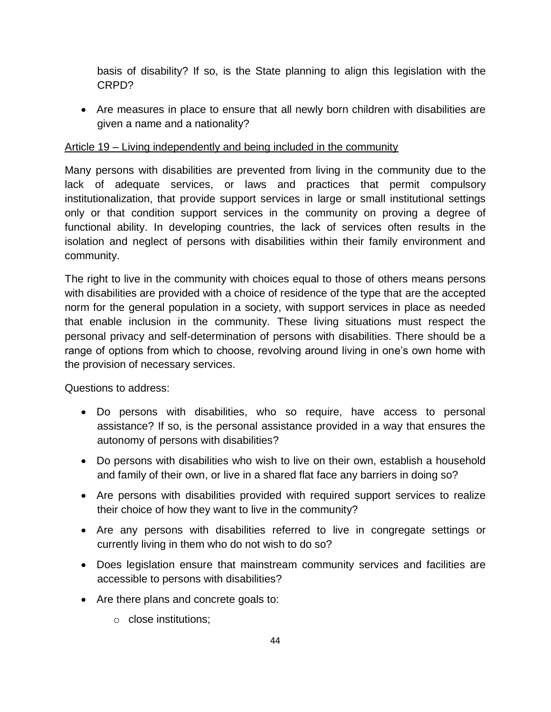basis of disability? If so, is the State planning to align this legislation with the CRPD?

 Are measures in place to ensure that all newly born children with disabilities are given a name and a nationality?

## Article 19 – Living independently and being included in the community

Many persons with disabilities are prevented from living in the community due to the lack of adequate services, or laws and practices that permit compulsory institutionalization, that provide support services in large or small institutional settings only or that condition support services in the community on proving a degree of functional ability. In developing countries, the lack of services often results in the isolation and neglect of persons with disabilities within their family environment and community.

The right to live in the community with choices equal to those of others means persons with disabilities are provided with a choice of residence of the type that are the accepted norm for the general population in a society, with support services in place as needed that enable inclusion in the community. These living situations must respect the personal privacy and self-determination of persons with disabilities. There should be a range of options from which to choose, revolving around living in one's own home with the provision of necessary services.

- Do persons with disabilities, who so require, have access to personal assistance? If so, is the personal assistance provided in a way that ensures the autonomy of persons with disabilities?
- Do persons with disabilities who wish to live on their own, establish a household and family of their own, or live in a shared flat face any barriers in doing so?
- Are persons with disabilities provided with required support services to realize their choice of how they want to live in the community?
- Are any persons with disabilities referred to live in congregate settings or currently living in them who do not wish to do so?
- Does legislation ensure that mainstream community services and facilities are accessible to persons with disabilities?
- Are there plans and concrete goals to:
	- o close institutions;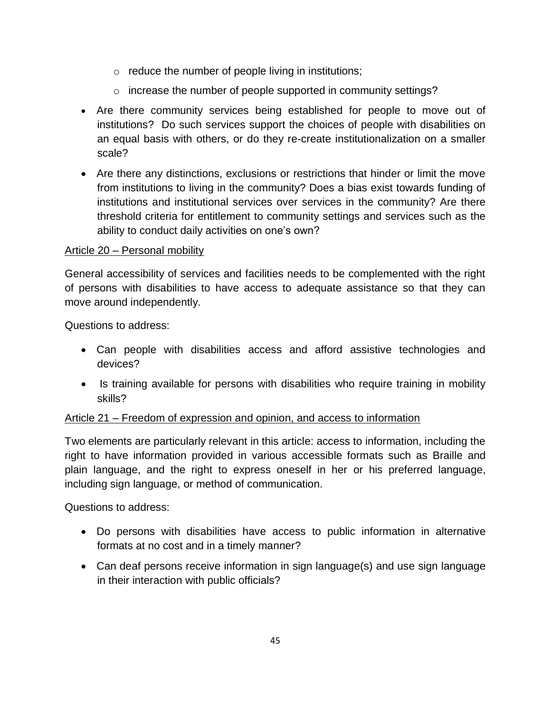- $\circ$  reduce the number of people living in institutions;
- o increase the number of people supported in community settings?
- Are there community services being established for people to move out of institutions? Do such services support the choices of people with disabilities on an equal basis with others, or do they re-create institutionalization on a smaller scale?
- Are there any distinctions, exclusions or restrictions that hinder or limit the move from institutions to living in the community? Does a bias exist towards funding of institutions and institutional services over services in the community? Are there threshold criteria for entitlement to community settings and services such as the ability to conduct daily activities on one's own?

## Article 20 – Personal mobility

General accessibility of services and facilities needs to be complemented with the right of persons with disabilities to have access to adequate assistance so that they can move around independently.

Questions to address:

- Can people with disabilities access and afford assistive technologies and devices?
- Is training available for persons with disabilities who require training in mobility skills?

## Article 21 – Freedom of expression and opinion, and access to information

Two elements are particularly relevant in this article: access to information, including the right to have information provided in various accessible formats such as Braille and plain language, and the right to express oneself in her or his preferred language, including sign language, or method of communication.

- Do persons with disabilities have access to public information in alternative formats at no cost and in a timely manner?
- Can deaf persons receive information in sign language(s) and use sign language in their interaction with public officials?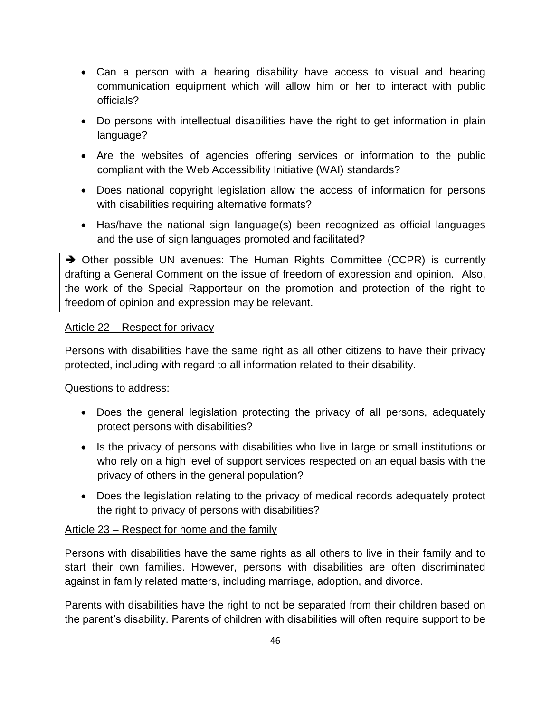- Can a person with a hearing disability have access to visual and hearing communication equipment which will allow him or her to interact with public officials?
- Do persons with intellectual disabilities have the right to get information in plain language?
- Are the websites of agencies offering services or information to the public compliant with the Web Accessibility Initiative (WAI) standards?
- Does national copyright legislation allow the access of information for persons with disabilities requiring alternative formats?
- Has/have the national sign language(s) been recognized as official languages and the use of sign languages promoted and facilitated?

 $\rightarrow$  Other possible UN avenues: The Human Rights Committee (CCPR) is currently drafting a General Comment on the issue of freedom of expression and opinion. Also, the work of the Special Rapporteur on the promotion and protection of the right to freedom of opinion and expression may be relevant.

## Article 22 – Respect for privacy

Persons with disabilities have the same right as all other citizens to have their privacy protected, including with regard to all information related to their disability.

Questions to address:

- Does the general legislation protecting the privacy of all persons, adequately protect persons with disabilities?
- Is the privacy of persons with disabilities who live in large or small institutions or who rely on a high level of support services respected on an equal basis with the privacy of others in the general population?
- Does the legislation relating to the privacy of medical records adequately protect the right to privacy of persons with disabilities?

## Article 23 – Respect for home and the family

Persons with disabilities have the same rights as all others to live in their family and to start their own families. However, persons with disabilities are often discriminated against in family related matters, including marriage, adoption, and divorce.

Parents with disabilities have the right to not be separated from their children based on the parent's disability. Parents of children with disabilities will often require support to be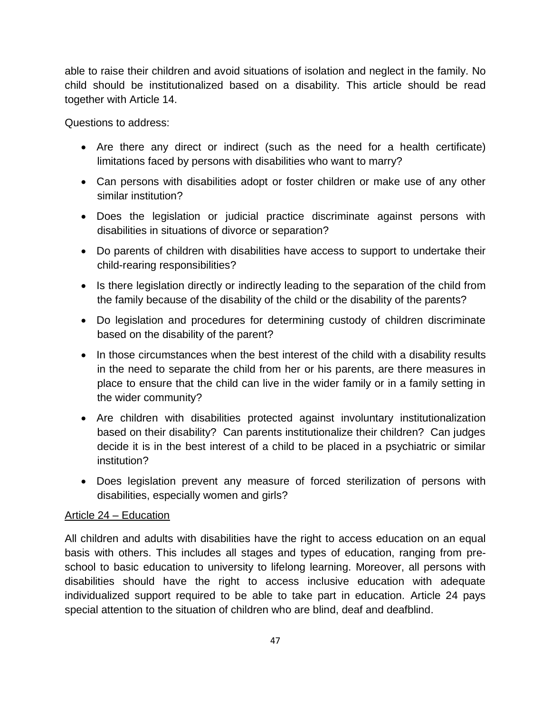able to raise their children and avoid situations of isolation and neglect in the family. No child should be institutionalized based on a disability. This article should be read together with Article 14.

Questions to address:

- Are there any direct or indirect (such as the need for a health certificate) limitations faced by persons with disabilities who want to marry?
- Can persons with disabilities adopt or foster children or make use of any other similar institution?
- Does the legislation or judicial practice discriminate against persons with disabilities in situations of divorce or separation?
- Do parents of children with disabilities have access to support to undertake their child-rearing responsibilities?
- Is there legislation directly or indirectly leading to the separation of the child from the family because of the disability of the child or the disability of the parents?
- Do legislation and procedures for determining custody of children discriminate based on the disability of the parent?
- In those circumstances when the best interest of the child with a disability results in the need to separate the child from her or his parents, are there measures in place to ensure that the child can live in the wider family or in a family setting in the wider community?
- Are children with disabilities protected against involuntary institutionalization based on their disability? Can parents institutionalize their children? Can judges decide it is in the best interest of a child to be placed in a psychiatric or similar institution?
- Does legislation prevent any measure of forced sterilization of persons with disabilities, especially women and girls?

## Article 24 – Education

All children and adults with disabilities have the right to access education on an equal basis with others. This includes all stages and types of education, ranging from preschool to basic education to university to lifelong learning. Moreover, all persons with disabilities should have the right to access inclusive education with adequate individualized support required to be able to take part in education. Article 24 pays special attention to the situation of children who are blind, deaf and deafblind.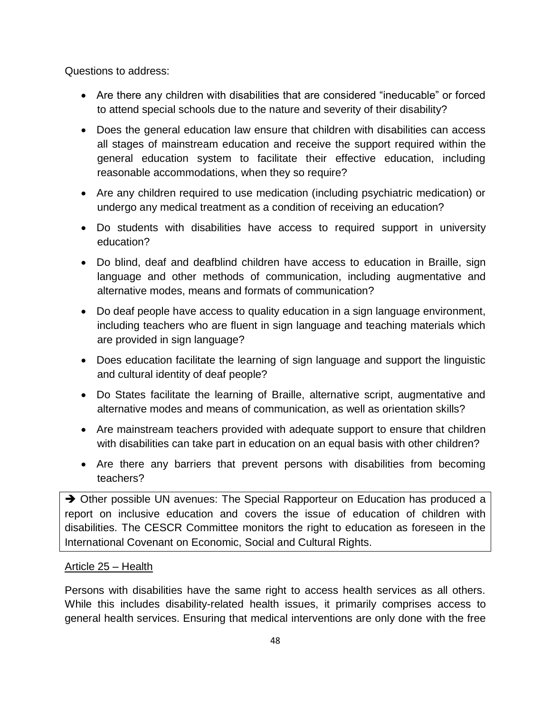Questions to address:

- Are there any children with disabilities that are considered "ineducable" or forced to attend special schools due to the nature and severity of their disability?
- Does the general education law ensure that children with disabilities can access all stages of mainstream education and receive the support required within the general education system to facilitate their effective education, including reasonable accommodations, when they so require?
- Are any children required to use medication (including psychiatric medication) or undergo any medical treatment as a condition of receiving an education?
- Do students with disabilities have access to required support in university education?
- Do blind, deaf and deafblind children have access to education in Braille, sign language and other methods of communication, including augmentative and alternative modes, means and formats of communication?
- Do deaf people have access to quality education in a sign language environment, including teachers who are fluent in sign language and teaching materials which are provided in sign language?
- Does education facilitate the learning of sign language and support the linguistic and cultural identity of deaf people?
- Do States facilitate the learning of Braille, alternative script, augmentative and alternative modes and means of communication, as well as orientation skills?
- Are mainstream teachers provided with adequate support to ensure that children with disabilities can take part in education on an equal basis with other children?
- Are there any barriers that prevent persons with disabilities from becoming teachers?

→ Other possible UN avenues: The Special Rapporteur on Education has produced a report on inclusive education and covers the issue of education of children with disabilities. The CESCR Committee monitors the right to education as foreseen in the International Covenant on Economic, Social and Cultural Rights.

## Article 25 – Health

Persons with disabilities have the same right to access health services as all others. While this includes disability-related health issues, it primarily comprises access to general health services. Ensuring that medical interventions are only done with the free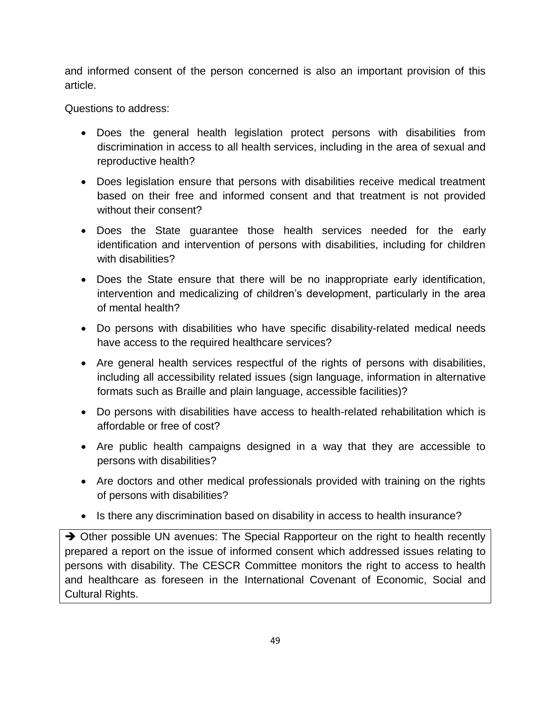and informed consent of the person concerned is also an important provision of this article.

Questions to address:

- Does the general health legislation protect persons with disabilities from discrimination in access to all health services, including in the area of sexual and reproductive health?
- Does legislation ensure that persons with disabilities receive medical treatment based on their free and informed consent and that treatment is not provided without their consent?
- Does the State guarantee those health services needed for the early identification and intervention of persons with disabilities, including for children with disabilities?
- Does the State ensure that there will be no inappropriate early identification, intervention and medicalizing of children's development, particularly in the area of mental health?
- Do persons with disabilities who have specific disability-related medical needs have access to the required healthcare services?
- Are general health services respectful of the rights of persons with disabilities, including all accessibility related issues (sign language, information in alternative formats such as Braille and plain language, accessible facilities)?
- Do persons with disabilities have access to health-related rehabilitation which is affordable or free of cost?
- Are public health campaigns designed in a way that they are accessible to persons with disabilities?
- Are doctors and other medical professionals provided with training on the rights of persons with disabilities?
- Is there any discrimination based on disability in access to health insurance?

→ Other possible UN avenues: The Special Rapporteur on the right to health recently prepared a report on the issue of informed consent which addressed issues relating to persons with disability. The CESCR Committee monitors the right to access to health and healthcare as foreseen in the International Covenant of Economic, Social and Cultural Rights.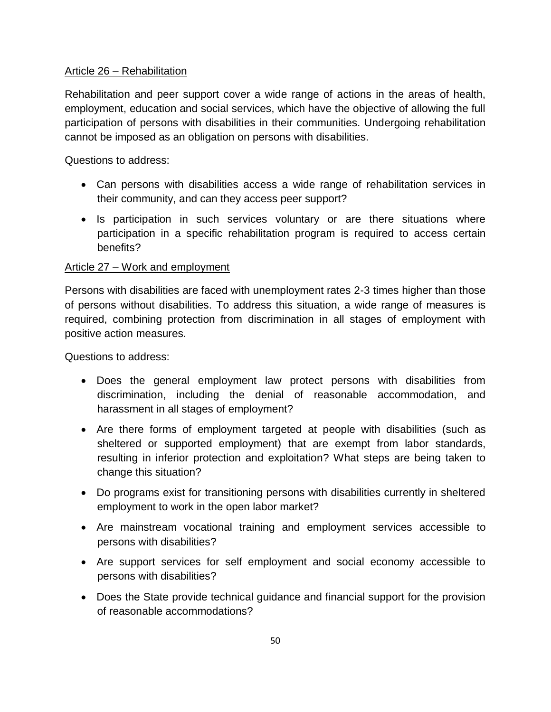## Article 26 – Rehabilitation

Rehabilitation and peer support cover a wide range of actions in the areas of health, employment, education and social services, which have the objective of allowing the full participation of persons with disabilities in their communities. Undergoing rehabilitation cannot be imposed as an obligation on persons with disabilities.

Questions to address:

- Can persons with disabilities access a wide range of rehabilitation services in their community, and can they access peer support?
- Is participation in such services voluntary or are there situations where participation in a specific rehabilitation program is required to access certain benefits?

## Article 27 – Work and employment

Persons with disabilities are faced with unemployment rates 2-3 times higher than those of persons without disabilities. To address this situation, a wide range of measures is required, combining protection from discrimination in all stages of employment with positive action measures.

- Does the general employment law protect persons with disabilities from discrimination, including the denial of reasonable accommodation, and harassment in all stages of employment?
- Are there forms of employment targeted at people with disabilities (such as sheltered or supported employment) that are exempt from labor standards, resulting in inferior protection and exploitation? What steps are being taken to change this situation?
- Do programs exist for transitioning persons with disabilities currently in sheltered employment to work in the open labor market?
- Are mainstream vocational training and employment services accessible to persons with disabilities?
- Are support services for self employment and social economy accessible to persons with disabilities?
- Does the State provide technical guidance and financial support for the provision of reasonable accommodations?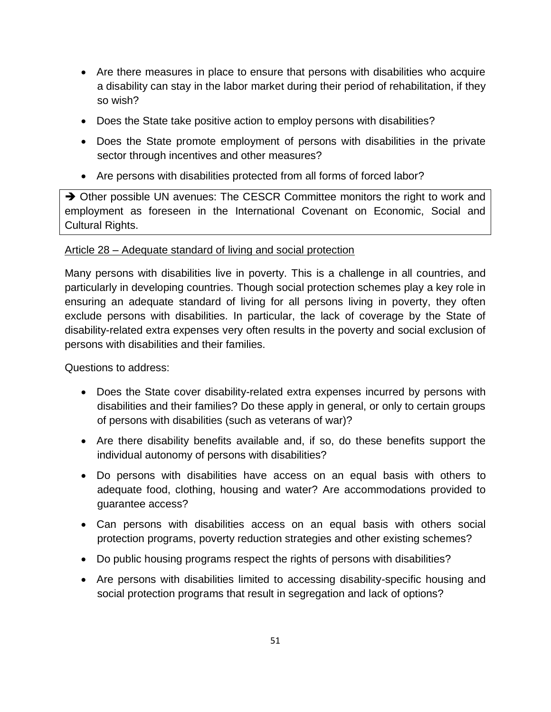- Are there measures in place to ensure that persons with disabilities who acquire a disability can stay in the labor market during their period of rehabilitation, if they so wish?
- Does the State take positive action to employ persons with disabilities?
- Does the State promote employment of persons with disabilities in the private sector through incentives and other measures?
- Are persons with disabilities protected from all forms of forced labor?

→ Other possible UN avenues: The CESCR Committee monitors the right to work and employment as foreseen in the International Covenant on Economic, Social and Cultural Rights.

## Article 28 – Adequate standard of living and social protection

Many persons with disabilities live in poverty. This is a challenge in all countries, and particularly in developing countries. Though social protection schemes play a key role in ensuring an adequate standard of living for all persons living in poverty, they often exclude persons with disabilities. In particular, the lack of coverage by the State of disability-related extra expenses very often results in the poverty and social exclusion of persons with disabilities and their families.

- Does the State cover disability-related extra expenses incurred by persons with disabilities and their families? Do these apply in general, or only to certain groups of persons with disabilities (such as veterans of war)?
- Are there disability benefits available and, if so, do these benefits support the individual autonomy of persons with disabilities?
- Do persons with disabilities have access on an equal basis with others to adequate food, clothing, housing and water? Are accommodations provided to guarantee access?
- Can persons with disabilities access on an equal basis with others social protection programs, poverty reduction strategies and other existing schemes?
- Do public housing programs respect the rights of persons with disabilities?
- Are persons with disabilities limited to accessing disability-specific housing and social protection programs that result in segregation and lack of options?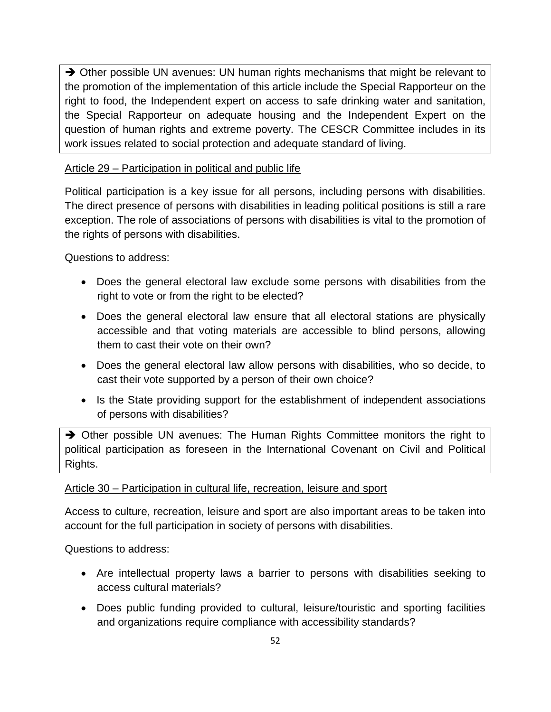→ Other possible UN avenues: UN human rights mechanisms that might be relevant to the promotion of the implementation of this article include the Special Rapporteur on the right to food, the Independent expert on access to safe drinking water and sanitation, the Special Rapporteur on adequate housing and the Independent Expert on the question of human rights and extreme poverty. The CESCR Committee includes in its work issues related to social protection and adequate standard of living.

## Article 29 – Participation in political and public life

Political participation is a key issue for all persons, including persons with disabilities. The direct presence of persons with disabilities in leading political positions is still a rare exception. The role of associations of persons with disabilities is vital to the promotion of the rights of persons with disabilities.

Questions to address:

- Does the general electoral law exclude some persons with disabilities from the right to vote or from the right to be elected?
- Does the general electoral law ensure that all electoral stations are physically accessible and that voting materials are accessible to blind persons, allowing them to cast their vote on their own?
- Does the general electoral law allow persons with disabilities, who so decide, to cast their vote supported by a person of their own choice?
- Is the State providing support for the establishment of independent associations of persons with disabilities?

 $\rightarrow$  Other possible UN avenues: The Human Rights Committee monitors the right to political participation as foreseen in the International Covenant on Civil and Political Rights.

## Article 30 – Participation in cultural life, recreation, leisure and sport

Access to culture, recreation, leisure and sport are also important areas to be taken into account for the full participation in society of persons with disabilities.

- Are intellectual property laws a barrier to persons with disabilities seeking to access cultural materials?
- Does public funding provided to cultural, leisure/touristic and sporting facilities and organizations require compliance with accessibility standards?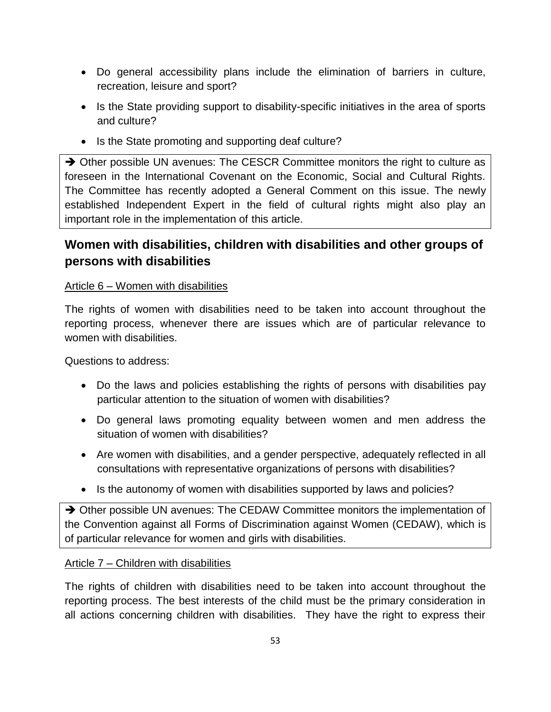- Do general accessibility plans include the elimination of barriers in culture, recreation, leisure and sport?
- Is the State providing support to disability-specific initiatives in the area of sports and culture?
- Is the State promoting and supporting deaf culture?

→ Other possible UN avenues: The CESCR Committee monitors the right to culture as foreseen in the International Covenant on the Economic, Social and Cultural Rights. The Committee has recently adopted a General Comment on this issue. The newly established Independent Expert in the field of cultural rights might also play an important role in the implementation of this article.

# **Women with disabilities, children with disabilities and other groups of persons with disabilities**

## Article 6 – Women with disabilities

The rights of women with disabilities need to be taken into account throughout the reporting process, whenever there are issues which are of particular relevance to women with disabilities.

Questions to address:

- Do the laws and policies establishing the rights of persons with disabilities pay particular attention to the situation of women with disabilities?
- Do general laws promoting equality between women and men address the situation of women with disabilities?
- Are women with disabilities, and a gender perspective, adequately reflected in all consultations with representative organizations of persons with disabilities?
- Is the autonomy of women with disabilities supported by laws and policies?

→ Other possible UN avenues: The CEDAW Committee monitors the implementation of the Convention against all Forms of Discrimination against Women (CEDAW), which is of particular relevance for women and girls with disabilities.

## Article 7 – Children with disabilities

The rights of children with disabilities need to be taken into account throughout the reporting process. The best interests of the child must be the primary consideration in all actions concerning children with disabilities. They have the right to express their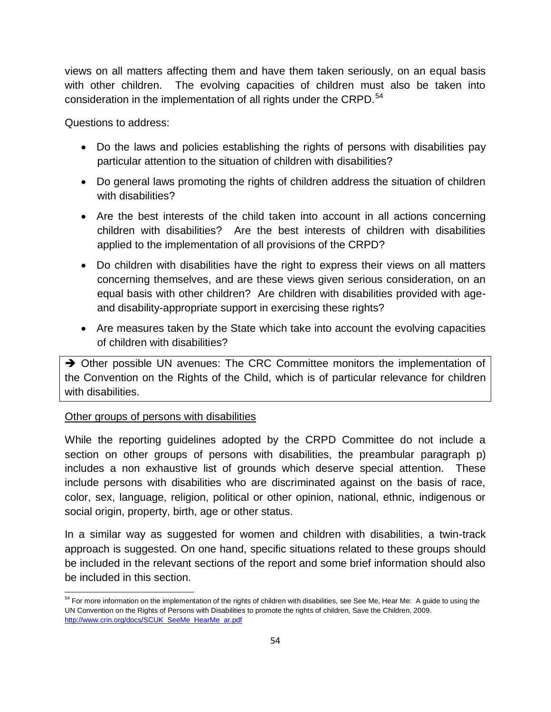views on all matters affecting them and have them taken seriously, on an equal basis with other children. The evolving capacities of children must also be taken into consideration in the implementation of all rights under the CRPD.<sup>54</sup>

Questions to address:

- Do the laws and policies establishing the rights of persons with disabilities pay particular attention to the situation of children with disabilities?
- Do general laws promoting the rights of children address the situation of children with disabilities?
- Are the best interests of the child taken into account in all actions concerning children with disabilities? Are the best interests of children with disabilities applied to the implementation of all provisions of the CRPD?
- Do children with disabilities have the right to express their views on all matters concerning themselves, and are these views given serious consideration, on an equal basis with other children? Are children with disabilities provided with ageand disability-appropriate support in exercising these rights?
- Are measures taken by the State which take into account the evolving capacities of children with disabilities?

→ Other possible UN avenues: The CRC Committee monitors the implementation of the Convention on the Rights of the Child, which is of particular relevance for children with disabilities.

## Other groups of persons with disabilities

While the reporting guidelines adopted by the CRPD Committee do not include a section on other groups of persons with disabilities, the preambular paragraph p) includes a non exhaustive list of grounds which deserve special attention. These include persons with disabilities who are discriminated against on the basis of race, color, sex, language, religion, political or other opinion, national, ethnic, indigenous or social origin, property, birth, age or other status.

In a similar way as suggested for women and children with disabilities, a twin-track approach is suggested. On one hand, specific situations related to these groups should be included in the relevant sections of the report and some brief information should also be included in this section.

 $\overline{a}$ <sup>54</sup> For more information on the implementation of the rights of children with disabilities, see See Me, Hear Me: A guide to using the UN Convention on the Rights of Persons with Disabilities to promote the rights of children, Save the Children, 2009. [http://www.crin.org/docs/SCUK\\_SeeMe\\_HearMe\\_ar.pdf](http://www.crin.org/docs/SCUK_SeeMe_HearMe_ar.pdf)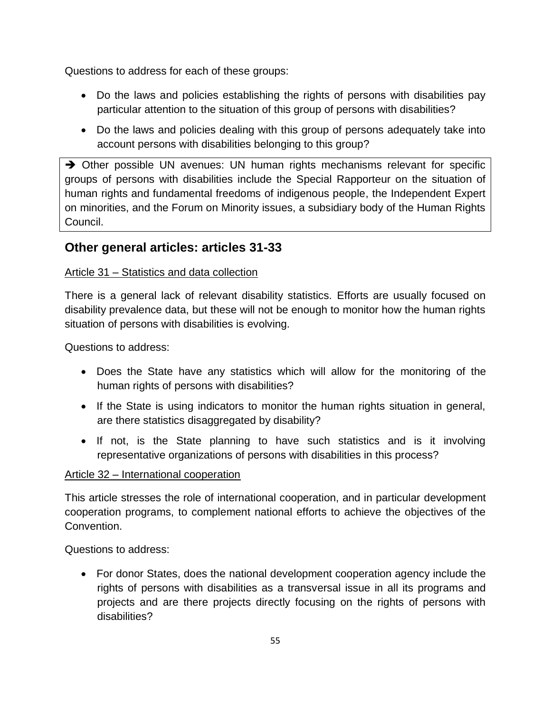Questions to address for each of these groups:

- Do the laws and policies establishing the rights of persons with disabilities pay particular attention to the situation of this group of persons with disabilities?
- Do the laws and policies dealing with this group of persons adequately take into account persons with disabilities belonging to this group?

 $\rightarrow$  Other possible UN avenues: UN human rights mechanisms relevant for specific groups of persons with disabilities include the Special Rapporteur on the situation of human rights and fundamental freedoms of indigenous people, the Independent Expert on minorities, and the Forum on Minority issues, a subsidiary body of the Human Rights Council.

## **Other general articles: articles 31-33**

## Article 31 – Statistics and data collection

There is a general lack of relevant disability statistics. Efforts are usually focused on disability prevalence data, but these will not be enough to monitor how the human rights situation of persons with disabilities is evolving.

Questions to address:

- Does the State have any statistics which will allow for the monitoring of the human rights of persons with disabilities?
- If the State is using indicators to monitor the human rights situation in general, are there statistics disaggregated by disability?
- If not, is the State planning to have such statistics and is it involving representative organizations of persons with disabilities in this process?

## Article 32 – International cooperation

This article stresses the role of international cooperation, and in particular development cooperation programs, to complement national efforts to achieve the objectives of the Convention.

Questions to address:

 For donor States, does the national development cooperation agency include the rights of persons with disabilities as a transversal issue in all its programs and projects and are there projects directly focusing on the rights of persons with disabilities?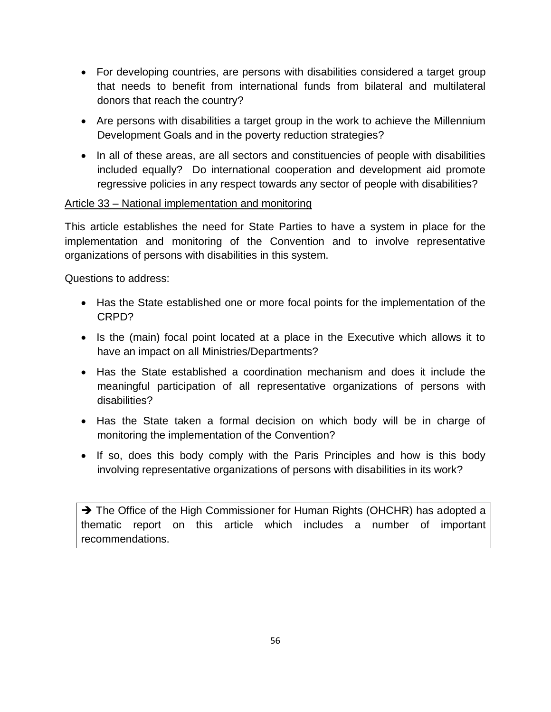- For developing countries, are persons with disabilities considered a target group that needs to benefit from international funds from bilateral and multilateral donors that reach the country?
- Are persons with disabilities a target group in the work to achieve the Millennium Development Goals and in the poverty reduction strategies?
- In all of these areas, are all sectors and constituencies of people with disabilities included equally? Do international cooperation and development aid promote regressive policies in any respect towards any sector of people with disabilities?

## Article 33 – National implementation and monitoring

This article establishes the need for State Parties to have a system in place for the implementation and monitoring of the Convention and to involve representative organizations of persons with disabilities in this system.

Questions to address:

- Has the State established one or more focal points for the implementation of the CRPD?
- Is the (main) focal point located at a place in the Executive which allows it to have an impact on all Ministries/Departments?
- Has the State established a coordination mechanism and does it include the meaningful participation of all representative organizations of persons with disabilities?
- Has the State taken a formal decision on which body will be in charge of monitoring the implementation of the Convention?
- If so, does this body comply with the Paris Principles and how is this body involving representative organizations of persons with disabilities in its work?

→ The Office of the High Commissioner for Human Rights (OHCHR) has adopted a thematic report on this article which includes a number of important recommendations.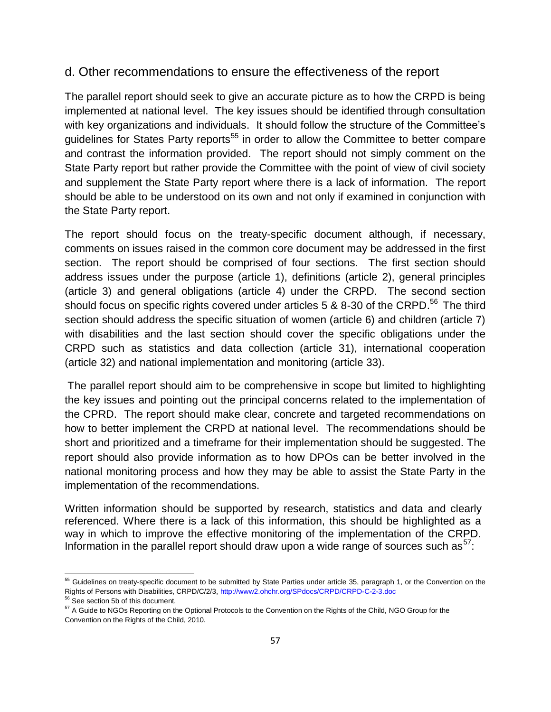## d. Other recommendations to ensure the effectiveness of the report

The parallel report should seek to give an accurate picture as to how the CRPD is being implemented at national level. The key issues should be identified through consultation with key organizations and individuals. It should follow the structure of the Committee's guidelines for States Party reports<sup>55</sup> in order to allow the Committee to better compare and contrast the information provided. The report should not simply comment on the State Party report but rather provide the Committee with the point of view of civil society and supplement the State Party report where there is a lack of information. The report should be able to be understood on its own and not only if examined in conjunction with the State Party report.

The report should focus on the treaty-specific document although, if necessary, comments on issues raised in the common core document may be addressed in the first section. The report should be comprised of four sections. The first section should address issues under the purpose (article 1), definitions (article 2), general principles (article 3) and general obligations (article 4) under the CRPD. The second section should focus on specific rights covered under articles 5 & 8-30 of the CRPD.<sup>56</sup> The third section should address the specific situation of women (article 6) and children (article 7) with disabilities and the last section should cover the specific obligations under the CRPD such as statistics and data collection (article 31), international cooperation (article 32) and national implementation and monitoring (article 33).

The parallel report should aim to be comprehensive in scope but limited to highlighting the key issues and pointing out the principal concerns related to the implementation of the CPRD. The report should make clear, concrete and targeted recommendations on how to better implement the CRPD at national level. The recommendations should be short and prioritized and a timeframe for their implementation should be suggested. The report should also provide information as to how DPOs can be better involved in the national monitoring process and how they may be able to assist the State Party in the implementation of the recommendations.

Written information should be supported by research, statistics and data and clearly referenced. Where there is a lack of this information, this should be highlighted as a way in which to improve the effective monitoring of the implementation of the CRPD. Information in the parallel report should draw upon a wide range of sources such as  $57$ :

 $\overline{a}$ 

<sup>&</sup>lt;sup>55</sup> Guidelines on treaty-specific document to be submitted by State Parties under article 35, paragraph 1, or the Convention on the Rights of Persons with Disabilities, CRPD/C/2/3,<http://www2.ohchr.org/SPdocs/CRPD/CRPD-C-2-3.doc>

<sup>&</sup>lt;sup>56</sup> See section 5b of this document.

<sup>&</sup>lt;sup>57</sup> A Guide to NGOs Reporting on the Optional Protocols to the Convention on the Rights of the Child, NGO Group for the Convention on the Rights of the Child, 2010.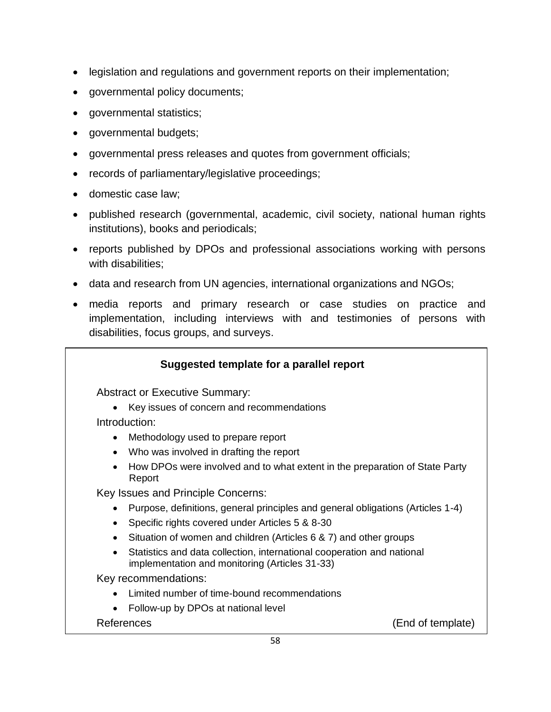- legislation and regulations and government reports on their implementation;
- governmental policy documents;
- governmental statistics;
- governmental budgets;
- governmental press releases and quotes from government officials;
- records of parliamentary/legislative proceedings;
- domestic case law;
- published research (governmental, academic, civil society, national human rights institutions), books and periodicals;
- reports published by DPOs and professional associations working with persons with disabilities:
- data and research from UN agencies, international organizations and NGOs;
- media reports and primary research or case studies on practice and implementation, including interviews with and testimonies of persons with disabilities, focus groups, and surveys.

| Suggested template for a parallel report                                                                                 |                   |
|--------------------------------------------------------------------------------------------------------------------------|-------------------|
| <b>Abstract or Executive Summary:</b>                                                                                    |                   |
| Key issues of concern and recommendations                                                                                |                   |
| Introduction:                                                                                                            |                   |
| Methodology used to prepare report<br>$\bullet$                                                                          |                   |
| Who was involved in drafting the report<br>$\bullet$                                                                     |                   |
| How DPOs were involved and to what extent in the preparation of State Party<br>Report                                    |                   |
| Key Issues and Principle Concerns:                                                                                       |                   |
| Purpose, definitions, general principles and general obligations (Articles 1-4)                                          |                   |
| Specific rights covered under Articles 5 & 8-30                                                                          |                   |
| Situation of women and children (Articles 6 & 7) and other groups                                                        |                   |
| Statistics and data collection, international cooperation and national<br>implementation and monitoring (Articles 31-33) |                   |
| Key recommendations:                                                                                                     |                   |
| Limited number of time-bound recommendations                                                                             |                   |
| Follow-up by DPOs at national level<br>$\bullet$                                                                         |                   |
| References                                                                                                               | (End of template) |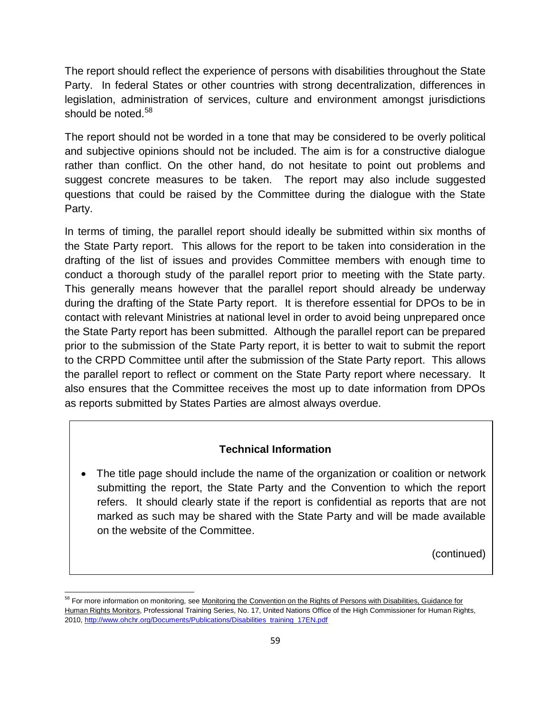The report should reflect the experience of persons with disabilities throughout the State Party. In federal States or other countries with strong decentralization, differences in legislation, administration of services, culture and environment amongst jurisdictions should be noted.<sup>58</sup>

The report should not be worded in a tone that may be considered to be overly political and subjective opinions should not be included. The aim is for a constructive dialogue rather than conflict. On the other hand, do not hesitate to point out problems and suggest concrete measures to be taken. The report may also include suggested questions that could be raised by the Committee during the dialogue with the State Party.

In terms of timing, the parallel report should ideally be submitted within six months of the State Party report. This allows for the report to be taken into consideration in the drafting of the list of issues and provides Committee members with enough time to conduct a thorough study of the parallel report prior to meeting with the State party. This generally means however that the parallel report should already be underway during the drafting of the State Party report. It is therefore essential for DPOs to be in contact with relevant Ministries at national level in order to avoid being unprepared once the State Party report has been submitted. Although the parallel report can be prepared prior to the submission of the State Party report, it is better to wait to submit the report to the CRPD Committee until after the submission of the State Party report. This allows the parallel report to reflect or comment on the State Party report where necessary. It also ensures that the Committee receives the most up to date information from DPOs as reports submitted by States Parties are almost always overdue.

## **Technical Information**

• The title page should include the name of the organization or coalition or network submitting the report, the State Party and the Convention to which the report refers. It should clearly state if the report is confidential as reports that are not marked as such may be shared with the State Party and will be made available on the website of the Committee.

(continued)

 $\overline{a}$ <sup>58</sup> For more information on monitoring, see Monitoring the Convention on the Rights of Persons with Disabilities, Guidance for Human Rights Monitors, Professional Training Series, No. 17, United Nations Office of the High Commissioner for Human Rights, 2010, [http://www.ohchr.org/Documents/Publications/Disabilities\\_training\\_17EN.pdf](http://www.ohchr.org/Documents/Publications/Disabilities_training_17EN.pdf)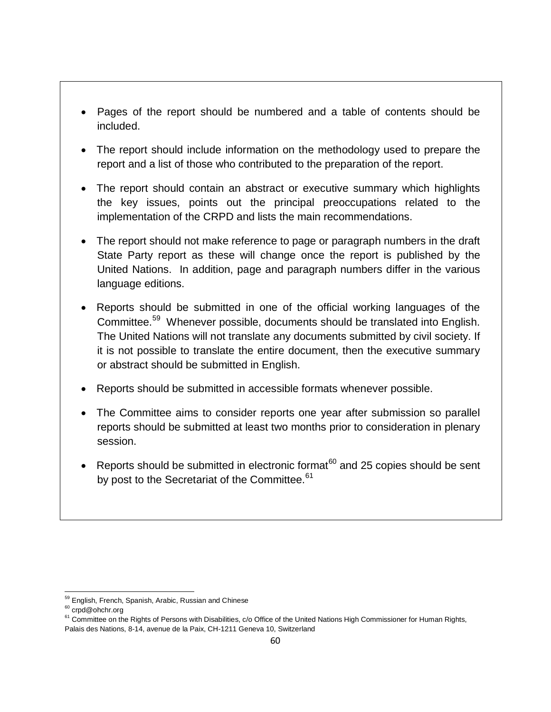- Pages of the report should be numbered and a table of contents should be included.
- The report should include information on the methodology used to prepare the report and a list of those who contributed to the preparation of the report.
- The report should contain an abstract or executive summary which highlights the key issues, points out the principal preoccupations related to the implementation of the CRPD and lists the main recommendations.
- The report should not make reference to page or paragraph numbers in the draft State Party report as these will change once the report is published by the United Nations. In addition, page and paragraph numbers differ in the various language editions.
- Reports should be submitted in one of the official working languages of the Committee.<sup>59</sup> Whenever possible, documents should be translated into English. The United Nations will not translate any documents submitted by civil society. If it is not possible to translate the entire document, then the executive summary or abstract should be submitted in English.
- Reports should be submitted in accessible formats whenever possible.
- The Committee aims to consider reports one year after submission so parallel reports should be submitted at least two months prior to consideration in plenary session.
- Reports should be submitted in electronic format<sup>60</sup> and 25 copies should be sent by post to the Secretariat of the Committee.<sup>61</sup>

 $\overline{a}$ <sup>59</sup> English, French, Spanish, Arabic, Russian and Chinese

<sup>60</sup> crpd@ohchr.org

<sup>&</sup>lt;sup>61</sup> Committee on the Rights of Persons with Disabilities, c/o Office of the United Nations High Commissioner for Human Rights, Palais des Nations, 8-14, avenue de la Paix, CH-1211 Geneva 10, Switzerland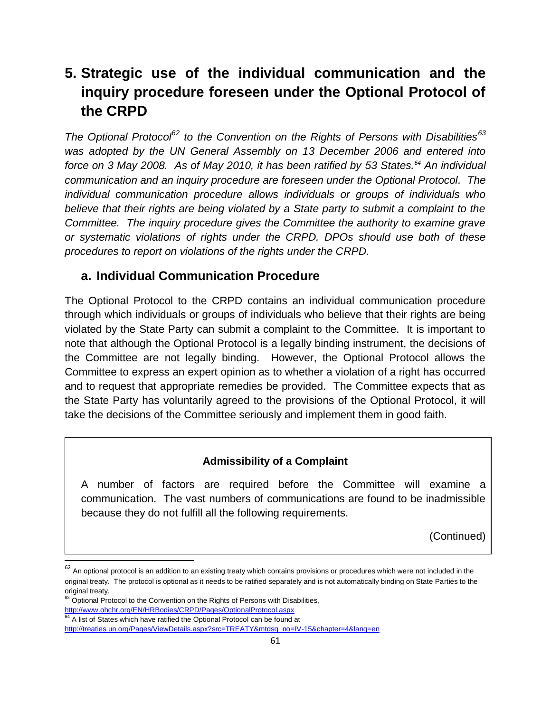# **5. Strategic use of the individual communication and the inquiry procedure foreseen under the Optional Protocol of the CRPD**

*The Optional Protocol<sup>62</sup> to the Convention on the Rights of Persons with Disabilities<sup>63</sup> was adopted by the UN General Assembly on 13 December 2006 and entered into force on 3 May 2008. As of May 2010, it has been ratified by 53 States.<sup>64</sup> An individual communication and an inquiry procedure are foreseen under the Optional Protocol. The individual communication procedure allows individuals or groups of individuals who believe that their rights are being violated by a State party to submit a complaint to the Committee. The inquiry procedure gives the Committee the authority to examine grave or systematic violations of rights under the CRPD. DPOs should use both of these procedures to report on violations of the rights under the CRPD.*

## **a. Individual Communication Procedure**

The Optional Protocol to the CRPD contains an individual communication procedure through which individuals or groups of individuals who believe that their rights are being violated by the State Party can submit a complaint to the Committee. It is important to note that although the Optional Protocol is a legally binding instrument, the decisions of the Committee are not legally binding. However, the Optional Protocol allows the Committee to express an expert opinion as to whether a violation of a right has occurred and to request that appropriate remedies be provided. The Committee expects that as the State Party has voluntarily agreed to the provisions of the Optional Protocol, it will take the decisions of the Committee seriously and implement them in good faith.

## **Admissibility of a Complaint**

A number of factors are required before the Committee will examine a communication. The vast numbers of communications are found to be inadmissible because they do not fulfill all the following requirements.

(Continued)

 $\overline{a}$ 

 $62$  An optional protocol is an addition to an existing treaty which contains provisions or procedures which were not included in the original treaty. The protocol is optional as it needs to be ratified separately and is not automatically binding on State Parties to the original treaty.

<sup>&</sup>lt;sup>63</sup> Optional Protocol to the Convention on the Rights of Persons with Disabilities, <http://www.ohchr.org/EN/HRBodies/CRPD/Pages/OptionalProtocol.aspx>

 $64$  A list of States which have ratified the Optional Protocol can be found at

[http://treaties.un.org/Pages/ViewDetails.aspx?src=TREATY&mtdsg\\_no=IV-15&chapter=4&lang=en](http://treaties.un.org/Pages/ViewDetails.aspx?src=TREATY&mtdsg_no=IV-15&chapter=4&lang=en)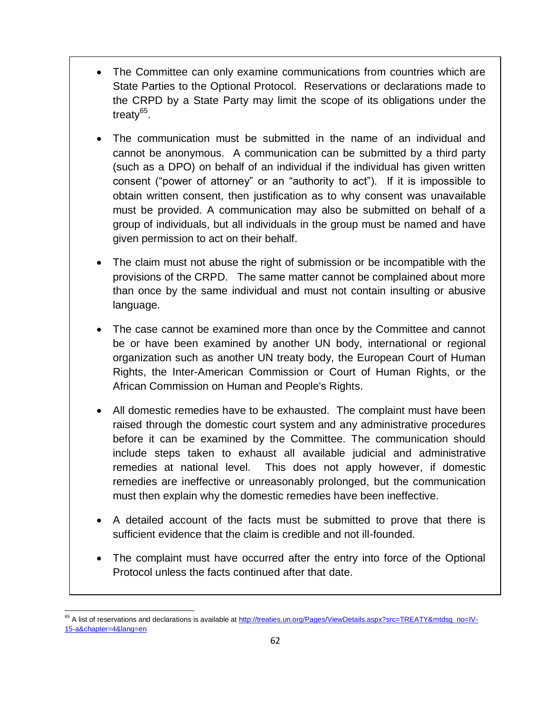- The Committee can only examine communications from countries which are State Parties to the Optional Protocol. Reservations or declarations made to the CRPD by a State Party may limit the scope of its obligations under the treaty<sup>65</sup>.
- The communication must be submitted in the name of an individual and cannot be anonymous. A communication can be submitted by a third party (such as a DPO) on behalf of an individual if the individual has given written consent ("power of attorney" or an "authority to act"). If it is impossible to obtain written consent, then justification as to why consent was unavailable must be provided. A communication may also be submitted on behalf of a group of individuals, but all individuals in the group must be named and have given permission to act on their behalf.
- The claim must not abuse the right of submission or be incompatible with the provisions of the CRPD. The same matter cannot be complained about more than once by the same individual and must not contain insulting or abusive language.
- The case cannot be examined more than once by the Committee and cannot be or have been examined by another UN body, international or regional organization such as another UN treaty body, the European Court of Human Rights, the Inter-American Commission or Court of Human Rights, or the African Commission on Human and People's Rights.
- All domestic remedies have to be exhausted. The complaint must have been raised through the domestic court system and any administrative procedures before it can be examined by the Committee. The communication should include steps taken to exhaust all available judicial and administrative remedies at national level. This does not apply however, if domestic remedies are ineffective or unreasonably prolonged, but the communication must then explain why the domestic remedies have been ineffective.
- A detailed account of the facts must be submitted to prove that there is sufficient evidence that the claim is credible and not ill-founded.
- The complaint must have occurred after the entry into force of the Optional Protocol unless the facts continued after that date.

 $\overline{a}$ <sup>65</sup> A list of reservations and declarations is available a[t http://treaties.un.org/Pages/ViewDetails.aspx?src=TREATY&mtdsg\\_no=IV-](http://treaties.un.org/Pages/ViewDetails.aspx?src=TREATY&mtdsg_no=IV-15-a&chapter=4&lang=en)[15-a&chapter=4&lang=en](http://treaties.un.org/Pages/ViewDetails.aspx?src=TREATY&mtdsg_no=IV-15-a&chapter=4&lang=en)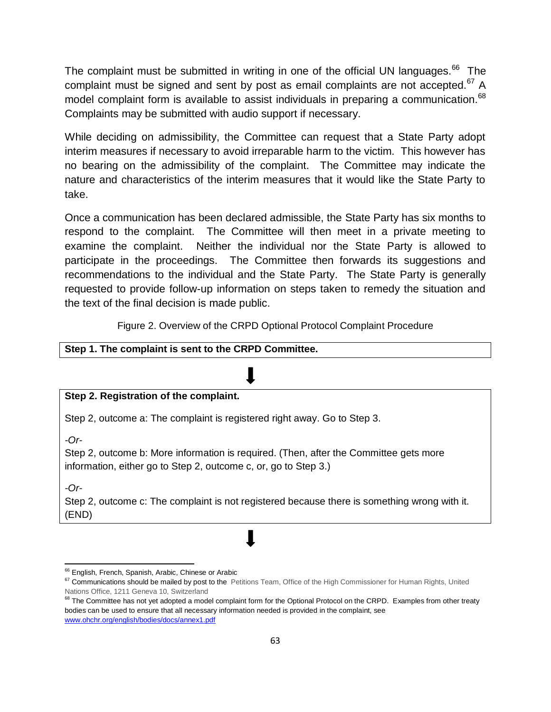The complaint must be submitted in writing in one of the official UN languages.<sup>66</sup> The complaint must be signed and sent by post as email complaints are not accepted. $67$  A model complaint form is available to assist individuals in preparing a communication. 68 Complaints may be submitted with audio support if necessary.

While deciding on admissibility, the Committee can request that a State Party adopt interim measures if necessary to avoid irreparable harm to the victim. This however has no bearing on the admissibility of the complaint. The Committee may indicate the nature and characteristics of the interim measures that it would like the State Party to take.

Once a communication has been declared admissible, the State Party has six months to respond to the complaint. The Committee will then meet in a private meeting to examine the complaint. Neither the individual nor the State Party is allowed to participate in the proceedings. The Committee then forwards its suggestions and recommendations to the individual and the State Party. The State Party is generally requested to provide follow-up information on steps taken to remedy the situation and the text of the final decision is made public.

Figure 2. Overview of the CRPD Optional Protocol Complaint Procedure

### **Step 1. The complaint is sent to the CRPD Committee.**

### **Step 2. Registration of the complaint.**

Step 2, outcome a: The complaint is registered right away. Go to Step 3.

*-Or-*

Step 2, outcome b: More information is required. (Then, after the Committee gets more information, either go to Step 2, outcome c, or, go to Step 3.)

*-Or-*

Step 2, outcome c: The complaint is not registered because there is something wrong with it. (END)

j <sup>66</sup> English, French, Spanish, Arabic, Chinese or Arabic

<sup>&</sup>lt;sup>67</sup> Communications should be mailed by post to the Petitions Team, Office of the High Commissioner for Human Rights, United Nations Office, 1211 Geneva 10, Switzerland

<sup>&</sup>lt;sup>68</sup> The Committee has not vet adopted a model complaint form for the Optional Protocol on the CRPD. Examples from other treaty bodies can be used to ensure that all necessary information needed is provided in the complaint, see [www.ohchr.org/english/bodies/docs/annex1.pdf](http://www.ohchr.org/english/bodies/docs/annex1.pdf)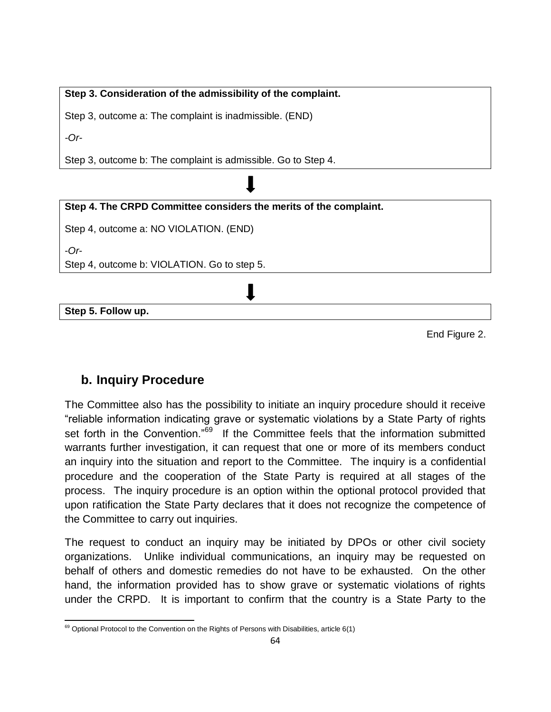## **Step 3. Consideration of the admissibility of the complaint.**

Step 3, outcome a: The complaint is inadmissible. (END)

*-Or-*

Step 3, outcome b: The complaint is admissible. Go to Step 4.

| Step 4. The CRPD Committee considers the merits of the complaint. |  |
|-------------------------------------------------------------------|--|
|                                                                   |  |

Step 4, outcome a: NO VIOLATION. (END)

-*Or*-

Step 4, outcome b: VIOLATION. Go to step 5.

**Step 5. Follow up.**

End Figure 2.

## **b. Inquiry Procedure**

The Committee also has the possibility to initiate an inquiry procedure should it receive "reliable information indicating grave or systematic violations by a State Party of rights set forth in the Convention."<sup>69</sup> If the Committee feels that the information submitted warrants further investigation, it can request that one or more of its members conduct an inquiry into the situation and report to the Committee. The inquiry is a confidential procedure and the cooperation of the State Party is required at all stages of the process. The inquiry procedure is an option within the optional protocol provided that upon ratification the State Party declares that it does not recognize the competence of the Committee to carry out inquiries.

The request to conduct an inquiry may be initiated by DPOs or other civil society organizations. Unlike individual communications, an inquiry may be requested on behalf of others and domestic remedies do not have to be exhausted. On the other hand, the information provided has to show grave or systematic violations of rights under the CRPD. It is important to confirm that the country is a State Party to the

 $\overline{a}$  $^{69}$  Optional Protocol to the Convention on the Rights of Persons with Disabilities, article 6(1)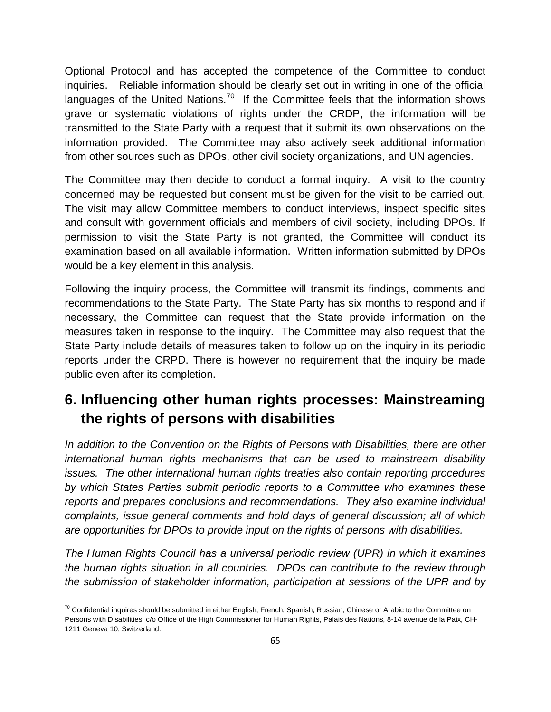Optional Protocol and has accepted the competence of the Committee to conduct inquiries. Reliable information should be clearly set out in writing in one of the official languages of the United Nations.<sup>70</sup> If the Committee feels that the information shows grave or systematic violations of rights under the CRDP, the information will be transmitted to the State Party with a request that it submit its own observations on the information provided. The Committee may also actively seek additional information from other sources such as DPOs, other civil society organizations, and UN agencies.

The Committee may then decide to conduct a formal inquiry. A visit to the country concerned may be requested but consent must be given for the visit to be carried out. The visit may allow Committee members to conduct interviews, inspect specific sites and consult with government officials and members of civil society, including DPOs. If permission to visit the State Party is not granted, the Committee will conduct its examination based on all available information. Written information submitted by DPOs would be a key element in this analysis.

Following the inquiry process, the Committee will transmit its findings, comments and recommendations to the State Party. The State Party has six months to respond and if necessary, the Committee can request that the State provide information on the measures taken in response to the inquiry. The Committee may also request that the State Party include details of measures taken to follow up on the inquiry in its periodic reports under the CRPD. There is however no requirement that the inquiry be made public even after its completion.

# **6. Influencing other human rights processes: Mainstreaming the rights of persons with disabilities**

*In addition to the Convention on the Rights of Persons with Disabilities, there are other international human rights mechanisms that can be used to mainstream disability issues. The other international human rights treaties also contain reporting procedures by which States Parties submit periodic reports to a Committee who examines these reports and prepares conclusions and recommendations. They also examine individual complaints, issue general comments and hold days of general discussion; all of which are opportunities for DPOs to provide input on the rights of persons with disabilities.* 

*The Human Rights Council has a universal periodic review (UPR) in which it examines the human rights situation in all countries. DPOs can contribute to the review through the submission of stakeholder information, participation at sessions of the UPR and by* 

j  $^{70}$  Confidential inquires should be submitted in either English, French, Spanish, Russian, Chinese or Arabic to the Committee on Persons with Disabilities, c/o Office of the High Commissioner for Human Rights, Palais des Nations, 8-14 avenue de la Paix, CH-1211 Geneva 10, Switzerland.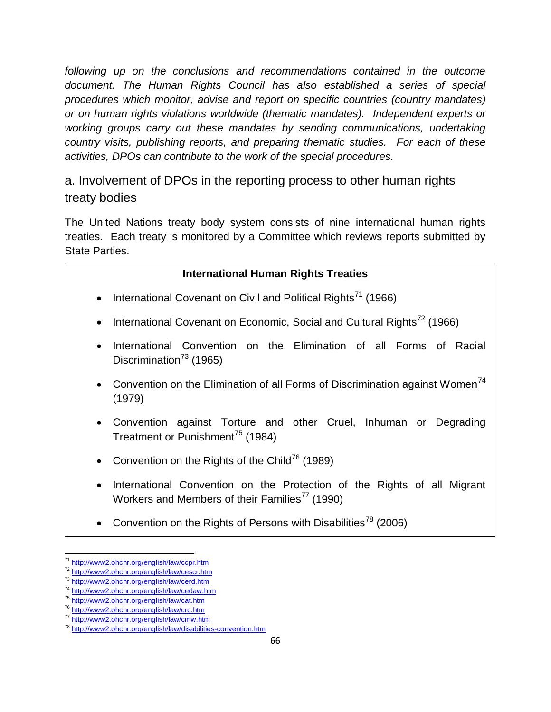following up on the conclusions and recommendations contained in the outcome *document. The Human Rights Council has also established a series of special procedures which monitor, advise and report on specific countries (country mandates) or on human rights violations worldwide (thematic mandates). Independent experts or*  working groups carry out these mandates by sending communications, undertaking *country visits, publishing reports, and preparing thematic studies. For each of these activities, DPOs can contribute to the work of the special procedures.*

a. Involvement of DPOs in the reporting process to other human rights treaty bodies

The United Nations treaty body system consists of nine international human rights treaties. Each treaty is monitored by a Committee which reviews reports submitted by State Parties.

| <b>International Human Rights Treaties</b>                                                                                            |
|---------------------------------------------------------------------------------------------------------------------------------------|
| • International Covenant on Civil and Political Rights <sup>71</sup> (1966)                                                           |
| • International Covenant on Economic, Social and Cultural Rights <sup>72</sup> (1966)                                                 |
| International Convention on the Elimination of all Forms of Racial<br>$\bullet$<br>Discrimination <sup>73</sup> (1965)                |
| • Convention on the Elimination of all Forms of Discrimination against Women <sup><math>14</math></sup><br>(1979)                     |
| • Convention against Torture and other Cruel, Inhuman or Degrading<br>Treatment or Punishment <sup>75</sup> (1984)                    |
| • Convention on the Rights of the Child <sup>76</sup> (1989)                                                                          |
| International Convention on the Protection of the Rights of all Migrant<br>Workers and Members of their Families <sup>77</sup> (1990) |

• Convention on the Rights of Persons with Disabilities<sup>78</sup> (2006)

j <sup>71</sup> <http://www2.ohchr.org/english/law/ccpr.htm>

<sup>72</sup> <http://www2.ohchr.org/english/law/cescr.htm>

<sup>73</sup> <http://www2.ohchr.org/english/law/cerd.htm>

<sup>74</sup> <http://www2.ohchr.org/english/law/cedaw.htm>

<sup>75</sup> <http://www2.ohchr.org/english/law/cat.htm>

<sup>76</sup> <http://www2.ohchr.org/english/law/crc.htm>

<sup>77</sup> <http://www2.ohchr.org/english/law/cmw.htm>

<sup>78</sup> <http://www2.ohchr.org/english/law/disabilities-convention.htm>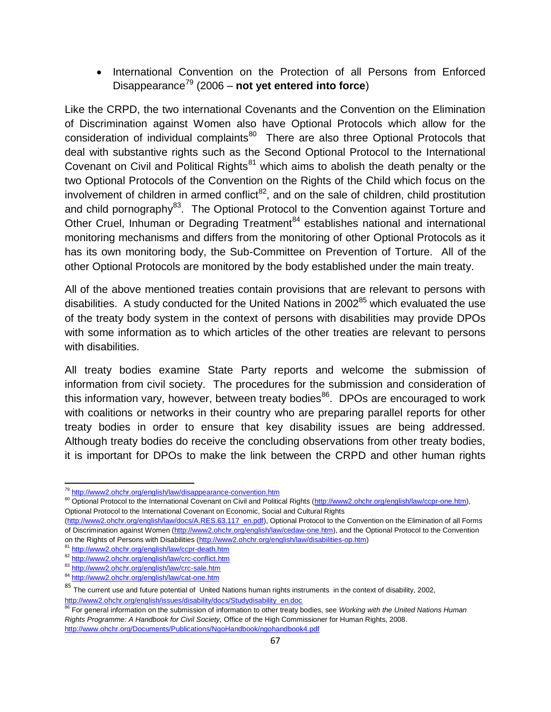• International Convention on the Protection of all Persons from Enforced Disappearance<sup>79</sup> (2006 – **not yet entered into force**)

Like the CRPD, the two international Covenants and the Convention on the Elimination of Discrimination against Women also have Optional Protocols which allow for the consideration of individual complaints<sup>80</sup> There are also three Optional Protocols that deal with substantive rights such as the Second Optional Protocol to the International Covenant on Civil and Political Rights $81$  which aims to abolish the death penalty or the two Optional Protocols of the Convention on the Rights of the Child which focus on the involvement of children in armed conflict<sup>82</sup>, and on the sale of children, child prostitution and child pornography $^{83}$ . The Optional Protocol to the Convention against Torture and Other Cruel, Inhuman or Degrading Treatment<sup>84</sup> establishes national and international monitoring mechanisms and differs from the monitoring of other Optional Protocols as it has its own monitoring body, the Sub-Committee on Prevention of Torture. All of the other Optional Protocols are monitored by the body established under the main treaty.

All of the above mentioned treaties contain provisions that are relevant to persons with disabilities. A study conducted for the United Nations in  $2002^{85}$  which evaluated the use of the treaty body system in the context of persons with disabilities may provide DPOs with some information as to which articles of the other treaties are relevant to persons with disabilities.

All treaty bodies examine State Party reports and welcome the submission of information from civil society. The procedures for the submission and consideration of this information vary, however, between treaty bodies $86$ . DPOs are encouraged to work with coalitions or networks in their country who are preparing parallel reports for other treaty bodies in order to ensure that key disability issues are being addressed. Although treaty bodies do receive the concluding observations from other treaty bodies, it is important for DPOs to make the link between the CRPD and other human rights

l

<sup>&</sup>lt;sup>79</sup> <http://www2.ohchr.org/english/law/disappearance-convention.htm>

<sup>80</sup> Optional Protocol to the International Covenant on Civil and Political Rights [\(http://www2.ohchr.org/english/law/ccpr-one.htm\)](http://www2.ohchr.org/english/law/ccpr-one.htm), Optional Protocol to the International Covenant on Economic, Social and Cultural Rights

[<sup>\(</sup>http://www2.ohchr.org/english/law/docs/A.RES.63.117\\_en.pdf\)](http://www2.ohchr.org/english/law/docs/A.RES.63.117_en.pdf), Optional Protocol to the Convention on the Elimination of all Forms of Discrimination against Women [\(http://www2.ohchr.org/english/law/cedaw-one.htm\),](http://www2.ohchr.org/english/law/cedaw-one.htm) and the Optional Protocol to the Convention on the Rights of Persons with Disabilities [\(http://www2.ohchr.org/english/law/disabilities-op.htm\)](http://www2.ohchr.org/english/law/disabilities-op.htm) 

<sup>81</sup> <http://www2.ohchr.org/english/law/ccpr-death.htm>

<sup>82</sup> <http://www2.ohchr.org/english/law/crc-conflict.htm>

<sup>83</sup> <http://www2.ohchr.org/english/law/crc-sale.htm>

<sup>84</sup> <http://www2.ohchr.org/english/law/cat-one.htm>

 $85$  The current use and future potential of United Nations human rights instruments in the context of disability, 2002, [http://www2.ohchr.org/english/issues/disability/docs/Studydisability\\_en.doc](http://www2.ohchr.org/english/issues/disability/docs/Studydisability_en.doc)

<sup>86</sup> For general information on the submission of information to other treaty bodies, see *Working with the United Nations Human Rights Programme: A Handbook for Civil Society,* Office of the High Commissioner for Human Rights, 2008. <http://www.ohchr.org/Documents/Publications/NgoHandbook/ngohandbook4.pdf>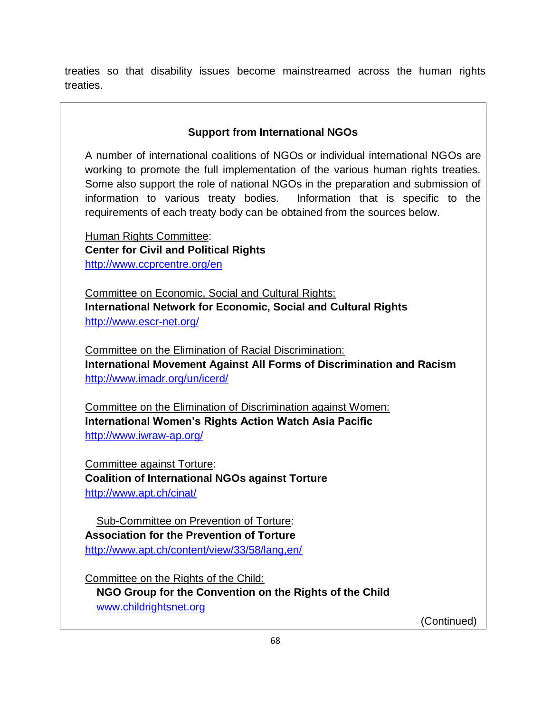treaties so that disability issues become mainstreamed across the human rights treaties.

## **Support from International NGOs**

A number of international coalitions of NGOs or individual international NGOs are working to promote the full implementation of the various human rights treaties. Some also support the role of national NGOs in the preparation and submission of information to various treaty bodies. Information that is specific to the requirements of each treaty body can be obtained from the sources below.

Human Rights Committee: **Center for Civil and Political Rights**  <http://www.ccprcentre.org/en>

Committee on Economic, Social and Cultural Rights: **International Network for Economic, Social and Cultural Rights**  <http://www.escr-net.org/>

Committee on the Elimination of Racial Discrimination: **International Movement Against All Forms of Discrimination and Racism**  <http://www.imadr.org/un/icerd/>

Committee on the Elimination of Discrimination against Women: **International Women's Rights Action Watch Asia Pacific**  <http://www.iwraw-ap.org/>

Committee against Torture: **Coalition of International NGOs against Torture** <http://www.apt.ch/cinat/>

Sub-Committee on Prevention of Torture: **Association for the Prevention of Torture**  <http://www.apt.ch/content/view/33/58/lang,en/>

Committee on the Rights of the Child: **NGO Group for the Convention on the Rights of the Child**  [www.childrightsnet.org](http://www.childrightsnet.org/)

(Continued)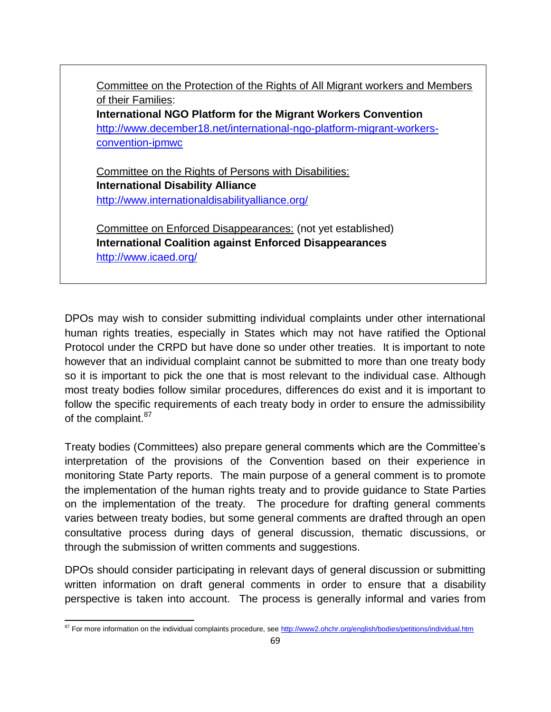Committee on the Protection of the Rights of All Migrant workers and Members of their Families: **International NGO Platform for the Migrant Workers Convention** [http://www.december18.net/international-ngo-platform-migrant-workers](http://www.december18.net/international-ngo-platform-migrant-workers-convention-ipmwc)[convention-ipmwc](http://www.december18.net/international-ngo-platform-migrant-workers-convention-ipmwc) Committee on the Rights of Persons with Disabilities: **International Disability Alliance** <http://www.internationaldisabilityalliance.org/>

Committee on Enforced Disappearances: (not yet established) **International Coalition against Enforced Disappearances** <http://www.icaed.org/>

DPOs may wish to consider submitting individual complaints under other international human rights treaties, especially in States which may not have ratified the Optional Protocol under the CRPD but have done so under other treaties. It is important to note however that an individual complaint cannot be submitted to more than one treaty body so it is important to pick the one that is most relevant to the individual case. Although most treaty bodies follow similar procedures, differences do exist and it is important to follow the specific requirements of each treaty body in order to ensure the admissibility of the complaint.<sup>87</sup>

Treaty bodies (Committees) also prepare general comments which are the Committee's interpretation of the provisions of the Convention based on their experience in monitoring State Party reports. The main purpose of a general comment is to promote the implementation of the human rights treaty and to provide guidance to State Parties on the implementation of the treaty. The procedure for drafting general comments varies between treaty bodies, but some general comments are drafted through an open consultative process during days of general discussion, thematic discussions, or through the submission of written comments and suggestions.

DPOs should consider participating in relevant days of general discussion or submitting written information on draft general comments in order to ensure that a disability perspective is taken into account. The process is generally informal and varies from

 $\overline{a}$ <sup>87</sup> For more information on the individual complaints procedure, see<http://www2.ohchr.org/english/bodies/petitions/individual.htm>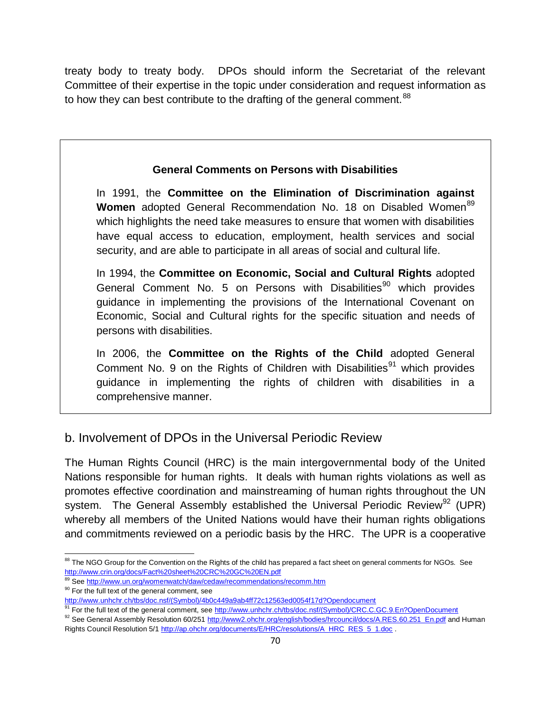treaty body to treaty body. DPOs should inform the Secretariat of the relevant Committee of their expertise in the topic under consideration and request information as to how they can best contribute to the drafting of the general comment.  $^{88}$ 

## **General Comments on Persons with Disabilities**

In 1991, the **Committee on the Elimination of Discrimination against**  Women adopted General Recommendation No. 18 on Disabled Women<sup>89</sup> which highlights the need take measures to ensure that women with disabilities have equal access to education, employment, health services and social security, and are able to participate in all areas of social and cultural life.

In 1994, the **Committee on Economic, Social and Cultural Rights** adopted General Comment No. 5 on Persons with Disabilities<sup>90</sup> which provides guidance in implementing the provisions of the International Covenant on Economic, Social and Cultural rights for the specific situation and needs of persons with disabilities.

In 2006, the **Committee on the Rights of the Child** adopted General Comment No. 9 on the Rights of Children with Disabilities<sup>91</sup> which provides guidance in implementing the rights of children with disabilities in a comprehensive manner.

## b. Involvement of DPOs in the Universal Periodic Review

The Human Rights Council (HRC) is the main intergovernmental body of the United Nations responsible for human rights. It deals with human rights violations as well as promotes effective coordination and mainstreaming of human rights throughout the UN system. The General Assembly established the Universal Periodic Review<sup>92</sup> (UPR) whereby all members of the United Nations would have their human rights obligations and commitments reviewed on a periodic basis by the HRC. The UPR is a cooperative

j <sup>88</sup> The NGO Group for the Convention on the Rights of the child has prepared a fact sheet on general comments for NGOs. See <http://www.crin.org/docs/Fact%20sheet%20CRC%20GC%20EN.pdf>

<sup>&</sup>lt;sup>89</sup> Se[e http://www.un.org/womenwatch/daw/cedaw/recommendations/recomm.htm](http://www.un.org/womenwatch/daw/cedaw/recommendations/recomm.htm) <sup>90</sup> For the full text of the general comment, see

[http://www.unhchr.ch/tbs/doc.nsf/\(Symbol\)/4b0c449a9ab4ff72c12563ed0054f17d?Opendocument](http://www.unhchr.ch/tbs/doc.nsf/(Symbol)/4b0c449a9ab4ff72c12563ed0054f17d?Opendocument)

<sup>91</sup> For the full text of the general comment, se[e http://www.unhchr.ch/tbs/doc.nsf/\(Symbol\)/CRC.C.GC.9.En?OpenDocument](http://www.unhchr.ch/tbs/doc.nsf/(Symbol)/CRC.C.GC.9.En?OpenDocument)

<sup>92</sup> See General Assembly Resolution 60/25[1 http://www2.ohchr.org/english/bodies/hrcouncil/docs/A.RES.60.251\\_En.pdf](http://www2.ohchr.org/english/bodies/hrcouncil/docs/A.RES.60.251_En.pdf) and Human Rights Council Resolution 5/1 [http://ap.ohchr.org/documents/E/HRC/resolutions/A\\_HRC\\_RES\\_5\\_1.doc](http://ap.ohchr.org/documents/E/HRC/resolutions/A_HRC_RES_5_1.doc) .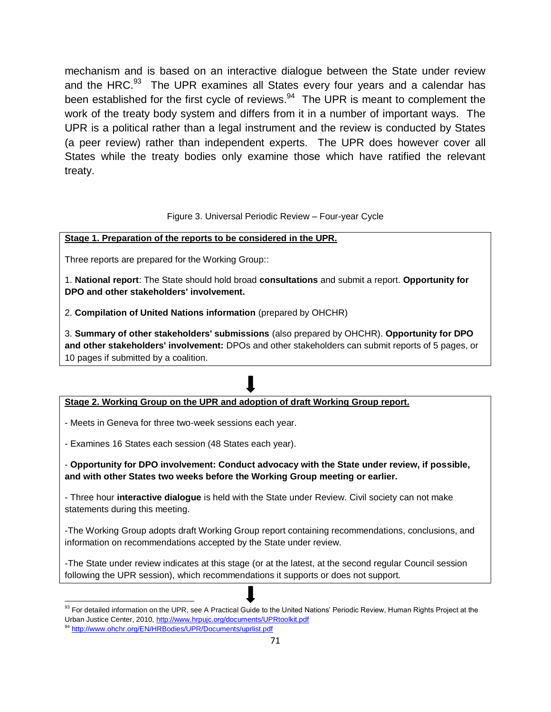mechanism and is based on an interactive dialogue between the State under review and the HRC.<sup>93</sup> The UPR examines all States every four years and a calendar has been established for the first cycle of reviews. $94$  The UPR is meant to complement the work of the treaty body system and differs from it in a number of important ways. The UPR is a political rather than a legal instrument and the review is conducted by States (a peer review) rather than independent experts. The UPR does however cover all States while the treaty bodies only examine those which have ratified the relevant treaty.

#### Figure 3. Universal Periodic Review – Four-year Cycle

#### **Stage 1. Preparation of the reports to be considered in the UPR.**

Three reports are prepared for the Working Group::

1. **National report**: The State should hold broad **consultations** and submit a report. **Opportunity for DPO and other stakeholders' involvement.**

2. **Compilation of United Nations information** (prepared by OHCHR)

3. **Summary of other stakeholders' submissions** (also prepared by OHCHR). **Opportunity for DPO and other stakeholders' involvement:** DPOs and other stakeholders can submit reports of 5 pages, or 10 pages if submitted by a coalition.

### **Stage 2. Working Group on the UPR and adoption of draft Working Group report.**

- Meets in Geneva for three two-week sessions each year.

- Examines 16 States each session (48 States each year).

- **Opportunity for DPO involvement: Conduct advocacy with the State under review, if possible, and with other States two weeks before the Working Group meeting or earlier.**

- Three hour **interactive dialogue** is held with the State under Review. Civil society can not make statements during this meeting.

-The Working Group adopts draft Working Group report containing recommendations, conclusions, and information on recommendations accepted by the State under review.

-The State under review indicates at this stage (or at the latest, at the second regular Council session following the UPR session), which recommendations it supports or does not support.

j  $93$  For detailed information on the UPR, see A Practical Guide to the United Nations' Periodic Review, Human Rights Project at the Urban Justice Center, 2010,<http://www.hrpujc.org/documents/UPRtoolkit.pdf>

<sup>94</sup> <http://www.ohchr.org/EN/HRBodies/UPR/Documents/uprlist.pdf>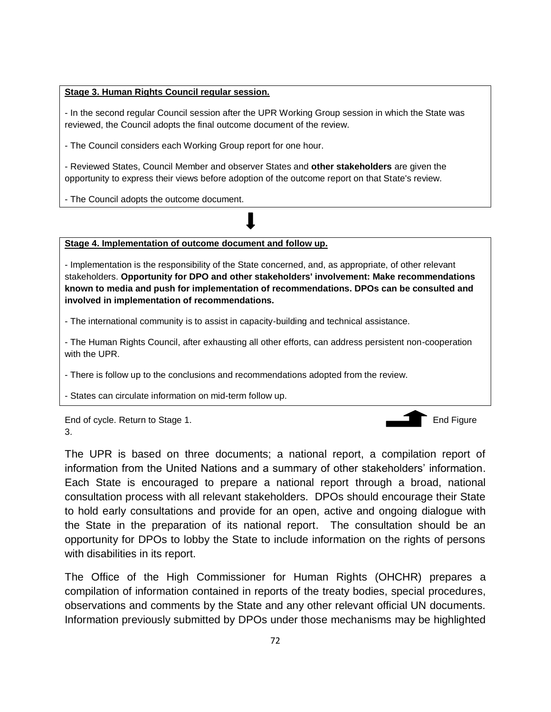#### **Stage 3. Human Rights Council regular session.**

- In the second regular Council session after the UPR Working Group session in which the State was reviewed, the Council adopts the final outcome document of the review.

- The Council considers each Working Group report for one hour.

- Reviewed States, Council Member and observer States and **other stakeholders** are given the opportunity to express their views before adoption of the outcome report on that State's review.

- The Council adopts the outcome document.



**Stage 4. Implementation of outcome document and follow up.**

- Implementation is the responsibility of the State concerned, and, as appropriate, of other relevant stakeholders. **Opportunity for DPO and other stakeholders' involvement: Make recommendations known to media and push for implementation of recommendations. DPOs can be consulted and involved in implementation of recommendations.**

- The international community is to assist in capacity-building and technical assistance.

- The Human Rights Council, after exhausting all other efforts, can address persistent non-cooperation with the UPR.

- There is follow up to the conclusions and recommendations adopted from the review.

- States can circulate information on mid-term follow up.

End of cycle. Return to Stage 1. End Figure 1. 3.



The UPR is based on three documents; a national report, a compilation report of information from the United Nations and a summary of other stakeholders' information. Each State is encouraged to prepare a national report through a broad, national consultation process with all relevant stakeholders. DPOs should encourage their State to hold early consultations and provide for an open, active and ongoing dialogue with the State in the preparation of its national report. The consultation should be an opportunity for DPOs to lobby the State to include information on the rights of persons with disabilities in its report.

The Office of the High Commissioner for Human Rights (OHCHR) prepares a compilation of information contained in reports of the treaty bodies, special procedures, observations and comments by the State and any other relevant official UN documents. Information previously submitted by DPOs under those mechanisms may be highlighted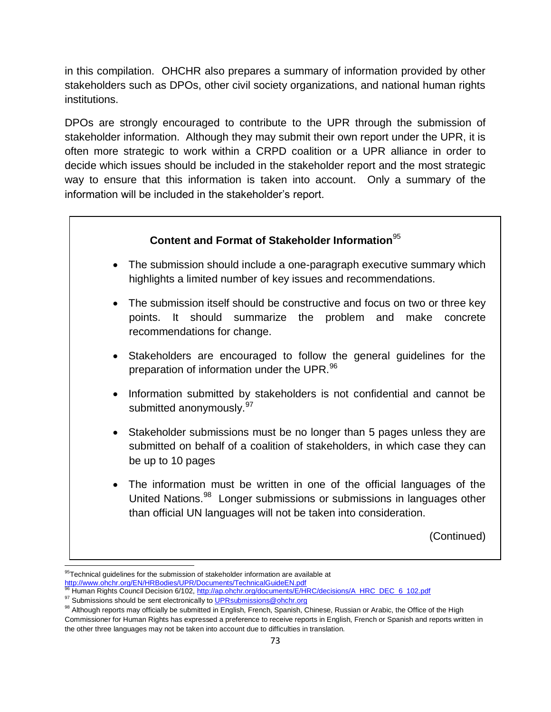in this compilation. OHCHR also prepares a summary of information provided by other stakeholders such as DPOs, other civil society organizations, and national human rights institutions.

DPOs are strongly encouraged to contribute to the UPR through the submission of stakeholder information. Although they may submit their own report under the UPR, it is often more strategic to work within a CRPD coalition or a UPR alliance in order to decide which issues should be included in the stakeholder report and the most strategic way to ensure that this information is taken into account. Only a summary of the information will be included in the stakeholder's report.



 $\overline{a}$  $95$ Technical guidelines for the submission of stakeholder information are available at <http://www.ohchr.org/EN/HRBodies/UPR/Documents/TechnicalGuideEN.pdf>

<sup>166</sup> Human Rights Council Decision 6/102, [http://ap.ohchr.org/documents/E/HRC/decisions/A\\_HRC\\_DEC\\_6\\_102.pdf](http://ap.ohchr.org/documents/E/HRC/decisions/A_HRC_DEC_6_102.pdf)

<sup>97</sup> Submissions should be sent electronically to UPR submissions@ohchr.org

<sup>98</sup> Although reports may officially be submitted in English, French, Spanish, Chinese, Russian or Arabic, the Office of the High Commissioner for Human Rights has expressed a preference to receive reports in English, French or Spanish and reports written in the other three languages may not be taken into account due to difficulties in translation.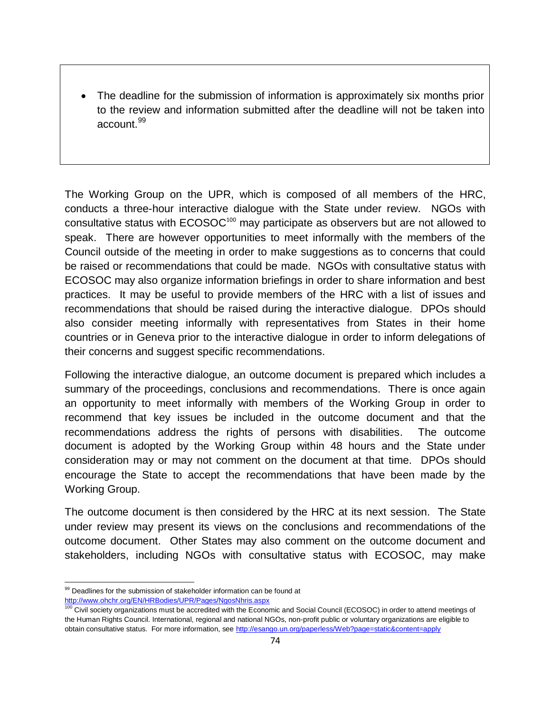The deadline for the submission of information is approximately six months prior to the review and information submitted after the deadline will not be taken into account.<sup>99</sup>

The Working Group on the UPR, which is composed of all members of the HRC, conducts a three-hour interactive dialogue with the State under review. NGOs with consultative status with ECOSOC<sup>100</sup> may participate as observers but are not allowed to speak. There are however opportunities to meet informally with the members of the Council outside of the meeting in order to make suggestions as to concerns that could be raised or recommendations that could be made. NGOs with consultative status with ECOSOC may also organize information briefings in order to share information and best practices. It may be useful to provide members of the HRC with a list of issues and recommendations that should be raised during the interactive dialogue. DPOs should also consider meeting informally with representatives from States in their home countries or in Geneva prior to the interactive dialogue in order to inform delegations of their concerns and suggest specific recommendations.

Following the interactive dialogue, an outcome document is prepared which includes a summary of the proceedings, conclusions and recommendations. There is once again an opportunity to meet informally with members of the Working Group in order to recommend that key issues be included in the outcome document and that the recommendations address the rights of persons with disabilities. The outcome document is adopted by the Working Group within 48 hours and the State under consideration may or may not comment on the document at that time. DPOs should encourage the State to accept the recommendations that have been made by the Working Group.

The outcome document is then considered by the HRC at its next session. The State under review may present its views on the conclusions and recommendations of the outcome document. Other States may also comment on the outcome document and stakeholders, including NGOs with consultative status with ECOSOC, may make

 $\overline{a}$ <sup>99</sup> Deadlines for the submission of stakeholder information can be found at <http://www.ohchr.org/EN/HRBodies/UPR/Pages/NgosNhris.aspx>

<sup>100</sup> Civil society organizations must be accredited with the Economic and Social Council (ECOSOC) in order to attend meetings of the Human Rights Council. International, regional and national NGOs, non-profit public or voluntary organizations are eligible to obtain consultative status. For more information, see<http://esango.un.org/paperless/Web?page=static&content=apply>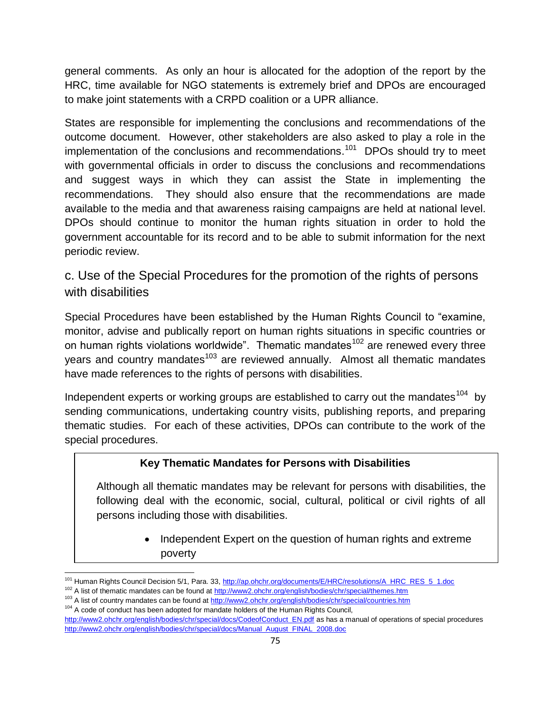general comments. As only an hour is allocated for the adoption of the report by the HRC, time available for NGO statements is extremely brief and DPOs are encouraged to make joint statements with a CRPD coalition or a UPR alliance.

States are responsible for implementing the conclusions and recommendations of the outcome document. However, other stakeholders are also asked to play a role in the implementation of the conclusions and recommendations.<sup>101</sup> DPOs should try to meet with governmental officials in order to discuss the conclusions and recommendations and suggest ways in which they can assist the State in implementing the recommendations. They should also ensure that the recommendations are made available to the media and that awareness raising campaigns are held at national level. DPOs should continue to monitor the human rights situation in order to hold the government accountable for its record and to be able to submit information for the next periodic review.

c. Use of the Special Procedures for the promotion of the rights of persons with disabilities

Special Procedures have been established by the Human Rights Council to "examine, monitor, advise and publically report on human rights situations in specific countries or on human rights violations worldwide". Thematic mandates<sup>102</sup> are renewed every three years and country mandates<sup>103</sup> are reviewed annually. Almost all thematic mandates have made references to the rights of persons with disabilities.

Independent experts or working groups are established to carry out the mandates  $104$  by sending communications, undertaking country visits, publishing reports, and preparing thematic studies. For each of these activities, DPOs can contribute to the work of the special procedures.

## **Key Thematic Mandates for Persons with Disabilities**

Although all thematic mandates may be relevant for persons with disabilities, the following deal with the economic, social, cultural, political or civil rights of all persons including those with disabilities.

> • Independent Expert on the question of human rights and extreme poverty

 $\overline{a}$ <sup>101</sup> Human Rights Council Decision 5/1, Para. 33[, http://ap.ohchr.org/documents/E/HRC/resolutions/A\\_HRC\\_RES\\_5\\_1.doc](http://ap.ohchr.org/documents/E/HRC/resolutions/A_HRC_RES_5_1.doc)

<sup>102</sup> A list of thematic mandates can be found at<http://www2.ohchr.org/english/bodies/chr/special/themes.htm>

<sup>&</sup>lt;sup>103</sup> A list of country mandates can be found at<http://www2.ohchr.org/english/bodies/chr/special/countries.htm>

 $104$  A code of conduct has been adopted for mandate holders of the Human Rights Council, [http://www2.ohchr.org/english/bodies/chr/special/docs/CodeofConduct\\_EN.pdf](http://www2.ohchr.org/english/bodies/chr/special/docs/CodeofConduct_EN.pdf) as has a manual of operations of special procedures [http://www2.ohchr.org/english/bodies/chr/special/docs/Manual\\_August\\_FINAL\\_2008.doc](http://www2.ohchr.org/english/bodies/chr/special/docs/Manual_August_FINAL_2008.doc)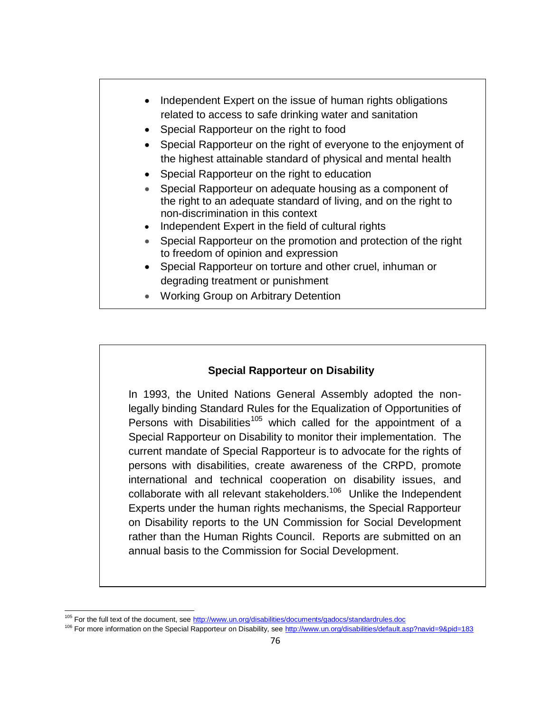

## **Special Rapporteur on Disability**

In 1993, the United Nations General Assembly adopted the nonlegally binding Standard Rules for the Equalization of Opportunities of Persons with Disabilities<sup>105</sup> which called for the appointment of a Special Rapporteur on Disability to monitor their implementation. The current mandate of Special Rapporteur is to advocate for the rights of persons with disabilities, create awareness of the CRPD, promote international and technical cooperation on disability issues, and collaborate with all relevant stakeholders.<sup>106</sup> Unlike the Independent Experts under the human rights mechanisms, the Special Rapporteur on Disability reports to the UN Commission for Social Development rather than the Human Rights Council. Reports are submitted on an annual basis to the Commission for Social Development.

 $\overline{a}$ 

<sup>&</sup>lt;sup>105</sup> For the full text of the document, se[e http://www.un.org/disabilities/documents/gadocs/standardrules.doc](http://www.un.org/disabilities/documents/gadocs/standardrules.doc)

<sup>106</sup> For more information on the Special Rapporteur on Disability, see<http://www.un.org/disabilities/default.asp?navid=9&pid=183>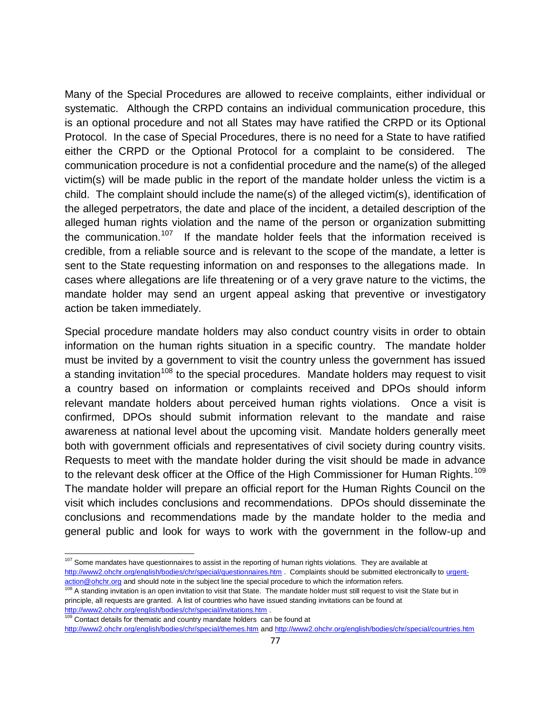Many of the Special Procedures are allowed to receive complaints, either individual or systematic. Although the CRPD contains an individual communication procedure, this is an optional procedure and not all States may have ratified the CRPD or its Optional Protocol. In the case of Special Procedures, there is no need for a State to have ratified either the CRPD or the Optional Protocol for a complaint to be considered. The communication procedure is not a confidential procedure and the name(s) of the alleged victim(s) will be made public in the report of the mandate holder unless the victim is a child. The complaint should include the name(s) of the alleged victim(s), identification of the alleged perpetrators, the date and place of the incident, a detailed description of the alleged human rights violation and the name of the person or organization submitting the communication.<sup>107</sup> If the mandate holder feels that the information received is credible, from a reliable source and is relevant to the scope of the mandate, a letter is sent to the State requesting information on and responses to the allegations made. In cases where allegations are life threatening or of a very grave nature to the victims, the mandate holder may send an urgent appeal asking that preventive or investigatory action be taken immediately.

Special procedure mandate holders may also conduct country visits in order to obtain information on the human rights situation in a specific country. The mandate holder must be invited by a government to visit the country unless the government has issued a standing invitation<sup>108</sup> to the special procedures. Mandate holders may request to visit a country based on information or complaints received and DPOs should inform relevant mandate holders about perceived human rights violations. Once a visit is confirmed, DPOs should submit information relevant to the mandate and raise awareness at national level about the upcoming visit. Mandate holders generally meet both with government officials and representatives of civil society during country visits. Requests to meet with the mandate holder during the visit should be made in advance to the relevant desk officer at the Office of the High Commissioner for Human Rights.<sup>109</sup> The mandate holder will prepare an official report for the Human Rights Council on the visit which includes conclusions and recommendations. DPOs should disseminate the conclusions and recommendations made by the mandate holder to the media and general public and look for ways to work with the government in the follow-up and

108 A standing invitation is an open invitation to visit that State. The mandate holder must still request to visit the State but in principle, all requests are granted. A list of countries who have issued standing invitations can be found at <http://www2.ohchr.org/english/bodies/chr/special/invitations.htm> .

<sup>109</sup> Contact details for thematic and country mandate holders can be found at

<http://www2.ohchr.org/english/bodies/chr/special/themes.htm> an[d http://www2.ohchr.org/english/bodies/chr/special/countries.htm](http://www2.ohchr.org/english/bodies/chr/special/countries.htm)

j <sup>107</sup> Some mandates have questionnaires to assist in the reporting of human rights violations. They are available at <http://www2.ohchr.org/english/bodies/chr/special/questionnaires.htm> . Complaints should be submitted electronically to [urgent](mailto:urgent-action@ohchr.org)[action@ohchr.org](mailto:urgent-action@ohchr.org) and should note in the subject line the special procedure to which the information refers.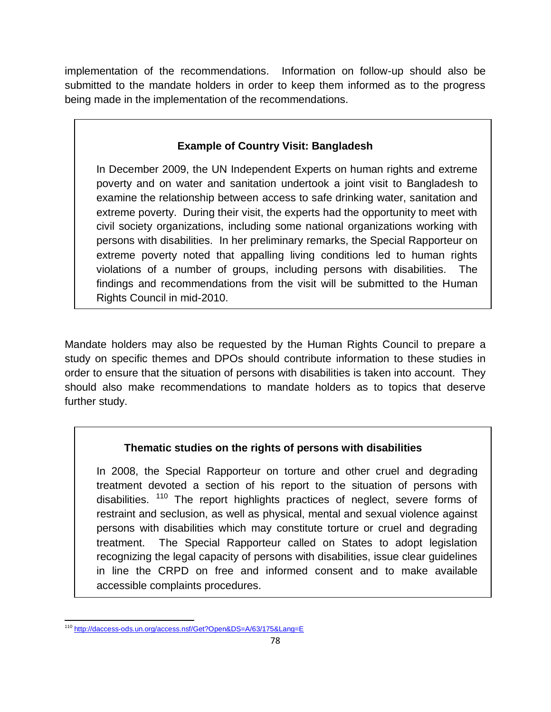implementation of the recommendations. Information on follow-up should also be submitted to the mandate holders in order to keep them informed as to the progress being made in the implementation of the recommendations.

# **Example of Country Visit: Bangladesh**

In December 2009, the UN Independent Experts on human rights and extreme poverty and on water and sanitation undertook a joint visit to Bangladesh to examine the relationship between access to safe drinking water, sanitation and extreme poverty. During their visit, the experts had the opportunity to meet with civil society organizations, including some national organizations working with persons with disabilities. In her preliminary remarks, the Special Rapporteur on extreme poverty noted that appalling living conditions led to human rights violations of a number of groups, including persons with disabilities. The findings and recommendations from the visit will be submitted to the Human Rights Council in mid-2010.

Mandate holders may also be requested by the Human Rights Council to prepare a study on specific themes and DPOs should contribute information to these studies in order to ensure that the situation of persons with disabilities is taken into account. They should also make recommendations to mandate holders as to topics that deserve further study.

# **Thematic studies on the rights of persons with disabilities**

In 2008, the Special Rapporteur on torture and other cruel and degrading treatment devoted a section of his report to the situation of persons with disabilities. <sup>110</sup> The report highlights practices of neglect, severe forms of restraint and seclusion, as well as physical, mental and sexual violence against persons with disabilities which may constitute torture or cruel and degrading treatment. The Special Rapporteur called on States to adopt legislation recognizing the legal capacity of persons with disabilities, issue clear guidelines in line the CRPD on free and informed consent and to make available accessible complaints procedures.

 $\overline{a}$ <sup>110</sup> <http://daccess-ods.un.org/access.nsf/Get?Open&DS=A/63/175&Lang=E>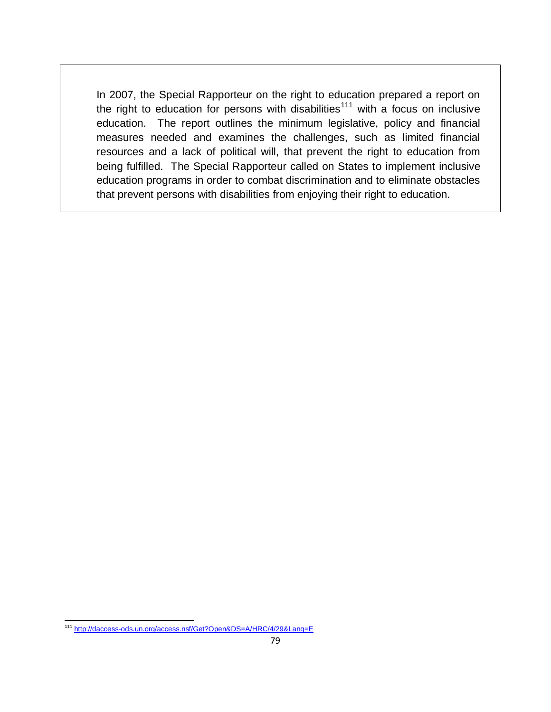In 2007, the Special Rapporteur on the right to education prepared a report on the right to education for persons with disabilities<sup>111</sup> with a focus on inclusive education. The report outlines the minimum legislative, policy and financial measures needed and examines the challenges, such as limited financial resources and a lack of political will, that prevent the right to education from being fulfilled. The Special Rapporteur called on States to implement inclusive education programs in order to combat discrimination and to eliminate obstacles that prevent persons with disabilities from enjoying their right to education.

 $\overline{a}$ <sup>111</sup> <http://daccess-ods.un.org/access.nsf/Get?Open&DS=A/HRC/4/29&Lang=E>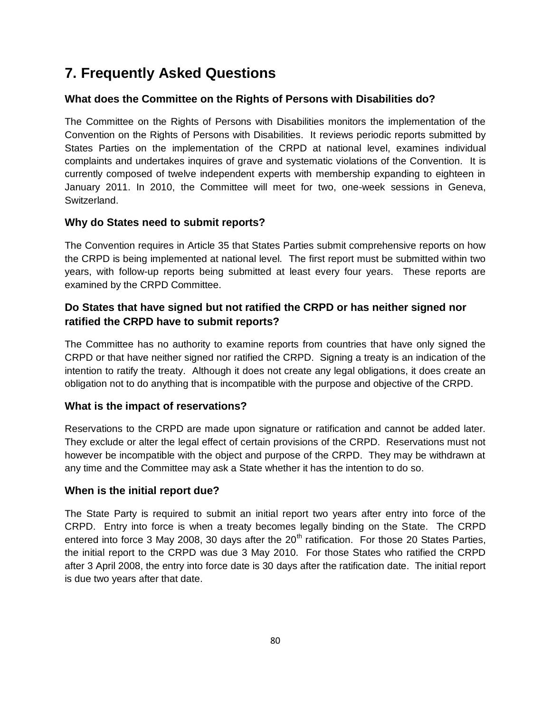# **7. Frequently Asked Questions**

## **What does the Committee on the Rights of Persons with Disabilities do?**

The Committee on the Rights of Persons with Disabilities monitors the implementation of the Convention on the Rights of Persons with Disabilities. It reviews periodic reports submitted by States Parties on the implementation of the CRPD at national level, examines individual complaints and undertakes inquires of grave and systematic violations of the Convention. It is currently composed of twelve independent experts with membership expanding to eighteen in January 2011. In 2010, the Committee will meet for two, one-week sessions in Geneva, Switzerland.

#### **Why do States need to submit reports?**

The Convention requires in Article 35 that States Parties submit comprehensive reports on how the CRPD is being implemented at national level. The first report must be submitted within two years, with follow-up reports being submitted at least every four years. These reports are examined by the CRPD Committee.

## **Do States that have signed but not ratified the CRPD or has neither signed nor ratified the CRPD have to submit reports?**

The Committee has no authority to examine reports from countries that have only signed the CRPD or that have neither signed nor ratified the CRPD. Signing a treaty is an indication of the intention to ratify the treaty. Although it does not create any legal obligations, it does create an obligation not to do anything that is incompatible with the purpose and objective of the CRPD.

#### **What is the impact of reservations?**

Reservations to the CRPD are made upon signature or ratification and cannot be added later. They exclude or alter the legal effect of certain provisions of the CRPD. Reservations must not however be incompatible with the object and purpose of the CRPD. They may be withdrawn at any time and the Committee may ask a State whether it has the intention to do so.

#### **When is the initial report due?**

The State Party is required to submit an initial report two years after entry into force of the CRPD. Entry into force is when a treaty becomes legally binding on the State. The CRPD entered into force 3 May 2008, 30 days after the  $20<sup>th</sup>$  ratification. For those 20 States Parties, the initial report to the CRPD was due 3 May 2010. For those States who ratified the CRPD after 3 April 2008, the entry into force date is 30 days after the ratification date. The initial report is due two years after that date.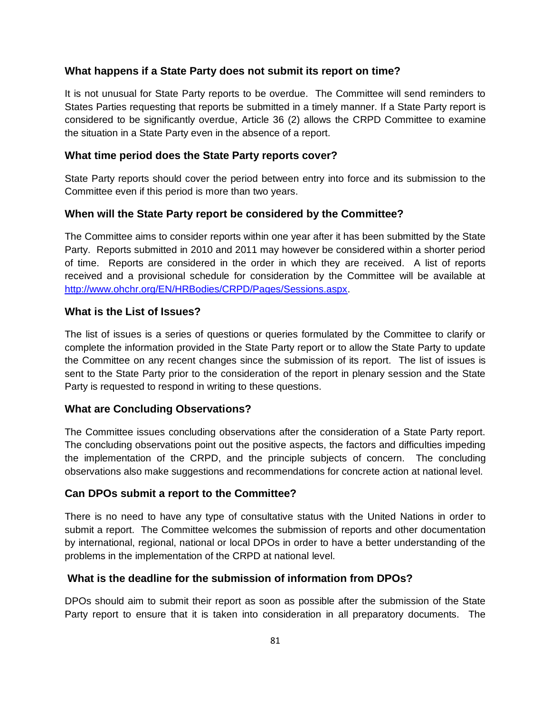#### **What happens if a State Party does not submit its report on time?**

It is not unusual for State Party reports to be overdue. The Committee will send reminders to States Parties requesting that reports be submitted in a timely manner. If a State Party report is considered to be significantly overdue, Article 36 (2) allows the CRPD Committee to examine the situation in a State Party even in the absence of a report.

#### **What time period does the State Party reports cover?**

State Party reports should cover the period between entry into force and its submission to the Committee even if this period is more than two years.

#### **When will the State Party report be considered by the Committee?**

The Committee aims to consider reports within one year after it has been submitted by the State Party. Reports submitted in 2010 and 2011 may however be considered within a shorter period of time. Reports are considered in the order in which they are received. A list of reports received and a provisional schedule for consideration by the Committee will be available at [http://www.ohchr.org/EN/HRBodies/CRPD/Pages/Sessions.aspx.](http://www.ohchr.org/EN/HRBodies/CRPD/Pages/Sessions.aspx)

#### **What is the List of Issues?**

The list of issues is a series of questions or queries formulated by the Committee to clarify or complete the information provided in the State Party report or to allow the State Party to update the Committee on any recent changes since the submission of its report. The list of issues is sent to the State Party prior to the consideration of the report in plenary session and the State Party is requested to respond in writing to these questions.

#### **What are Concluding Observations?**

The Committee issues concluding observations after the consideration of a State Party report. The concluding observations point out the positive aspects, the factors and difficulties impeding the implementation of the CRPD, and the principle subjects of concern. The concluding observations also make suggestions and recommendations for concrete action at national level.

#### **Can DPOs submit a report to the Committee?**

There is no need to have any type of consultative status with the United Nations in order to submit a report. The Committee welcomes the submission of reports and other documentation by international, regional, national or local DPOs in order to have a better understanding of the problems in the implementation of the CRPD at national level.

#### **What is the deadline for the submission of information from DPOs?**

DPOs should aim to submit their report as soon as possible after the submission of the State Party report to ensure that it is taken into consideration in all preparatory documents. The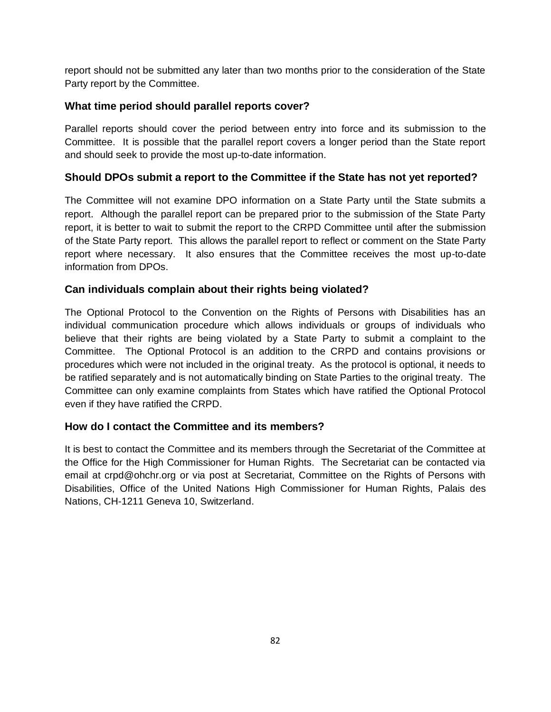report should not be submitted any later than two months prior to the consideration of the State Party report by the Committee.

### **What time period should parallel reports cover?**

Parallel reports should cover the period between entry into force and its submission to the Committee. It is possible that the parallel report covers a longer period than the State report and should seek to provide the most up-to-date information.

#### **Should DPOs submit a report to the Committee if the State has not yet reported?**

The Committee will not examine DPO information on a State Party until the State submits a report. Although the parallel report can be prepared prior to the submission of the State Party report, it is better to wait to submit the report to the CRPD Committee until after the submission of the State Party report. This allows the parallel report to reflect or comment on the State Party report where necessary. It also ensures that the Committee receives the most up-to-date information from DPOs.

### **Can individuals complain about their rights being violated?**

The Optional Protocol to the Convention on the Rights of Persons with Disabilities has an individual communication procedure which allows individuals or groups of individuals who believe that their rights are being violated by a State Party to submit a complaint to the Committee. The Optional Protocol is an addition to the CRPD and contains provisions or procedures which were not included in the original treaty. As the protocol is optional, it needs to be ratified separately and is not automatically binding on State Parties to the original treaty. The Committee can only examine complaints from States which have ratified the Optional Protocol even if they have ratified the CRPD.

#### **How do I contact the Committee and its members?**

It is best to contact the Committee and its members through the Secretariat of the Committee at the Office for the High Commissioner for Human Rights. The Secretariat can be contacted via email at crpd@ohchr.org or via post at Secretariat, Committee on the Rights of Persons with Disabilities, Office of the United Nations High Commissioner for Human Rights, Palais des Nations, CH-1211 Geneva 10, Switzerland.